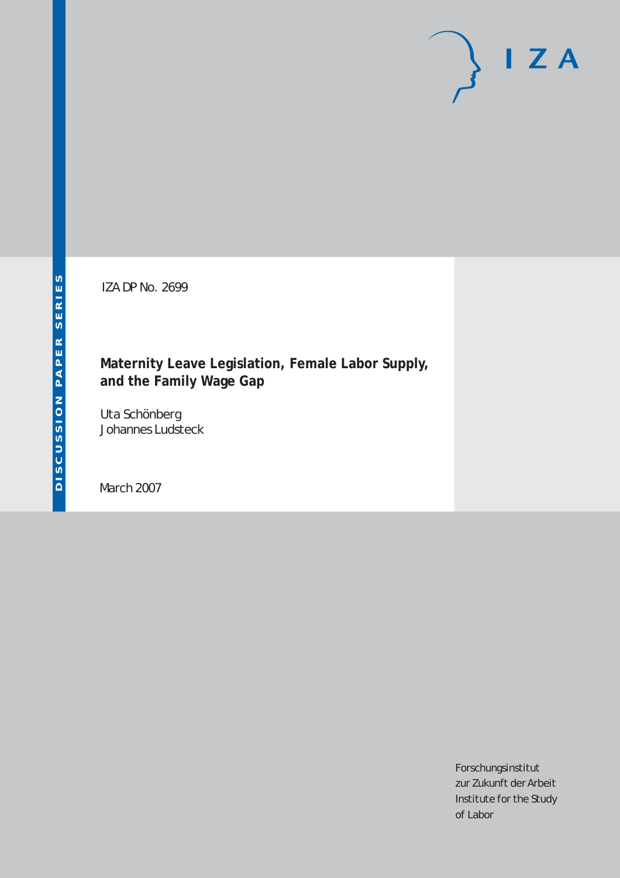# $I Z A$

IZA DP No. 2699

## **Maternity Leave Legislation, Female Labor Supply, and the Family Wage Gap**

Uta Schönberg Johannes Ludsteck

March 2007

Forschungsinstitut zur Zukunft der Arbeit Institute for the Study of Labor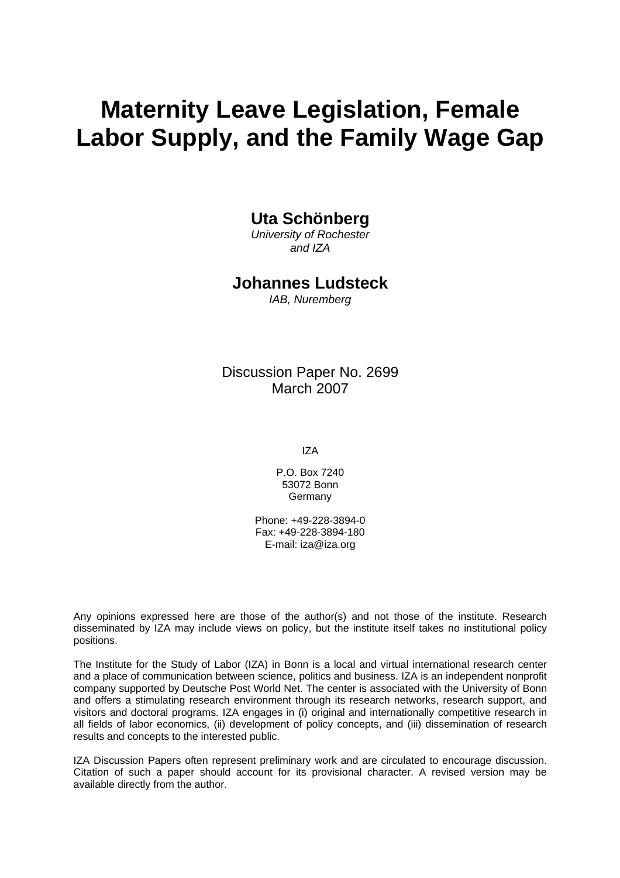# **Maternity Leave Legislation, Female Labor Supply, and the Family Wage Gap**

### **Uta Schönberg**

*University of Rochester and IZA* 

#### **Johannes Ludsteck**

*IAB, Nuremberg* 

Discussion Paper No. 2699 March 2007

IZA

P.O. Box 7240 53072 Bonn Germany

Phone: +49-228-3894-0 Fax: +49-228-3894-180 E-mail: [iza@iza.org](mailto:iza@iza.org)

Any opinions expressed here are those of the author(s) and not those of the institute. Research disseminated by IZA may include views on policy, but the institute itself takes no institutional policy positions.

The Institute for the Study of Labor (IZA) in Bonn is a local and virtual international research center and a place of communication between science, politics and business. IZA is an independent nonprofit company supported by Deutsche Post World Net. The center is associated with the University of Bonn and offers a stimulating research environment through its research networks, research support, and visitors and doctoral programs. IZA engages in (i) original and internationally competitive research in all fields of labor economics, (ii) development of policy concepts, and (iii) dissemination of research results and concepts to the interested public.

IZA Discussion Papers often represent preliminary work and are circulated to encourage discussion. Citation of such a paper should account for its provisional character. A revised version may be available directly from the author.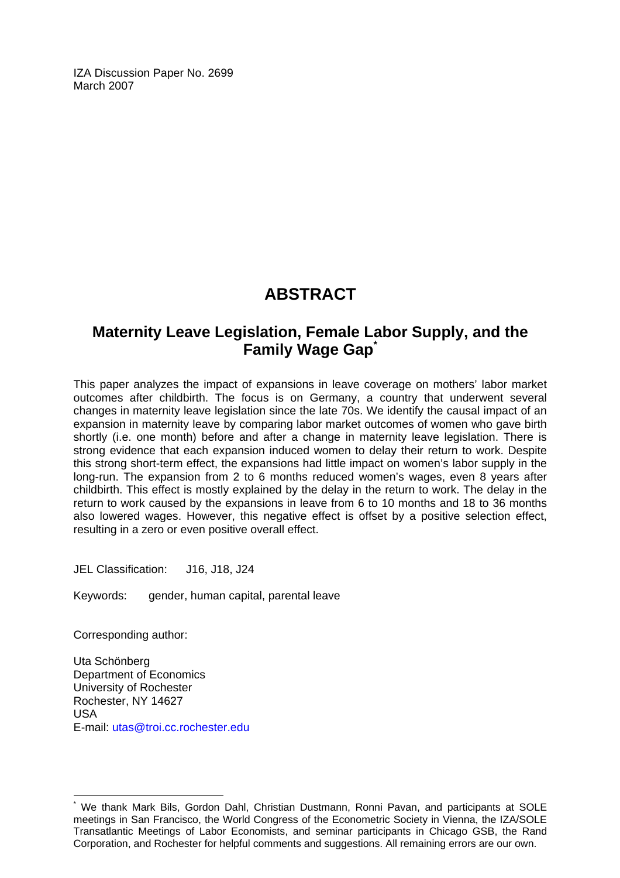IZA Discussion Paper No. 2699 March 2007

# **ABSTRACT**

## **Maternity Leave Legislation, Female Labor Supply, and the Family Wage Gap[\\*](#page-2-0)**

This paper analyzes the impact of expansions in leave coverage on mothers' labor market outcomes after childbirth. The focus is on Germany, a country that underwent several changes in maternity leave legislation since the late 70s. We identify the causal impact of an expansion in maternity leave by comparing labor market outcomes of women who gave birth shortly (i.e. one month) before and after a change in maternity leave legislation. There is strong evidence that each expansion induced women to delay their return to work. Despite this strong short-term effect, the expansions had little impact on women's labor supply in the long-run. The expansion from 2 to 6 months reduced women's wages, even 8 years after childbirth. This effect is mostly explained by the delay in the return to work. The delay in the return to work caused by the expansions in leave from 6 to 10 months and 18 to 36 months also lowered wages. However, this negative effect is offset by a positive selection effect, resulting in a zero or even positive overall effect.

JEL Classification: J16, J18, J24

Keywords: gender, human capital, parental leave

Corresponding author:

 $\overline{a}$ 

Uta Schönberg Department of Economics University of Rochester Rochester, NY 14627 USA E-mail: [utas@troi.cc.rochester.edu](mailto:utas@troi.cc.rochester.edu)

<span id="page-2-0"></span><sup>\*</sup> We thank Mark Bils, Gordon Dahl, Christian Dustmann, Ronni Pavan, and participants at SOLE meetings in San Francisco, the World Congress of the Econometric Society in Vienna, the IZA/SOLE Transatlantic Meetings of Labor Economists, and seminar participants in Chicago GSB, the Rand Corporation, and Rochester for helpful comments and suggestions. All remaining errors are our own.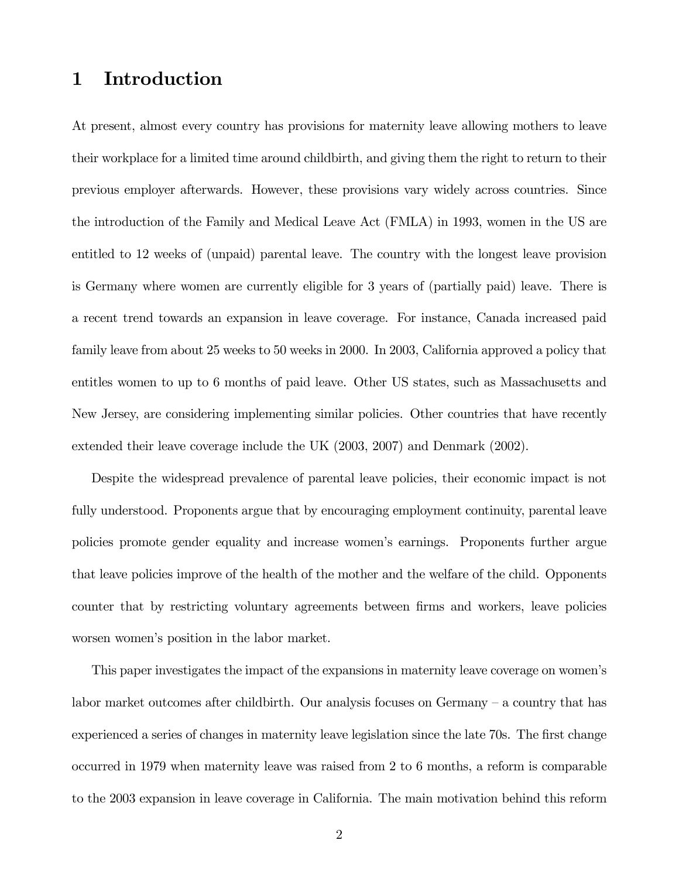## 1 Introduction

At present, almost every country has provisions for maternity leave allowing mothers to leave their workplace for a limited time around childbirth, and giving them the right to return to their previous employer afterwards. However, these provisions vary widely across countries. Since the introduction of the Family and Medical Leave Act (FMLA) in 1993, women in the US are entitled to 12 weeks of (unpaid) parental leave. The country with the longest leave provision is Germany where women are currently eligible for 3 years of (partially paid) leave. There is a recent trend towards an expansion in leave coverage. For instance, Canada increased paid family leave from about 25 weeks to 50 weeks in 2000. In 2003, California approved a policy that entitles women to up to 6 months of paid leave. Other US states, such as Massachusetts and New Jersey, are considering implementing similar policies. Other countries that have recently extended their leave coverage include the UK (2003, 2007) and Denmark (2002).

Despite the widespread prevalence of parental leave policies, their economic impact is not fully understood. Proponents argue that by encouraging employment continuity, parental leave policies promote gender equality and increase women's earnings. Proponents further argue that leave policies improve of the health of the mother and the welfare of the child. Opponents counter that by restricting voluntary agreements between firms and workers, leave policies worsen women's position in the labor market.

This paper investigates the impact of the expansions in maternity leave coverage on women's labor market outcomes after childbirth. Our analysis focuses on Germany — a country that has experienced a series of changes in maternity leave legislation since the late 70s. The first change occurred in 1979 when maternity leave was raised from 2 to 6 months, a reform is comparable to the 2003 expansion in leave coverage in California. The main motivation behind this reform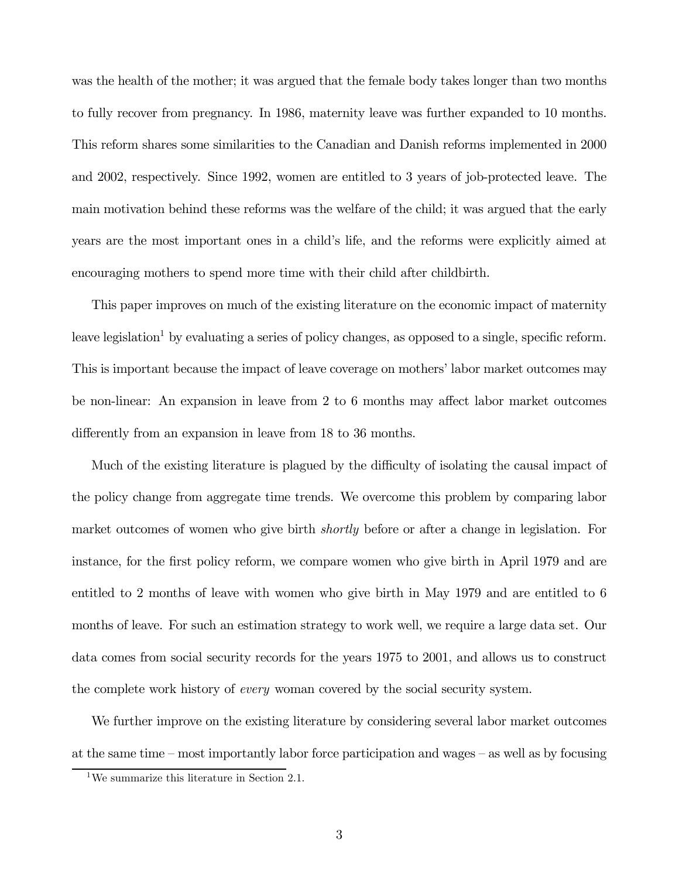was the health of the mother; it was argued that the female body takes longer than two months to fully recover from pregnancy. In 1986, maternity leave was further expanded to 10 months. This reform shares some similarities to the Canadian and Danish reforms implemented in 2000 and 2002, respectively. Since 1992, women are entitled to 3 years of job-protected leave. The main motivation behind these reforms was the welfare of the child; it was argued that the early years are the most important ones in a child's life, and the reforms were explicitly aimed at encouraging mothers to spend more time with their child after childbirth.

This paper improves on much of the existing literature on the economic impact of maternity leave legislation<sup>1</sup> by evaluating a series of policy changes, as opposed to a single, specific reform. This is important because the impact of leave coverage on mothers' labor market outcomes may be non-linear: An expansion in leave from 2 to 6 months may affect labor market outcomes differently from an expansion in leave from 18 to 36 months.

Much of the existing literature is plagued by the difficulty of isolating the causal impact of the policy change from aggregate time trends. We overcome this problem by comparing labor market outcomes of women who give birth *shortly* before or after a change in legislation. For instance, for the first policy reform, we compare women who give birth in April 1979 and are entitled to 2 months of leave with women who give birth in May 1979 and are entitled to 6 months of leave. For such an estimation strategy to work well, we require a large data set. Our data comes from social security records for the years 1975 to 2001, and allows us to construct the complete work history of *every* woman covered by the social security system.

We further improve on the existing literature by considering several labor market outcomes at the same time — most importantly labor force participation and wages — as well as by focusing

<sup>1</sup>We summarize this literature in Section 2.1.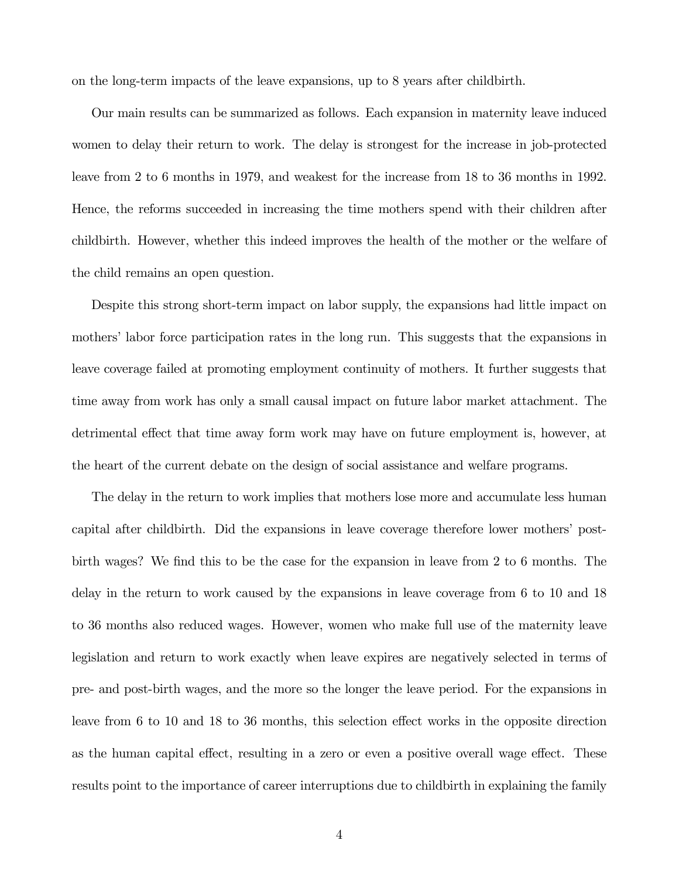on the long-term impacts of the leave expansions, up to 8 years after childbirth.

Our main results can be summarized as follows. Each expansion in maternity leave induced women to delay their return to work. The delay is strongest for the increase in job-protected leave from 2 to 6 months in 1979, and weakest for the increase from 18 to 36 months in 1992. Hence, the reforms succeeded in increasing the time mothers spend with their children after childbirth. However, whether this indeed improves the health of the mother or the welfare of the child remains an open question.

Despite this strong short-term impact on labor supply, the expansions had little impact on mothers' labor force participation rates in the long run. This suggests that the expansions in leave coverage failed at promoting employment continuity of mothers. It further suggests that time away from work has only a small causal impact on future labor market attachment. The detrimental effect that time away form work may have on future employment is, however, at the heart of the current debate on the design of social assistance and welfare programs.

The delay in the return to work implies that mothers lose more and accumulate less human capital after childbirth. Did the expansions in leave coverage therefore lower mothers' postbirth wages? We find this to be the case for the expansion in leave from 2 to 6 months. The delay in the return to work caused by the expansions in leave coverage from 6 to 10 and 18 to 36 months also reduced wages. However, women who make full use of the maternity leave legislation and return to work exactly when leave expires are negatively selected in terms of pre- and post-birth wages, and the more so the longer the leave period. For the expansions in leave from 6 to 10 and 18 to 36 months, this selection effect works in the opposite direction as the human capital effect, resulting in a zero or even a positive overall wage effect. These results point to the importance of career interruptions due to childbirth in explaining the family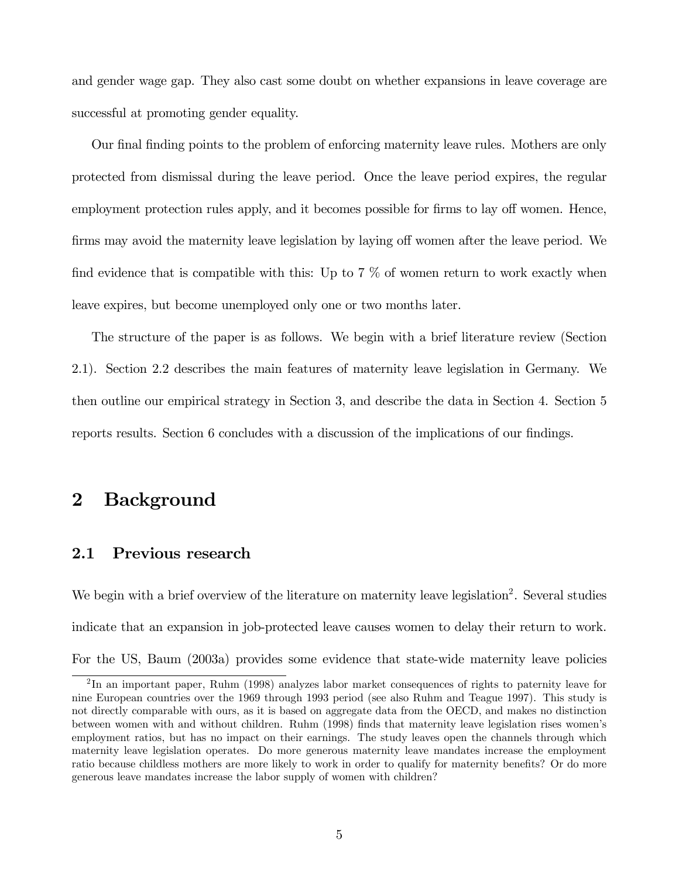and gender wage gap. They also cast some doubt on whether expansions in leave coverage are successful at promoting gender equality.

Our final finding points to the problem of enforcing maternity leave rules. Mothers are only protected from dismissal during the leave period. Once the leave period expires, the regular employment protection rules apply, and it becomes possible for firms to lay off women. Hence, firms may avoid the maternity leave legislation by laying off women after the leave period. We find evidence that is compatible with this: Up to  $7\%$  of women return to work exactly when leave expires, but become unemployed only one or two months later.

The structure of the paper is as follows. We begin with a brief literature review (Section 2.1). Section 2.2 describes the main features of maternity leave legislation in Germany. We then outline our empirical strategy in Section 3, and describe the data in Section 4. Section 5 reports results. Section 6 concludes with a discussion of the implications of our findings.

## 2 Background

#### 2.1 Previous research

We begin with a brief overview of the literature on maternity leave legislation<sup>2</sup>. Several studies indicate that an expansion in job-protected leave causes women to delay their return to work. For the US, Baum (2003a) provides some evidence that state-wide maternity leave policies

<sup>&</sup>lt;sup>2</sup>In an important paper, Ruhm (1998) analyzes labor market consequences of rights to paternity leave for nine European countries over the 1969 through 1993 period (see also Ruhm and Teague 1997). This study is not directly comparable with ours, as it is based on aggregate data from the OECD, and makes no distinction between women with and without children. Ruhm (1998) finds that maternity leave legislation rises women's employment ratios, but has no impact on their earnings. The study leaves open the channels through which maternity leave legislation operates. Do more generous maternity leave mandates increase the employment ratio because childless mothers are more likely to work in order to qualify for maternity benefits? Or do more generous leave mandates increase the labor supply of women with children?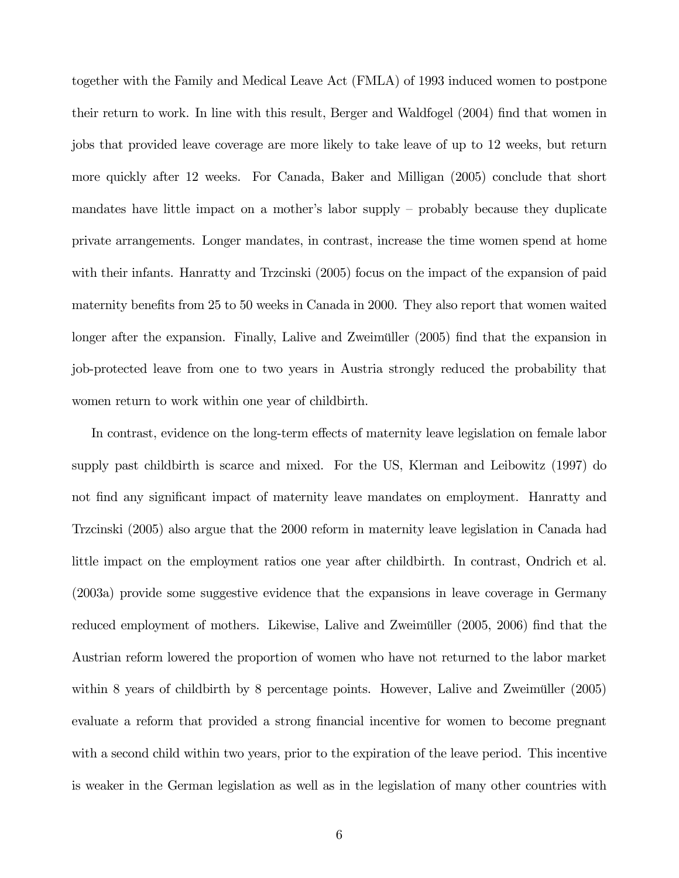together with the Family and Medical Leave Act (FMLA) of 1993 induced women to postpone their return to work. In line with this result, Berger and Waldfogel (2004) find that women in jobs that provided leave coverage are more likely to take leave of up to 12 weeks, but return more quickly after 12 weeks. For Canada, Baker and Milligan (2005) conclude that short mandates have little impact on a mother's labor supply — probably because they duplicate private arrangements. Longer mandates, in contrast, increase the time women spend at home with their infants. Hanratty and Trzcinski (2005) focus on the impact of the expansion of paid maternity benefits from 25 to 50 weeks in Canada in 2000. They also report that women waited longer after the expansion. Finally, Lalive and Zweimüller (2005) find that the expansion in job-protected leave from one to two years in Austria strongly reduced the probability that women return to work within one year of childbirth.

In contrast, evidence on the long-term effects of maternity leave legislation on female labor supply past childbirth is scarce and mixed. For the US, Klerman and Leibowitz (1997) do not find any significant impact of maternity leave mandates on employment. Hanratty and Trzcinski (2005) also argue that the 2000 reform in maternity leave legislation in Canada had little impact on the employment ratios one year after childbirth. In contrast, Ondrich et al. (2003a) provide some suggestive evidence that the expansions in leave coverage in Germany reduced employment of mothers. Likewise, Lalive and Zweimüller (2005, 2006) find that the Austrian reform lowered the proportion of women who have not returned to the labor market within 8 years of childbirth by 8 percentage points. However, Lalive and Zweimüller (2005) evaluate a reform that provided a strong financial incentive for women to become pregnant with a second child within two years, prior to the expiration of the leave period. This incentive is weaker in the German legislation as well as in the legislation of many other countries with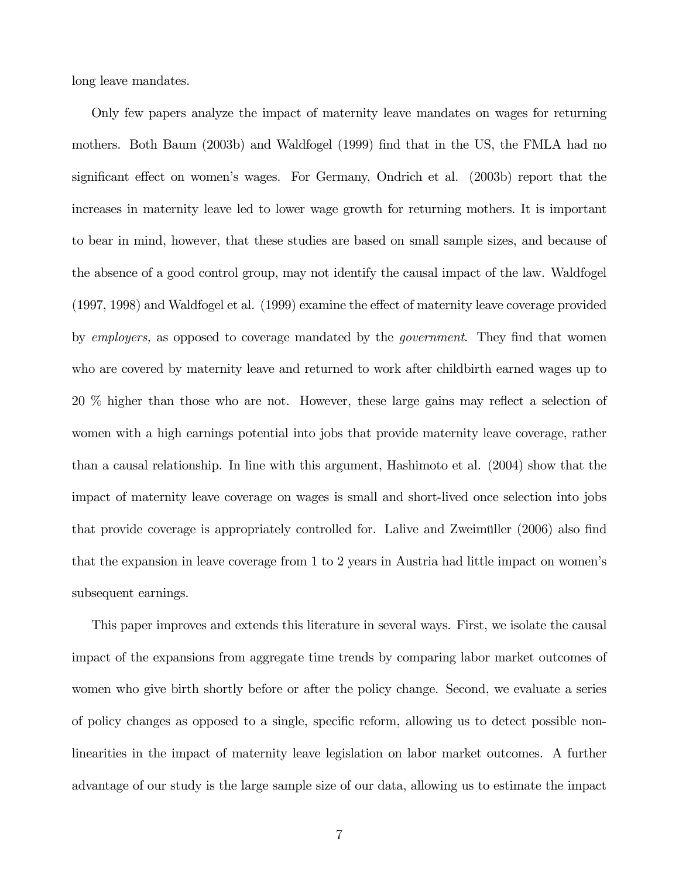long leave mandates.

Only few papers analyze the impact of maternity leave mandates on wages for returning mothers. Both Baum (2003b) and Waldfogel (1999) find that in the US, the FMLA had no significant effect on women's wages. For Germany, Ondrich et al. (2003b) report that the increases in maternity leave led to lower wage growth for returning mothers. It is important to bear in mind, however, that these studies are based on small sample sizes, and because of the absence of a good control group, may not identify the causal impact of the law. Waldfogel (1997, 1998) and Waldfogel et al. (1999) examine the effect of maternity leave coverage provided by employers, as opposed to coverage mandated by the government. They find that women who are covered by maternity leave and returned to work after childbirth earned wages up to 20 % higher than those who are not. However, these large gains may reflect a selection of women with a high earnings potential into jobs that provide maternity leave coverage, rather than a causal relationship. In line with this argument, Hashimoto et al. (2004) show that the impact of maternity leave coverage on wages is small and short-lived once selection into jobs that provide coverage is appropriately controlled for. Lalive and Zweimüller (2006) also find that the expansion in leave coverage from 1 to 2 years in Austria had little impact on women's subsequent earnings.

This paper improves and extends this literature in several ways. First, we isolate the causal impact of the expansions from aggregate time trends by comparing labor market outcomes of women who give birth shortly before or after the policy change. Second, we evaluate a series of policy changes as opposed to a single, specific reform, allowing us to detect possible nonlinearities in the impact of maternity leave legislation on labor market outcomes. A further advantage of our study is the large sample size of our data, allowing us to estimate the impact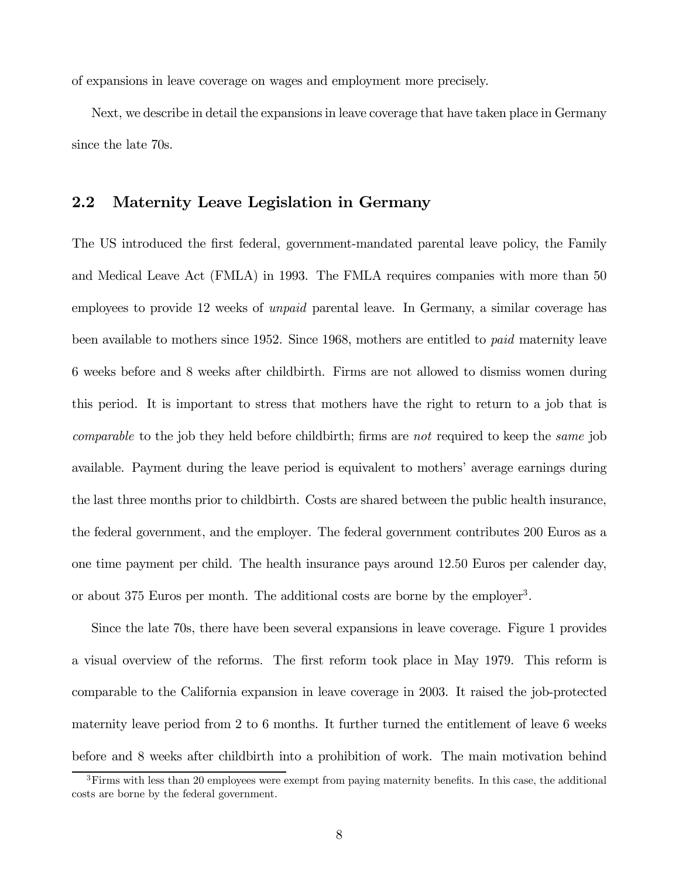of expansions in leave coverage on wages and employment more precisely.

Next, we describe in detail the expansions in leave coverage that have taken place in Germany since the late 70s.

#### 2.2 Maternity Leave Legislation in Germany

The US introduced the first federal, government-mandated parental leave policy, the Family and Medical Leave Act (FMLA) in 1993. The FMLA requires companies with more than 50 employees to provide 12 weeks of unpaid parental leave. In Germany, a similar coverage has been available to mothers since 1952. Since 1968, mothers are entitled to paid maternity leave 6 weeks before and 8 weeks after childbirth. Firms are not allowed to dismiss women during this period. It is important to stress that mothers have the right to return to a job that is comparable to the job they held before childbirth; firms are not required to keep the same job available. Payment during the leave period is equivalent to mothers' average earnings during the last three months prior to childbirth. Costs are shared between the public health insurance, the federal government, and the employer. The federal government contributes 200 Euros as a one time payment per child. The health insurance pays around 12.50 Euros per calender day, or about 375 Euros per month. The additional costs are borne by the employer<sup>3</sup>.

Since the late 70s, there have been several expansions in leave coverage. Figure 1 provides a visual overview of the reforms. The first reform took place in May 1979. This reform is comparable to the California expansion in leave coverage in 2003. It raised the job-protected maternity leave period from 2 to 6 months. It further turned the entitlement of leave 6 weeks before and 8 weeks after childbirth into a prohibition of work. The main motivation behind

<sup>&</sup>lt;sup>3</sup>Firms with less than 20 employees were exempt from paying maternity benefits. In this case, the additional costs are borne by the federal government.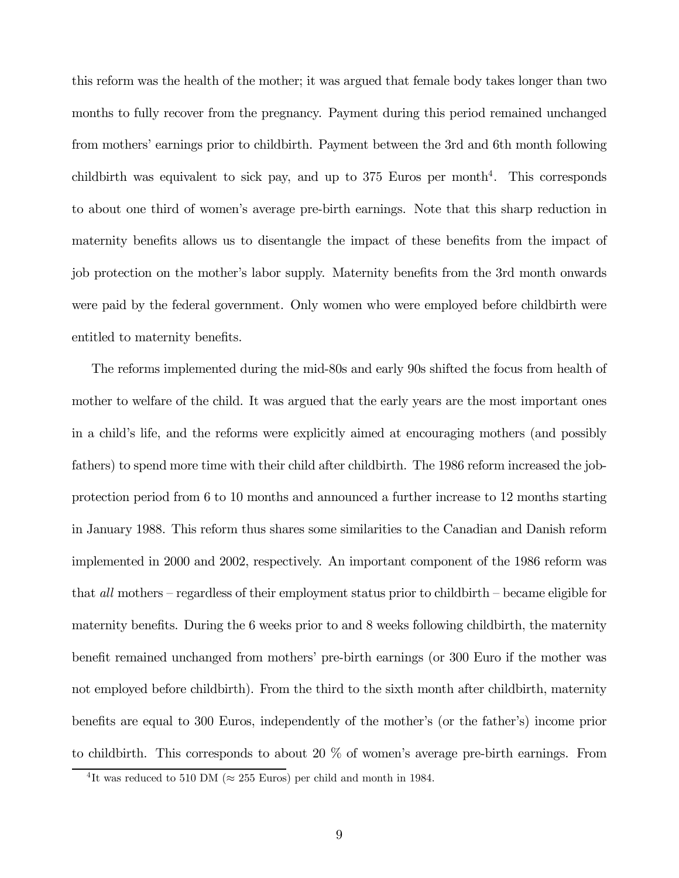this reform was the health of the mother; it was argued that female body takes longer than two months to fully recover from the pregnancy. Payment during this period remained unchanged from mothers' earnings prior to childbirth. Payment between the 3rd and 6th month following childbirth was equivalent to sick pay, and up to  $375$  Euros per month<sup>4</sup>. This corresponds to about one third of women's average pre-birth earnings. Note that this sharp reduction in maternity benefits allows us to disentangle the impact of these benefits from the impact of job protection on the mother's labor supply. Maternity benefits from the 3rd month onwards were paid by the federal government. Only women who were employed before childbirth were entitled to maternity benefits.

The reforms implemented during the mid-80s and early 90s shifted the focus from health of mother to welfare of the child. It was argued that the early years are the most important ones in a child's life, and the reforms were explicitly aimed at encouraging mothers (and possibly fathers) to spend more time with their child after childbirth. The 1986 reform increased the jobprotection period from 6 to 10 months and announced a further increase to 12 months starting in January 1988. This reform thus shares some similarities to the Canadian and Danish reform implemented in 2000 and 2002, respectively. An important component of the 1986 reform was that all mothers — regardless of their employment status prior to childbirth — became eligible for maternity benefits. During the 6 weeks prior to and 8 weeks following childbirth, the maternity benefit remained unchanged from mothers' pre-birth earnings (or 300 Euro if the mother was not employed before childbirth). From the third to the sixth month after childbirth, maternity benefits are equal to 300 Euros, independently of the mother's (or the father's) income prior to childbirth. This corresponds to about 20 % of women's average pre-birth earnings. From

<sup>&</sup>lt;sup>4</sup>It was reduced to 510 DM ( $\approx$  255 Euros) per child and month in 1984.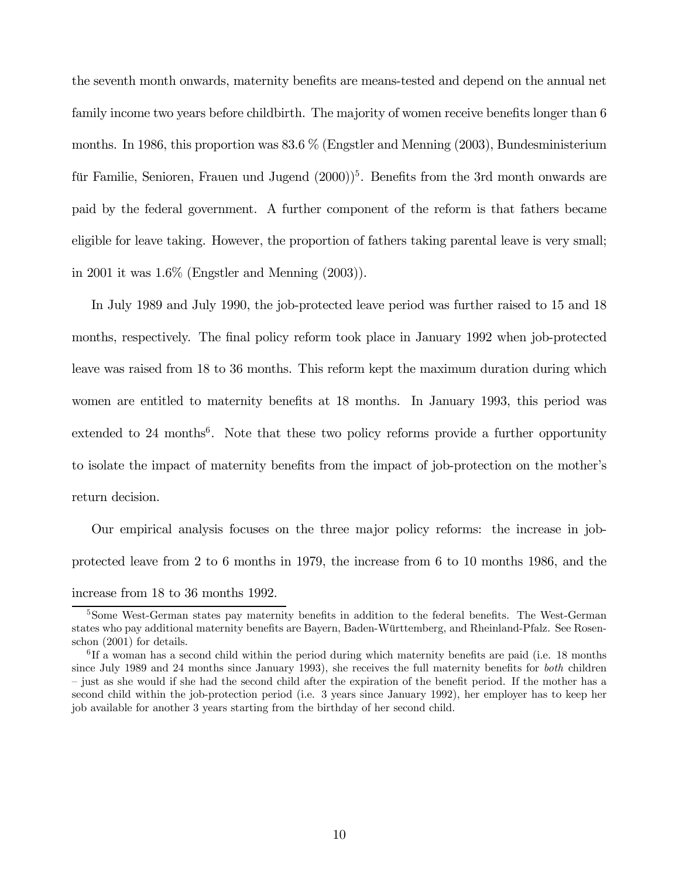the seventh month onwards, maternity benefits are means-tested and depend on the annual net family income two years before childbirth. The majority of women receive benefits longer than 6 months. In 1986, this proportion was 83.6 % (Engstler and Menning (2003), Bundesministerium für Familie, Senioren, Frauen und Jugend  $(2000)^5$ . Benefits from the 3rd month onwards are paid by the federal government. A further component of the reform is that fathers became eligible for leave taking. However, the proportion of fathers taking parental leave is very small; in 2001 it was 1.6% (Engstler and Menning (2003)).

In July 1989 and July 1990, the job-protected leave period was further raised to 15 and 18 months, respectively. The final policy reform took place in January 1992 when job-protected leave was raised from 18 to 36 months. This reform kept the maximum duration during which women are entitled to maternity benefits at 18 months. In January 1993, this period was extended to 24 months<sup>6</sup>. Note that these two policy reforms provide a further opportunity to isolate the impact of maternity benefits from the impact of job-protection on the mother's return decision.

Our empirical analysis focuses on the three major policy reforms: the increase in jobprotected leave from 2 to 6 months in 1979, the increase from 6 to 10 months 1986, and the increase from 18 to 36 months 1992.

<sup>&</sup>lt;sup>5</sup>Some West-German states pay maternity benefits in addition to the federal benefits. The West-German states who pay additional maternity benefits are Bayern, Baden-Württemberg, and Rheinland-Pfalz. See Rosenschon (2001) for details.

 ${}^{6}$ If a woman has a second child within the period during which maternity benefits are paid (i.e. 18 months since July 1989 and 24 months since January 1993), she receives the full maternity benefits for *both* children — just as she would if she had the second child after the expiration of the benefit period. If the mother has a second child within the job-protection period (i.e. 3 years since January 1992), her employer has to keep her job available for another 3 years starting from the birthday of her second child.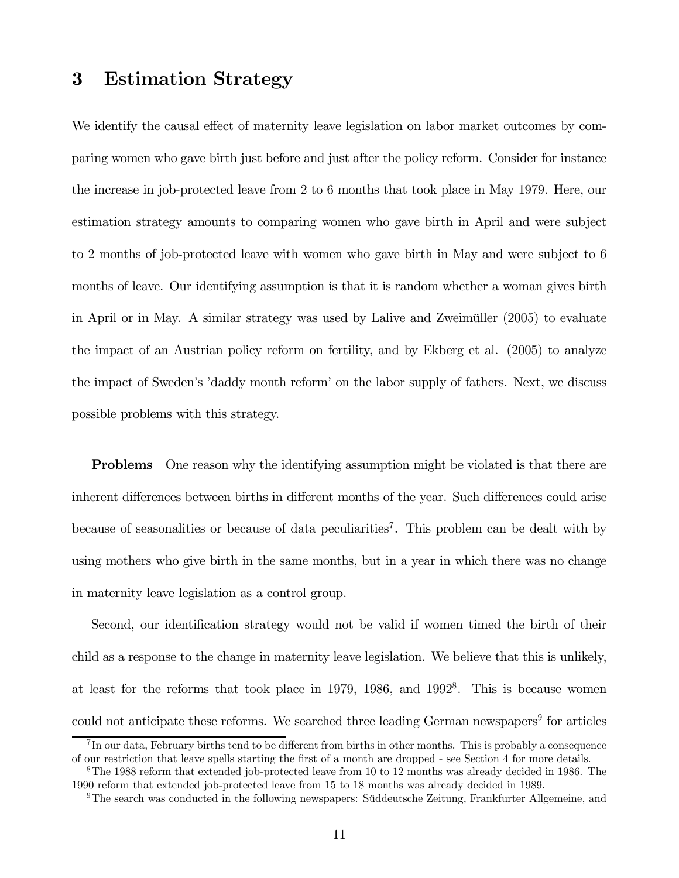## 3 Estimation Strategy

We identify the causal effect of maternity leave legislation on labor market outcomes by comparing women who gave birth just before and just after the policy reform. Consider for instance the increase in job-protected leave from 2 to 6 months that took place in May 1979. Here, our estimation strategy amounts to comparing women who gave birth in April and were subject to 2 months of job-protected leave with women who gave birth in May and were subject to 6 months of leave. Our identifying assumption is that it is random whether a woman gives birth in April or in May. A similar strategy was used by Lalive and Zweimüller (2005) to evaluate the impact of an Austrian policy reform on fertility, and by Ekberg et al. (2005) to analyze the impact of Sweden's 'daddy month reform' on the labor supply of fathers. Next, we discuss possible problems with this strategy.

Problems One reason why the identifying assumption might be violated is that there are inherent differences between births in different months of the year. Such differences could arise because of seasonalities or because of data peculiarities<sup>7</sup>. This problem can be dealt with by using mothers who give birth in the same months, but in a year in which there was no change in maternity leave legislation as a control group.

Second, our identification strategy would not be valid if women timed the birth of their child as a response to the change in maternity leave legislation. We believe that this is unlikely, at least for the reforms that took place in 1979, 1986, and  $1992<sup>8</sup>$ . This is because women could not anticipate these reforms. We searched three leading German newspapers<sup>9</sup> for articles

 ${}^{7}$ In our data, February births tend to be different from births in other months. This is probably a consequence of our restriction that leave spells starting the first of a month are dropped - see Section 4 for more details.

<sup>8</sup>The 1988 reform that extended job-protected leave from 10 to 12 months was already decided in 1986. The 1990 reform that extended job-protected leave from 15 to 18 months was already decided in 1989.

<sup>9</sup>The search was conducted in the following newspapers: Süddeutsche Zeitung, Frankfurter Allgemeine, and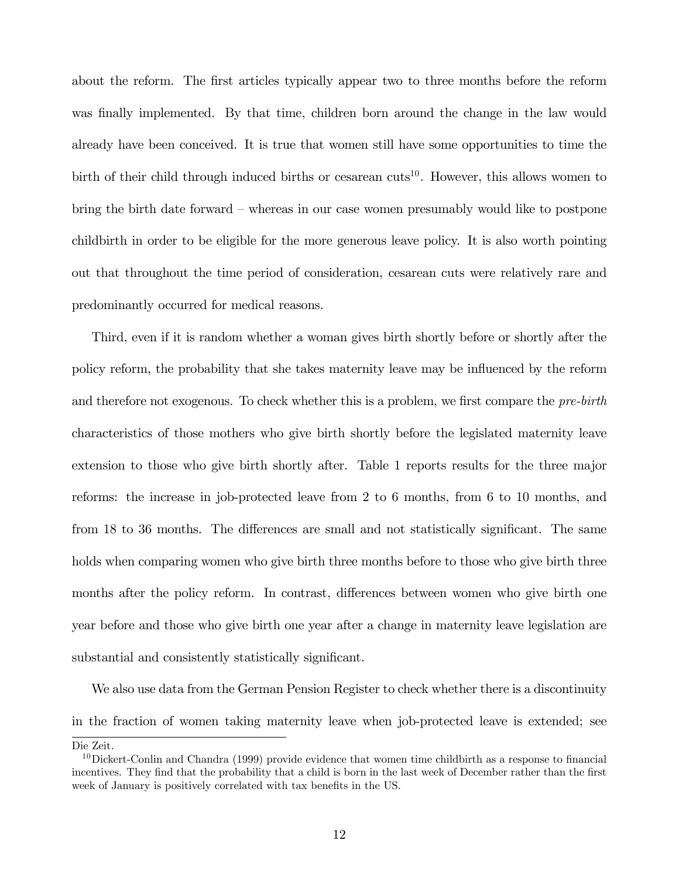about the reform. The first articles typically appear two to three months before the reform was finally implemented. By that time, children born around the change in the law would already have been conceived. It is true that women still have some opportunities to time the birth of their child through induced births or cesarean cuts<sup>10</sup>. However, this allows women to bring the birth date forward — whereas in our case women presumably would like to postpone childbirth in order to be eligible for the more generous leave policy. It is also worth pointing out that throughout the time period of consideration, cesarean cuts were relatively rare and predominantly occurred for medical reasons.

Third, even if it is random whether a woman gives birth shortly before or shortly after the policy reform, the probability that she takes maternity leave may be influenced by the reform and therefore not exogenous. To check whether this is a problem, we first compare the *pre-birth* characteristics of those mothers who give birth shortly before the legislated maternity leave extension to those who give birth shortly after. Table 1 reports results for the three major reforms: the increase in job-protected leave from 2 to 6 months, from 6 to 10 months, and from 18 to 36 months. The differences are small and not statistically significant. The same holds when comparing women who give birth three months before to those who give birth three months after the policy reform. In contrast, differences between women who give birth one year before and those who give birth one year after a change in maternity leave legislation are substantial and consistently statistically significant.

We also use data from the German Pension Register to check whether there is a discontinuity in the fraction of women taking maternity leave when job-protected leave is extended; see

Die Zeit.

 $10$ Dickert-Conlin and Chandra (1999) provide evidence that women time childbirth as a response to financial incentives. They find that the probability that a child is born in the last week of December rather than the first week of January is positively correlated with tax benefits in the US.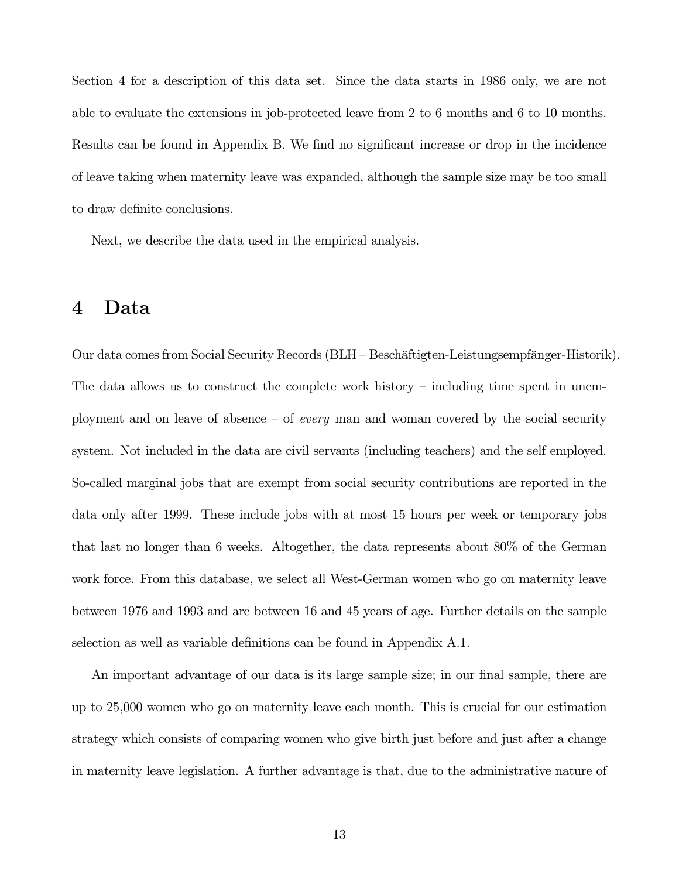Section 4 for a description of this data set. Since the data starts in 1986 only, we are not able to evaluate the extensions in job-protected leave from 2 to 6 months and 6 to 10 months. Results can be found in Appendix B. We find no significant increase or drop in the incidence of leave taking when maternity leave was expanded, although the sample size may be too small to draw definite conclusions.

Next, we describe the data used in the empirical analysis.

### 4 Data

Our data comes from Social Security Records (BLH — Beschäftigten-Leistungsempfänger-Historik). The data allows us to construct the complete work history — including time spent in unemployment and on leave of absence  $-$  of *every* man and woman covered by the social security system. Not included in the data are civil servants (including teachers) and the self employed. So-called marginal jobs that are exempt from social security contributions are reported in the data only after 1999. These include jobs with at most 15 hours per week or temporary jobs that last no longer than 6 weeks. Altogether, the data represents about 80% of the German work force. From this database, we select all West-German women who go on maternity leave between 1976 and 1993 and are between 16 and 45 years of age. Further details on the sample selection as well as variable definitions can be found in Appendix A.1.

An important advantage of our data is its large sample size; in our final sample, there are up to 25,000 women who go on maternity leave each month. This is crucial for our estimation strategy which consists of comparing women who give birth just before and just after a change in maternity leave legislation. A further advantage is that, due to the administrative nature of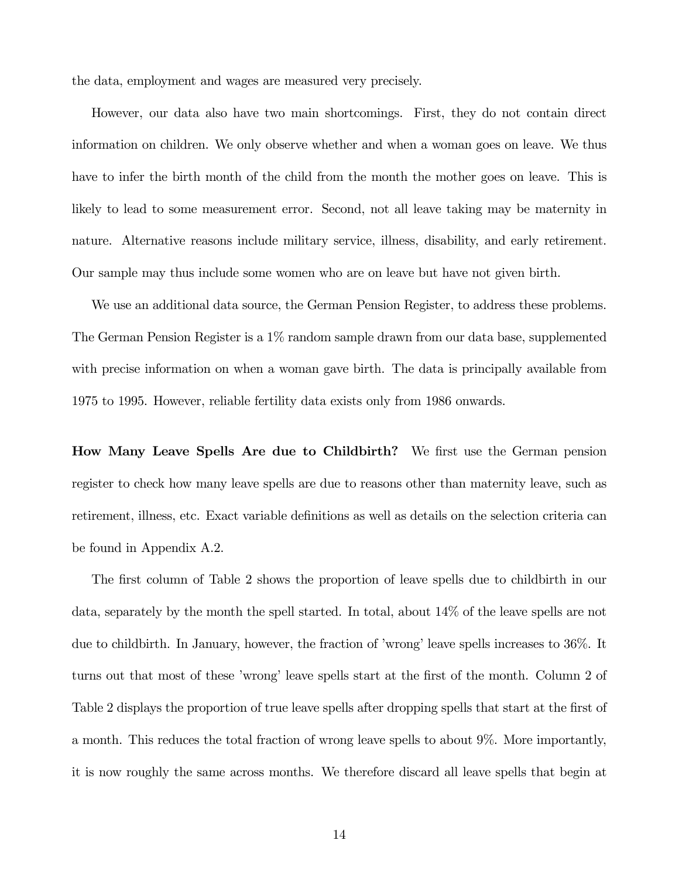the data, employment and wages are measured very precisely.

However, our data also have two main shortcomings. First, they do not contain direct information on children. We only observe whether and when a woman goes on leave. We thus have to infer the birth month of the child from the month the mother goes on leave. This is likely to lead to some measurement error. Second, not all leave taking may be maternity in nature. Alternative reasons include military service, illness, disability, and early retirement. Our sample may thus include some women who are on leave but have not given birth.

We use an additional data source, the German Pension Register, to address these problems. The German Pension Register is a  $1\%$  random sample drawn from our data base, supplemented with precise information on when a woman gave birth. The data is principally available from 1975 to 1995. However, reliable fertility data exists only from 1986 onwards.

How Many Leave Spells Are due to Childbirth? We first use the German pension register to check how many leave spells are due to reasons other than maternity leave, such as retirement, illness, etc. Exact variable definitions as well as details on the selection criteria can be found in Appendix A.2.

The first column of Table 2 shows the proportion of leave spells due to childbirth in our data, separately by the month the spell started. In total, about 14% of the leave spells are not due to childbirth. In January, however, the fraction of 'wrong' leave spells increases to 36%. It turns out that most of these 'wrong' leave spells start at the first of the month. Column 2 of Table 2 displays the proportion of true leave spells after dropping spells that start at the first of a month. This reduces the total fraction of wrong leave spells to about 9%. More importantly, it is now roughly the same across months. We therefore discard all leave spells that begin at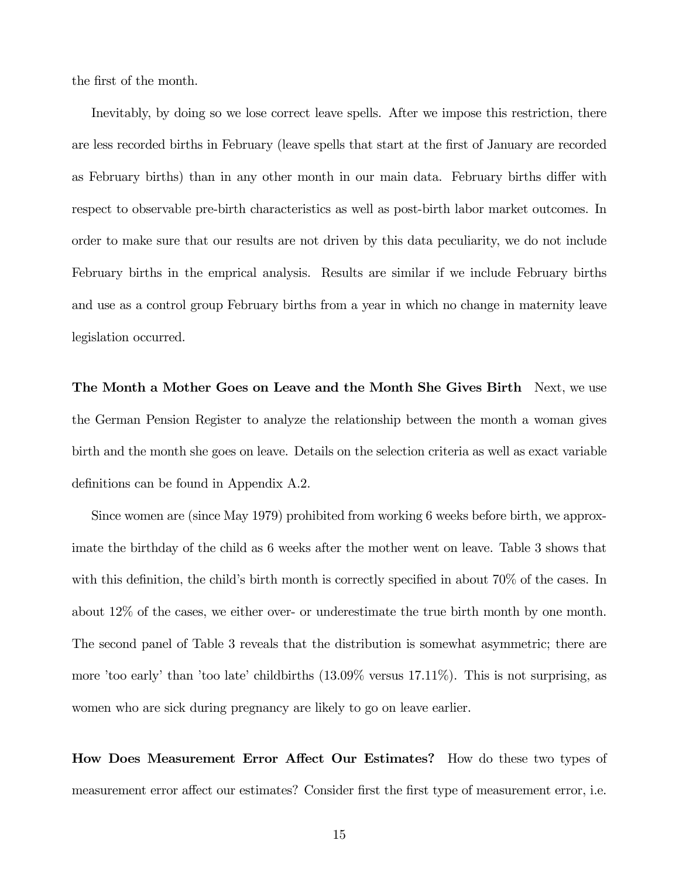the first of the month.

Inevitably, by doing so we lose correct leave spells. After we impose this restriction, there are less recorded births in February (leave spells that start at the first of January are recorded as February births) than in any other month in our main data. February births differ with respect to observable pre-birth characteristics as well as post-birth labor market outcomes. In order to make sure that our results are not driven by this data peculiarity, we do not include February births in the emprical analysis. Results are similar if we include February births and use as a control group February births from a year in which no change in maternity leave legislation occurred.

The Month a Mother Goes on Leave and the Month She Gives Birth Next, we use the German Pension Register to analyze the relationship between the month a woman gives birth and the month she goes on leave. Details on the selection criteria as well as exact variable definitions can be found in Appendix A.2.

Since women are (since May 1979) prohibited from working 6 weeks before birth, we approximate the birthday of the child as 6 weeks after the mother went on leave. Table 3 shows that with this definition, the child's birth month is correctly specified in about 70% of the cases. In about 12% of the cases, we either over- or underestimate the true birth month by one month. The second panel of Table 3 reveals that the distribution is somewhat asymmetric; there are more 'too early' than 'too late' childbirths (13.09% versus 17.11%). This is not surprising, as women who are sick during pregnancy are likely to go on leave earlier.

How Does Measurement Error Affect Our Estimates? How do these two types of measurement error affect our estimates? Consider first the first type of measurement error, i.e.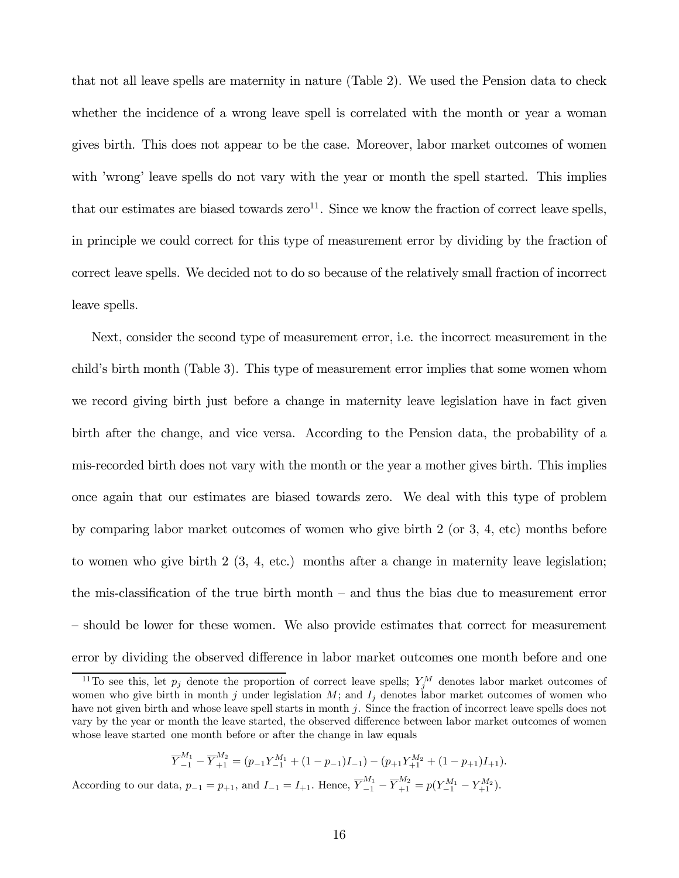that not all leave spells are maternity in nature (Table 2). We used the Pension data to check whether the incidence of a wrong leave spell is correlated with the month or year a woman gives birth. This does not appear to be the case. Moreover, labor market outcomes of women with 'wrong' leave spells do not vary with the year or month the spell started. This implies that our estimates are biased towards  $zero<sup>11</sup>$ . Since we know the fraction of correct leave spells, in principle we could correct for this type of measurement error by dividing by the fraction of correct leave spells. We decided not to do so because of the relatively small fraction of incorrect leave spells.

Next, consider the second type of measurement error, i.e. the incorrect measurement in the child's birth month (Table 3). This type of measurement error implies that some women whom we record giving birth just before a change in maternity leave legislation have in fact given birth after the change, and vice versa. According to the Pension data, the probability of a mis-recorded birth does not vary with the month or the year a mother gives birth. This implies once again that our estimates are biased towards zero. We deal with this type of problem by comparing labor market outcomes of women who give birth 2 (or 3, 4, etc) months before to women who give birth 2 (3, 4, etc.) months after a change in maternity leave legislation; the mis-classification of the true birth month — and thus the bias due to measurement error — should be lower for these women. We also provide estimates that correct for measurement error by dividing the observed difference in labor market outcomes one month before and one

$$
\overline{Y}_{-1}^{M_1} - \overline{Y}_{+1}^{M_2} = (p_{-1}Y_{-1}^{M_1} + (1 - p_{-1})I_{-1}) - (p_{+1}Y_{+1}^{M_2} + (1 - p_{+1})I_{+1}).
$$

According to our data,  $p_{-1} = p_{+1}$ , and  $I_{-1} = I_{+1}$ . Hence,  $\overline{Y}_{-1}^{M_1} - \overline{Y}_{+1}^{M_2} = p(Y_{-1}^{M_1} - Y_{+1}^{M_2})$ .

<sup>&</sup>lt;sup>11</sup>To see this, let  $p_j$  denote the proportion of correct leave spells;  $Y_j^M$  denotes labor market outcomes of women who give birth in month j under legislation M; and  $I_i$  denotes labor market outcomes of women who have not given birth and whose leave spell starts in month j. Since the fraction of incorrect leave spells does not vary by the year or month the leave started, the observed difference between labor market outcomes of women whose leave started one month before or after the change in law equals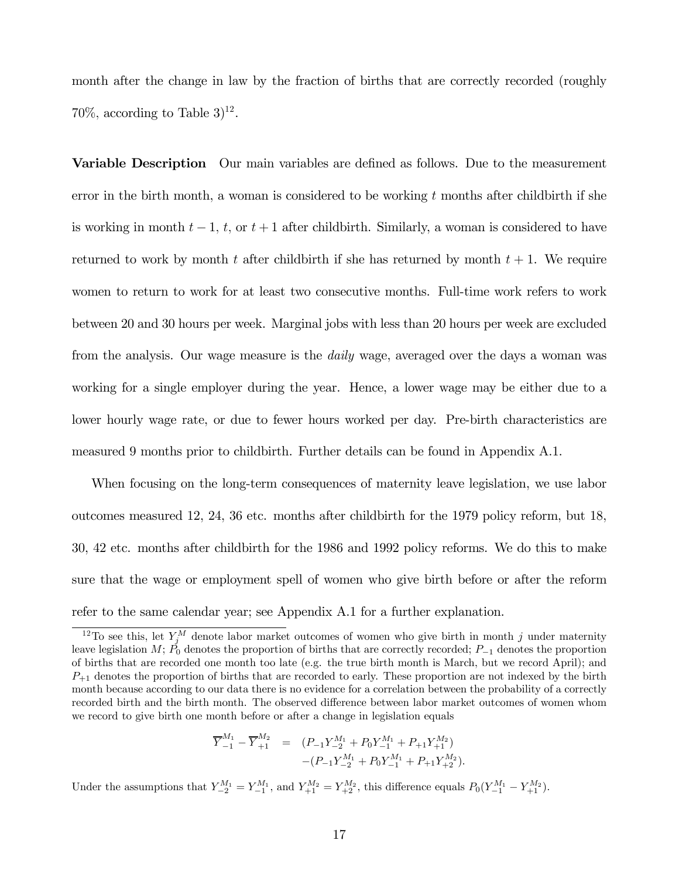month after the change in law by the fraction of births that are correctly recorded (roughly 70\%, according to Table  $3)^{12}$ .

**Variable Description** Our main variables are defined as follows. Due to the measurement error in the birth month, a woman is considered to be working  $t$  months after childbirth if she is working in month  $t-1$ ,  $t$ , or  $t+1$  after childbirth. Similarly, a woman is considered to have returned to work by month t after childbirth if she has returned by month  $t + 1$ . We require women to return to work for at least two consecutive months. Full-time work refers to work between 20 and 30 hours per week. Marginal jobs with less than 20 hours per week are excluded from the analysis. Our wage measure is the *daily* wage, averaged over the days a woman was working for a single employer during the year. Hence, a lower wage may be either due to a lower hourly wage rate, or due to fewer hours worked per day. Pre-birth characteristics are measured 9 months prior to childbirth. Further details can be found in Appendix A.1.

When focusing on the long-term consequences of maternity leave legislation, we use labor outcomes measured 12, 24, 36 etc. months after childbirth for the 1979 policy reform, but 18, 30, 42 etc. months after childbirth for the 1986 and 1992 policy reforms. We do this to make sure that the wage or employment spell of women who give birth before or after the reform refer to the same calendar year; see Appendix A.1 for a further explanation.

$$
\overline{Y}_{-1}^{M_1} - \overline{Y}_{+1}^{M_2} = (P_{-1}Y_{-2}^{M_1} + P_0Y_{-1}^{M_1} + P_{+1}Y_{+1}^{M_2})
$$
  
-
$$
(P_{-1}Y_{-2}^{M_1} + P_0Y_{-1}^{M_1} + P_{+1}Y_{+2}^{M_2}).
$$

Under the assumptions that  $Y_{-2}^{M_1} = Y_{-1}^{M_1}$ , and  $Y_{+1}^{M_2} = Y_{+2}^{M_2}$ , this difference equals  $P_0(Y_{-1}^{M_1} - Y_{+1}^{M_2})$ .

<sup>&</sup>lt;sup>12</sup>To see this, let  $Y_j^M$  denote labor market outcomes of women who give birth in month j under maternity leave legislation M;  $P_0$  denotes the proportion of births that are correctly recorded;  $P_{-1}$  denotes the proportion of births that are recorded one month too late (e.g. the true birth month is March, but we record April); and  $P_{+1}$  denotes the proportion of births that are recorded to early. These proportion are not indexed by the birth month because according to our data there is no evidence for a correlation between the probability of a correctly recorded birth and the birth month. The observed difference between labor market outcomes of women whom we record to give birth one month before or after a change in legislation equals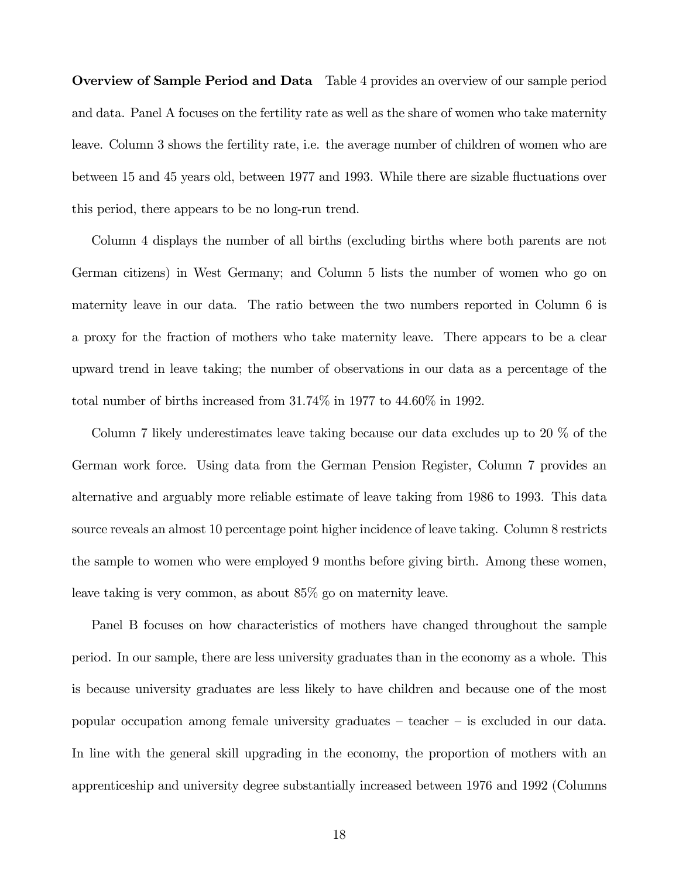Overview of Sample Period and Data Table 4 provides an overview of our sample period and data. Panel A focuses on the fertility rate as well as the share of women who take maternity leave. Column 3 shows the fertility rate, i.e. the average number of children of women who are between 15 and 45 years old, between 1977 and 1993. While there are sizable fluctuations over this period, there appears to be no long-run trend.

Column 4 displays the number of all births (excluding births where both parents are not German citizens) in West Germany; and Column 5 lists the number of women who go on maternity leave in our data. The ratio between the two numbers reported in Column 6 is a proxy for the fraction of mothers who take maternity leave. There appears to be a clear upward trend in leave taking; the number of observations in our data as a percentage of the total number of births increased from 31.74% in 1977 to 44.60% in 1992.

Column 7 likely underestimates leave taking because our data excludes up to 20 % of the German work force. Using data from the German Pension Register, Column 7 provides an alternative and arguably more reliable estimate of leave taking from 1986 to 1993. This data source reveals an almost 10 percentage point higher incidence of leave taking. Column 8 restricts the sample to women who were employed 9 months before giving birth. Among these women, leave taking is very common, as about 85% go on maternity leave.

Panel B focuses on how characteristics of mothers have changed throughout the sample period. In our sample, there are less university graduates than in the economy as a whole. This is because university graduates are less likely to have children and because one of the most popular occupation among female university graduates — teacher — is excluded in our data. In line with the general skill upgrading in the economy, the proportion of mothers with an apprenticeship and university degree substantially increased between 1976 and 1992 (Columns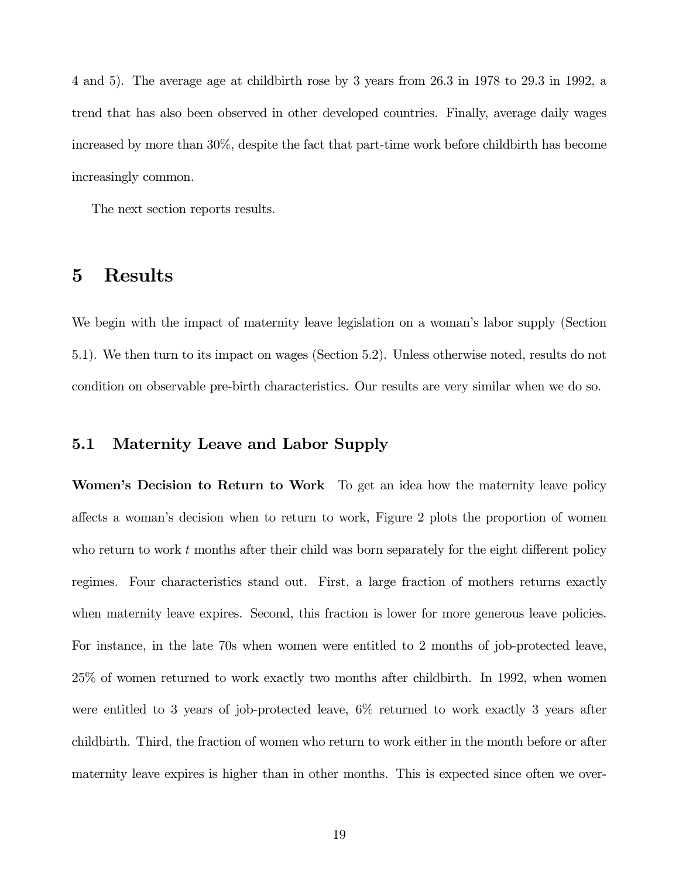4 and 5). The average age at childbirth rose by 3 years from 26.3 in 1978 to 29.3 in 1992, a trend that has also been observed in other developed countries. Finally, average daily wages increased by more than 30%, despite the fact that part-time work before childbirth has become increasingly common.

The next section reports results.

## 5 Results

We begin with the impact of maternity leave legislation on a woman's labor supply (Section 5.1). We then turn to its impact on wages (Section 5.2). Unless otherwise noted, results do not condition on observable pre-birth characteristics. Our results are very similar when we do so.

#### 5.1 Maternity Leave and Labor Supply

Women's Decision to Return to Work To get an idea how the maternity leave policy affects a woman's decision when to return to work, Figure 2 plots the proportion of women who return to work  $t$  months after their child was born separately for the eight different policy regimes. Four characteristics stand out. First, a large fraction of mothers returns exactly when maternity leave expires. Second, this fraction is lower for more generous leave policies. For instance, in the late 70s when women were entitled to 2 months of job-protected leave, 25% of women returned to work exactly two months after childbirth. In 1992, when women were entitled to 3 years of job-protected leave, 6% returned to work exactly 3 years after childbirth. Third, the fraction of women who return to work either in the month before or after maternity leave expires is higher than in other months. This is expected since often we over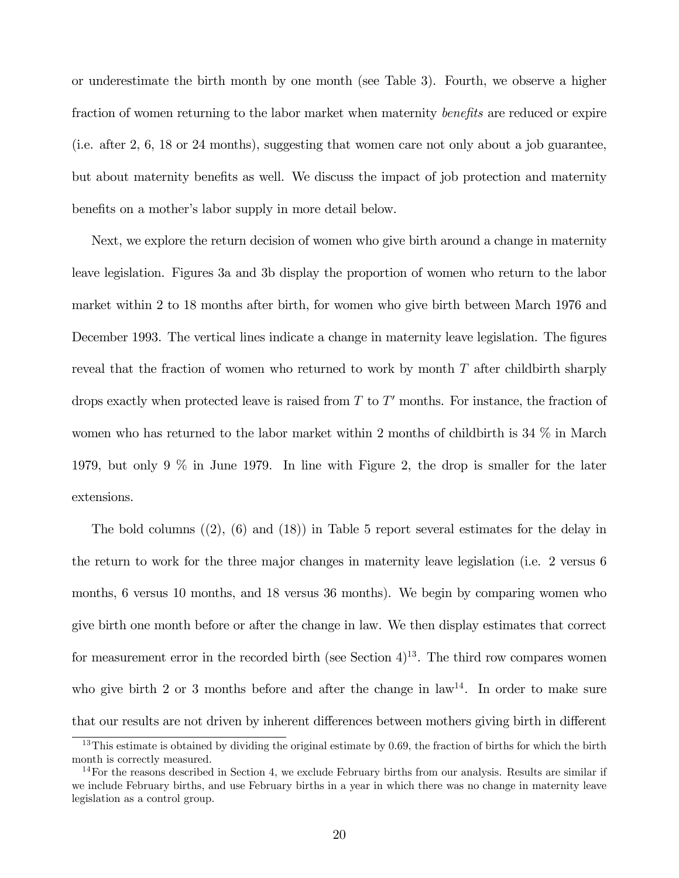or underestimate the birth month by one month (see Table 3). Fourth, we observe a higher fraction of women returning to the labor market when maternity *benefits* are reduced or expire (i.e. after 2, 6, 18 or 24 months), suggesting that women care not only about a job guarantee, but about maternity benefits as well. We discuss the impact of job protection and maternity benefits on a mother's labor supply in more detail below.

Next, we explore the return decision of women who give birth around a change in maternity leave legislation. Figures 3a and 3b display the proportion of women who return to the labor market within 2 to 18 months after birth, for women who give birth between March 1976 and December 1993. The vertical lines indicate a change in maternity leave legislation. The figures reveal that the fraction of women who returned to work by month  $T$  after childbirth sharply drops exactly when protected leave is raised from  $T$  to  $T'$  months. For instance, the fraction of women who has returned to the labor market within 2 months of childbirth is 34 % in March 1979, but only 9 % in June 1979. In line with Figure 2, the drop is smaller for the later extensions.

The bold columns  $(2)$ ,  $(6)$  and  $(18)$ ) in Table 5 report several estimates for the delay in the return to work for the three major changes in maternity leave legislation (i.e. 2 versus 6 months, 6 versus 10 months, and 18 versus 36 months). We begin by comparing women who give birth one month before or after the change in law. We then display estimates that correct for measurement error in the recorded birth (see Section  $4)^{13}$ . The third row compares women who give birth 2 or 3 months before and after the change in  $\text{law}^{14}$ . In order to make sure that our results are not driven by inherent differences between mothers giving birth in different

 $13$ This estimate is obtained by dividing the original estimate by 0.69, the fraction of births for which the birth month is correctly measured.

 $14$ For the reasons described in Section 4, we exclude February births from our analysis. Results are similar if we include February births, and use February births in a year in which there was no change in maternity leave legislation as a control group.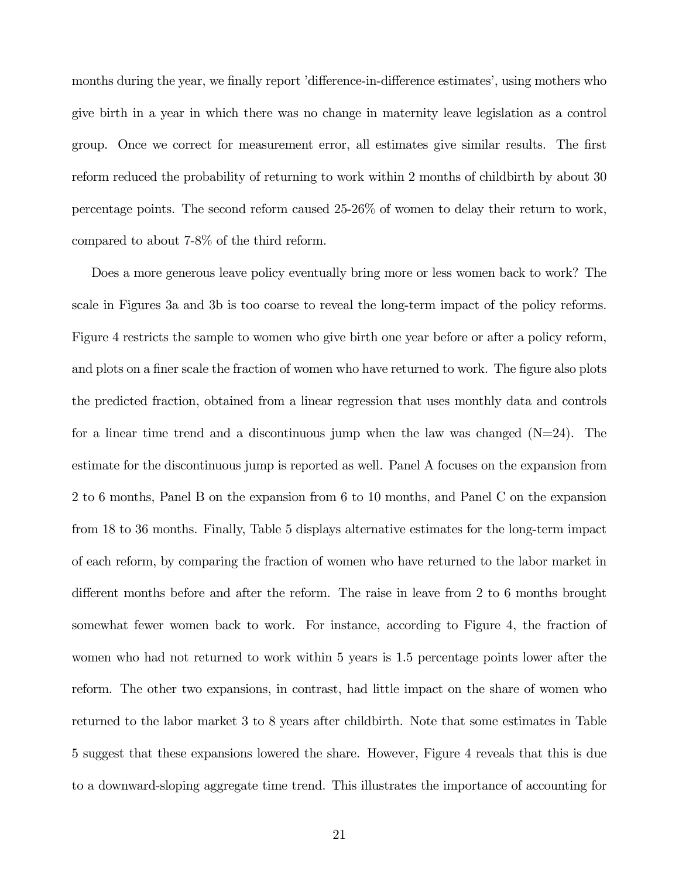months during the year, we finally report 'difference-in-difference estimates', using mothers who give birth in a year in which there was no change in maternity leave legislation as a control group. Once we correct for measurement error, all estimates give similar results. The first reform reduced the probability of returning to work within 2 months of childbirth by about 30 percentage points. The second reform caused 25-26% of women to delay their return to work, compared to about 7-8% of the third reform.

Does a more generous leave policy eventually bring more or less women back to work? The scale in Figures 3a and 3b is too coarse to reveal the long-term impact of the policy reforms. Figure 4 restricts the sample to women who give birth one year before or after a policy reform, and plots on a finer scale the fraction of women who have returned to work. The figure also plots the predicted fraction, obtained from a linear regression that uses monthly data and controls for a linear time trend and a discontinuous jump when the law was changed  $(N=24)$ . The estimate for the discontinuous jump is reported as well. Panel A focuses on the expansion from 2 to 6 months, Panel B on the expansion from 6 to 10 months, and Panel C on the expansion from 18 to 36 months. Finally, Table 5 displays alternative estimates for the long-term impact of each reform, by comparing the fraction of women who have returned to the labor market in different months before and after the reform. The raise in leave from 2 to 6 months brought somewhat fewer women back to work. For instance, according to Figure 4, the fraction of women who had not returned to work within 5 years is 1.5 percentage points lower after the reform. The other two expansions, in contrast, had little impact on the share of women who returned to the labor market 3 to 8 years after childbirth. Note that some estimates in Table 5 suggest that these expansions lowered the share. However, Figure 4 reveals that this is due to a downward-sloping aggregate time trend. This illustrates the importance of accounting for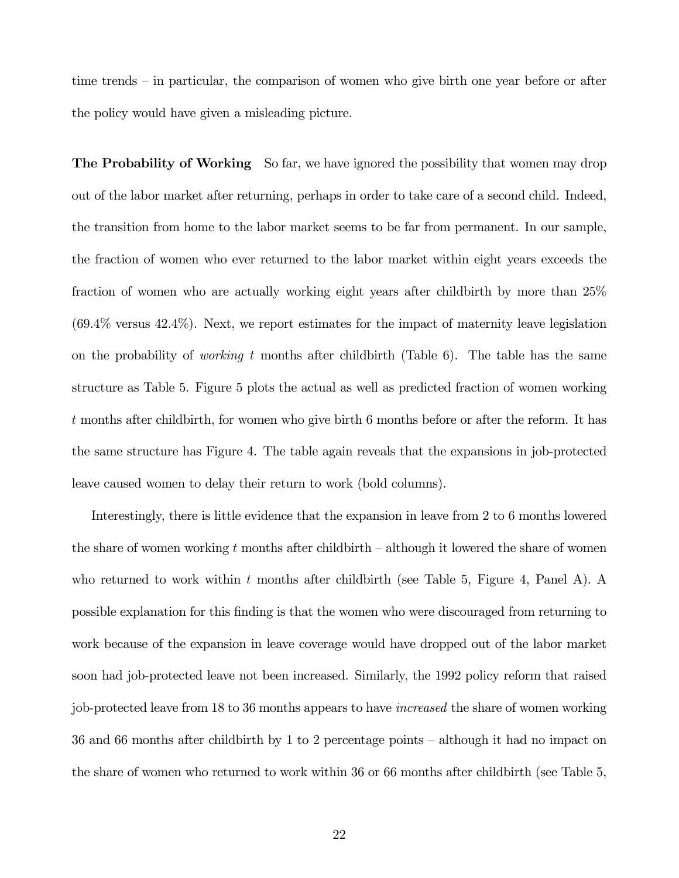time trends — in particular, the comparison of women who give birth one year before or after the policy would have given a misleading picture.

**The Probability of Working** So far, we have ignored the possibility that women may drop out of the labor market after returning, perhaps in order to take care of a second child. Indeed, the transition from home to the labor market seems to be far from permanent. In our sample, the fraction of women who ever returned to the labor market within eight years exceeds the fraction of women who are actually working eight years after childbirth by more than 25% (69.4% versus 42.4%). Next, we report estimates for the impact of maternity leave legislation on the probability of *working* t months after childbirth (Table 6). The table has the same structure as Table 5. Figure 5 plots the actual as well as predicted fraction of women working t months after childbirth, for women who give birth 6 months before or after the reform. It has the same structure has Figure 4. The table again reveals that the expansions in job-protected leave caused women to delay their return to work (bold columns).

Interestingly, there is little evidence that the expansion in leave from 2 to 6 months lowered the share of women working t months after childbirth  $-$  although it lowered the share of women who returned to work within t months after childbirth (see Table 5, Figure 4, Panel A). A possible explanation for this finding is that the women who were discouraged from returning to work because of the expansion in leave coverage would have dropped out of the labor market soon had job-protected leave not been increased. Similarly, the 1992 policy reform that raised job-protected leave from 18 to 36 months appears to have increased the share of women working 36 and 66 months after childbirth by 1 to 2 percentage points — although it had no impact on the share of women who returned to work within 36 or 66 months after childbirth (see Table 5,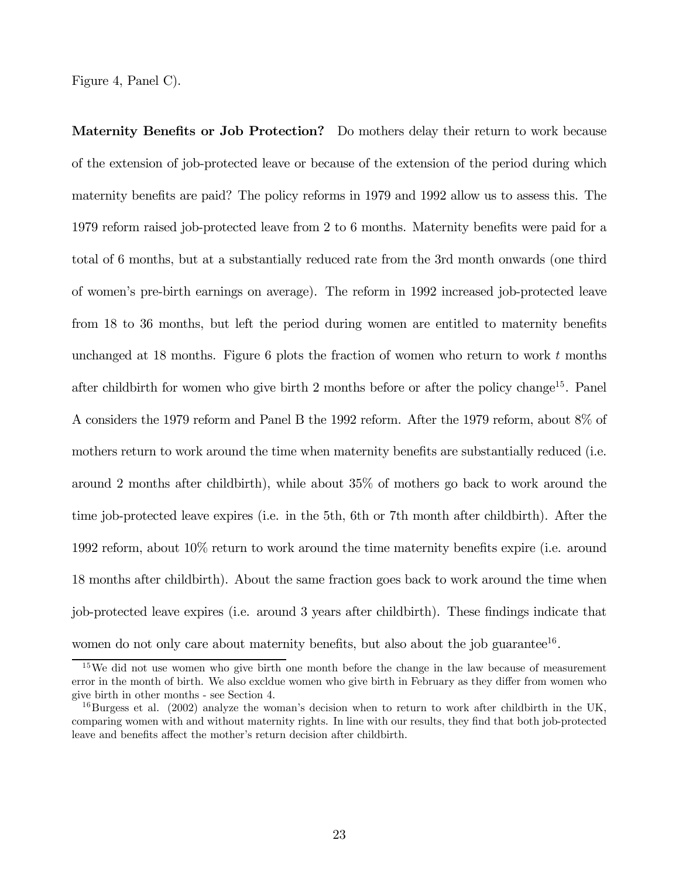Figure 4, Panel C).

Maternity Benefits or Job Protection? Do mothers delay their return to work because of the extension of job-protected leave or because of the extension of the period during which maternity benefits are paid? The policy reforms in 1979 and 1992 allow us to assess this. The 1979 reform raised job-protected leave from 2 to 6 months. Maternity benefits were paid for a total of 6 months, but at a substantially reduced rate from the 3rd month onwards (one third of women's pre-birth earnings on average). The reform in 1992 increased job-protected leave from 18 to 36 months, but left the period during women are entitled to maternity benefits unchanged at 18 months. Figure 6 plots the fraction of women who return to work  $t$  months after childbirth for women who give birth 2 months before or after the policy change<sup>15</sup>. Panel A considers the 1979 reform and Panel B the 1992 reform. After the 1979 reform, about 8% of mothers return to work around the time when maternity benefits are substantially reduced (i.e. around 2 months after childbirth), while about 35% of mothers go back to work around the time job-protected leave expires (i.e. in the 5th, 6th or 7th month after childbirth). After the 1992 reform, about 10% return to work around the time maternity benefits expire (i.e. around 18 months after childbirth). About the same fraction goes back to work around the time when job-protected leave expires (i.e. around 3 years after childbirth). These findings indicate that women do not only care about maternity benefits, but also about the job guarantee<sup>16</sup>.

<sup>&</sup>lt;sup>15</sup>We did not use women who give birth one month before the change in the law because of measurement error in the month of birth. We also excldue women who give birth in February as they differ from women who give birth in other months - see Section 4.

 $^{16}$ Burgess et al. (2002) analyze the woman's decision when to return to work after childbirth in the UK, comparing women with and without maternity rights. In line with our results, they find that both job-protected leave and benefits affect the mother's return decision after childbirth.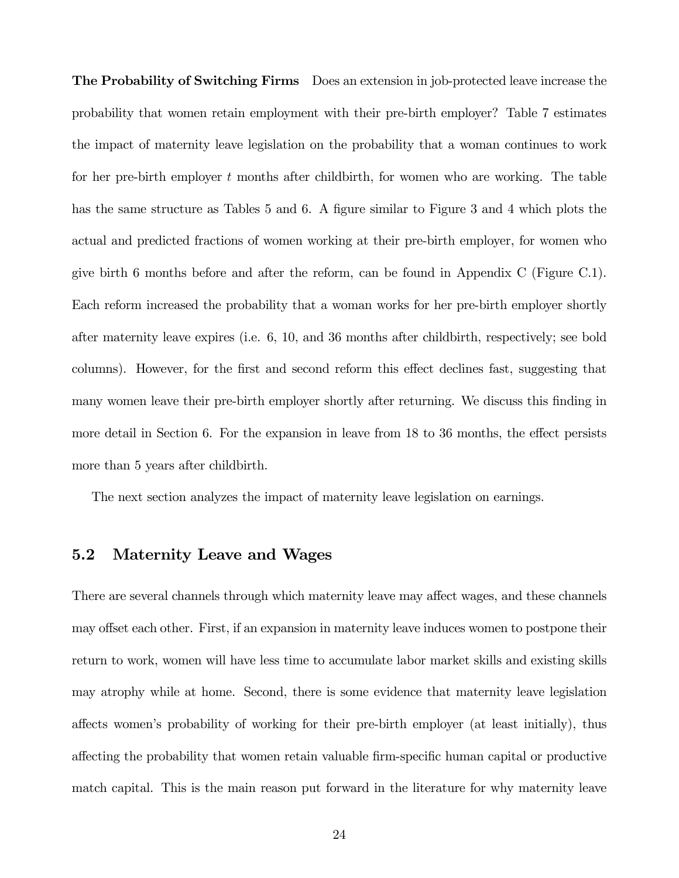The Probability of Switching Firms Does an extension in job-protected leave increase the probability that women retain employment with their pre-birth employer? Table 7 estimates the impact of maternity leave legislation on the probability that a woman continues to work for her pre-birth employer t months after childbirth, for women who are working. The table has the same structure as Tables 5 and 6. A figure similar to Figure 3 and 4 which plots the actual and predicted fractions of women working at their pre-birth employer, for women who give birth 6 months before and after the reform, can be found in Appendix C (Figure C.1). Each reform increased the probability that a woman works for her pre-birth employer shortly after maternity leave expires (i.e. 6, 10, and 36 months after childbirth, respectively; see bold columns). However, for the first and second reform this effect declines fast, suggesting that many women leave their pre-birth employer shortly after returning. We discuss this finding in more detail in Section 6. For the expansion in leave from 18 to 36 months, the effect persists more than 5 years after childbirth.

The next section analyzes the impact of maternity leave legislation on earnings.

#### 5.2 Maternity Leave and Wages

There are several channels through which maternity leave may affect wages, and these channels may offset each other. First, if an expansion in maternity leave induces women to postpone their return to work, women will have less time to accumulate labor market skills and existing skills may atrophy while at home. Second, there is some evidence that maternity leave legislation affects women's probability of working for their pre-birth employer (at least initially), thus affecting the probability that women retain valuable firm-specific human capital or productive match capital. This is the main reason put forward in the literature for why maternity leave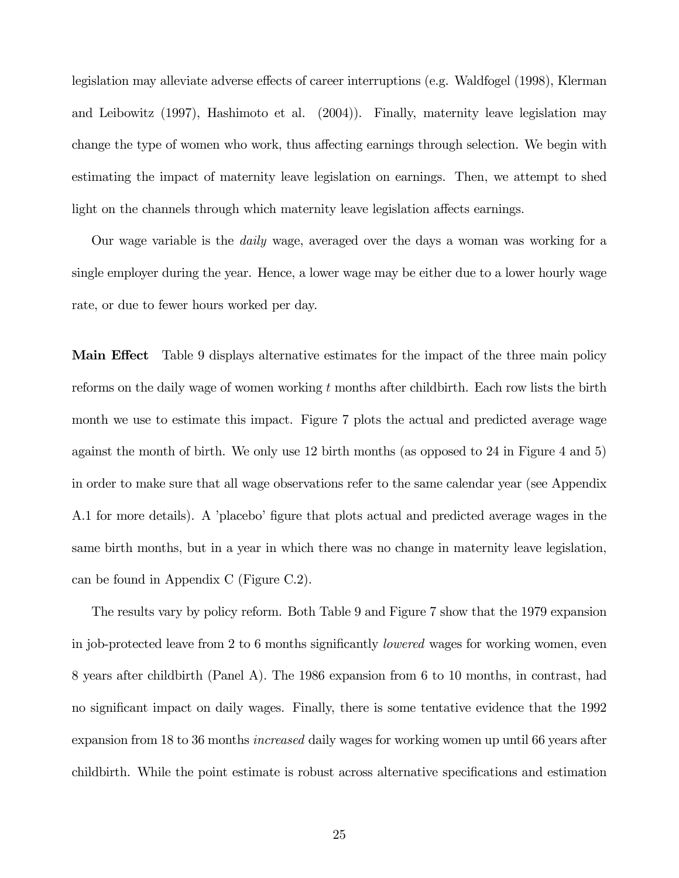legislation may alleviate adverse effects of career interruptions (e.g. Waldfogel (1998), Klerman and Leibowitz (1997), Hashimoto et al. (2004)). Finally, maternity leave legislation may change the type of women who work, thus affecting earnings through selection. We begin with estimating the impact of maternity leave legislation on earnings. Then, we attempt to shed light on the channels through which maternity leave legislation affects earnings.

Our wage variable is the daily wage, averaged over the days a woman was working for a single employer during the year. Hence, a lower wage may be either due to a lower hourly wage rate, or due to fewer hours worked per day.

Main Effect Table 9 displays alternative estimates for the impact of the three main policy reforms on the daily wage of women working  $t$  months after childbirth. Each row lists the birth month we use to estimate this impact. Figure 7 plots the actual and predicted average wage against the month of birth. We only use 12 birth months (as opposed to 24 in Figure 4 and 5) in order to make sure that all wage observations refer to the same calendar year (see Appendix A.1 for more details). A 'placebo' figure that plots actual and predicted average wages in the same birth months, but in a year in which there was no change in maternity leave legislation, can be found in Appendix C (Figure C.2).

The results vary by policy reform. Both Table 9 and Figure 7 show that the 1979 expansion in job-protected leave from 2 to 6 months significantly *lowered* wages for working women, even 8 years after childbirth (Panel A). The 1986 expansion from 6 to 10 months, in contrast, had no significant impact on daily wages. Finally, there is some tentative evidence that the 1992 expansion from 18 to 36 months *increased* daily wages for working women up until 66 years after childbirth. While the point estimate is robust across alternative specifications and estimation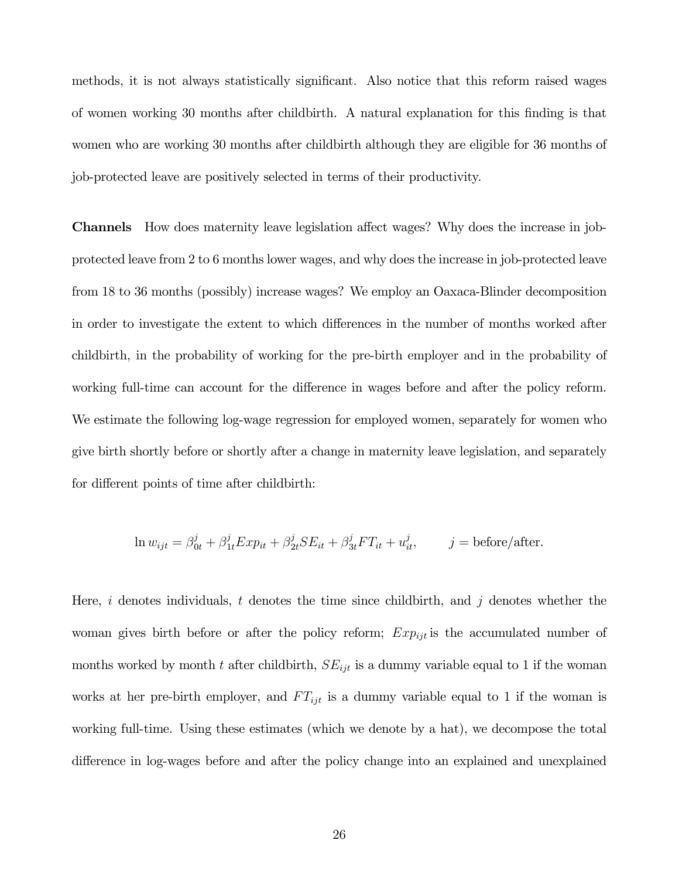methods, it is not always statistically significant. Also notice that this reform raised wages of women working 30 months after childbirth. A natural explanation for this finding is that women who are working 30 months after childbirth although they are eligible for 36 months of job-protected leave are positively selected in terms of their productivity.

Channels How does maternity leave legislation affect wages? Why does the increase in jobprotected leave from 2 to 6 months lower wages, and why does the increase in job-protected leave from 18 to 36 months (possibly) increase wages? We employ an Oaxaca-Blinder decomposition in order to investigate the extent to which differences in the number of months worked after childbirth, in the probability of working for the pre-birth employer and in the probability of working full-time can account for the difference in wages before and after the policy reform. We estimate the following log-wage regression for employed women, separately for women who give birth shortly before or shortly after a change in maternity leave legislation, and separately for different points of time after childbirth:

$$
\ln w_{ijt} = \beta_{0t}^j + \beta_{1t}^j Exp_{it} + \beta_{2t}^j SE_{it} + \beta_{3t}^j FT_{it} + u_{it}^j, \qquad j = \text{before/after}.
$$

Here, i denotes individuals, t denotes the time since childbirth, and j denotes whether the woman gives birth before or after the policy reform;  $Exp_{ijt}$  is the accumulated number of months worked by month t after childbirth,  $SE_{ijt}$  is a dummy variable equal to 1 if the woman works at her pre-birth employer, and  $FT_{ijt}$  is a dummy variable equal to 1 if the woman is working full-time. Using these estimates (which we denote by a hat), we decompose the total difference in log-wages before and after the policy change into an explained and unexplained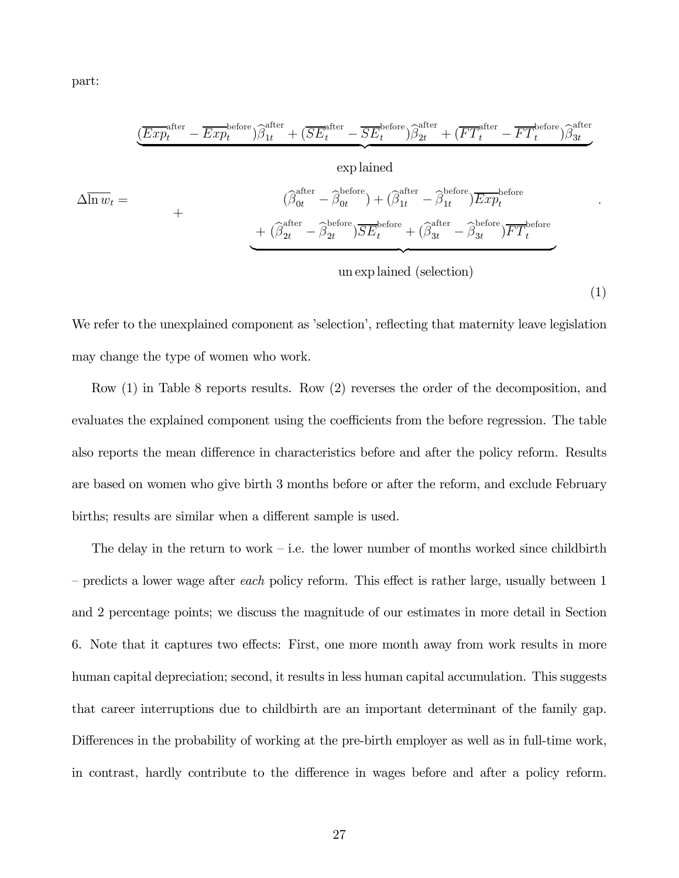part:

$$
\underbrace{\left(\overline{Exp}_t^{\text{after}} - \overline{Exp}_t^{\text{before}}\right) \widehat{\beta}_{1t}^{\text{after}} + \left(\overline{SE}_t^{\text{after}} - \overline{SE}_t^{\text{before}}\right) \widehat{\beta}_{2t}^{\text{after}} + \left(\overline{FT}_t^{\text{after}} - \overline{FT}_t^{\text{before}}\right) \widehat{\beta}_{3t}^{\text{after}}}{\exp\left[\overline{\beta}_{0t}^{\text{after}} - \widehat{\beta}_{0t}^{\text{before}}\right) + \left(\widehat{\beta}_{1t}^{\text{after}} - \widehat{\beta}_{1t}^{\text{before}}\right) \overline{Exp}_t^{\text{before}} + \left(\widehat{\beta}_{2t}^{\text{after}} - \widehat{\beta}_{2t}^{\text{before}}\right) \overline{SE}_t^{\text{before}} + \left(\widehat{\beta}_{3t}^{\text{after}} - \widehat{\beta}_{3t}^{\text{before}}\right) \overline{FT}_t^{\text{before}}}
$$
\nun exp lained (selection)

We refer to the unexplained component as 'selection', reflecting that maternity leave legislation may change the type of women who work.

(1)

Row (1) in Table 8 reports results. Row (2) reverses the order of the decomposition, and evaluates the explained component using the coefficients from the before regression. The table also reports the mean difference in characteristics before and after the policy reform. Results are based on women who give birth 3 months before or after the reform, and exclude February births; results are similar when a different sample is used.

The delay in the return to work – i.e. the lower number of months worked since childbirth  $-$  predicts a lower wage after *each* policy reform. This effect is rather large, usually between 1 and 2 percentage points; we discuss the magnitude of our estimates in more detail in Section 6. Note that it captures two effects: First, one more month away from work results in more human capital depreciation; second, it results in less human capital accumulation. This suggests that career interruptions due to childbirth are an important determinant of the family gap. Differences in the probability of working at the pre-birth employer as well as in full-time work, in contrast, hardly contribute to the difference in wages before and after a policy reform.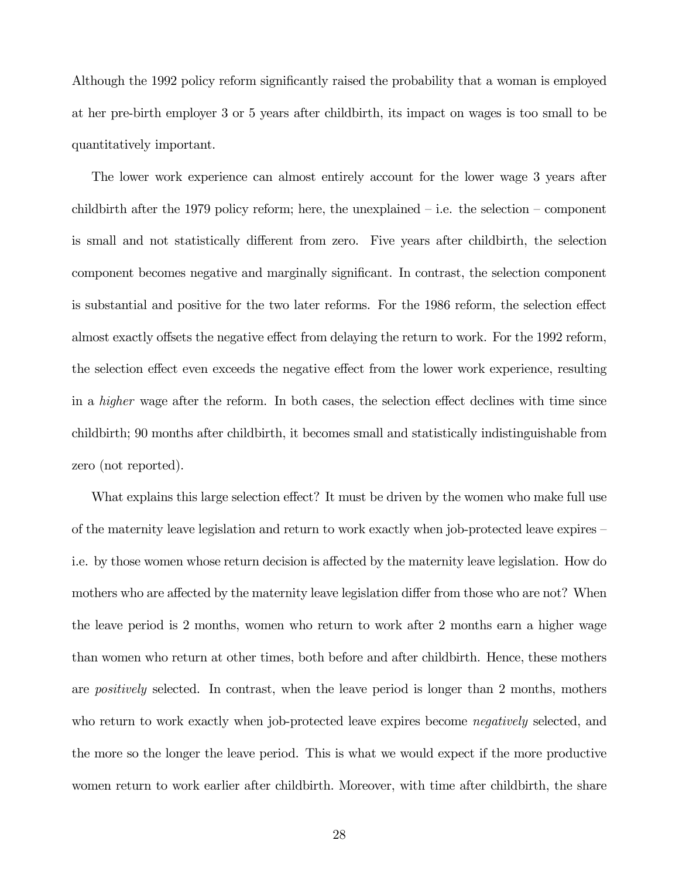Although the 1992 policy reform significantly raised the probability that a woman is employed at her pre-birth employer 3 or 5 years after childbirth, its impact on wages is too small to be quantitatively important.

The lower work experience can almost entirely account for the lower wage 3 years after childbirth after the 1979 policy reform; here, the unexplained  $-$  i.e. the selection  $-$  component is small and not statistically different from zero. Five years after childbirth, the selection component becomes negative and marginally significant. In contrast, the selection component is substantial and positive for the two later reforms. For the 1986 reform, the selection effect almost exactly offsets the negative effect from delaying the return to work. For the 1992 reform, the selection effect even exceeds the negative effect from the lower work experience, resulting in a higher wage after the reform. In both cases, the selection effect declines with time since childbirth; 90 months after childbirth, it becomes small and statistically indistinguishable from zero (not reported).

What explains this large selection effect? It must be driven by the women who make full use of the maternity leave legislation and return to work exactly when job-protected leave expires i.e. by those women whose return decision is affected by the maternity leave legislation. How do mothers who are affected by the maternity leave legislation differ from those who are not? When the leave period is 2 months, women who return to work after 2 months earn a higher wage than women who return at other times, both before and after childbirth. Hence, these mothers are *positively* selected. In contrast, when the leave period is longer than 2 months, mothers who return to work exactly when job-protected leave expires become *negatively* selected, and the more so the longer the leave period. This is what we would expect if the more productive women return to work earlier after childbirth. Moreover, with time after childbirth, the share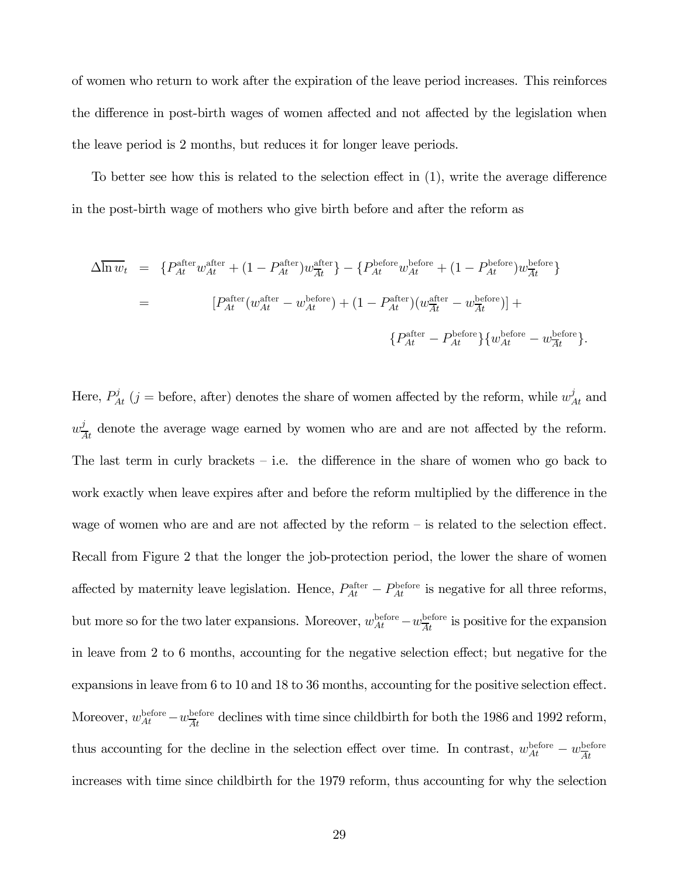of women who return to work after the expiration of the leave period increases. This reinforces the difference in post-birth wages of women affected and not affected by the legislation when the leave period is 2 months, but reduces it for longer leave periods.

To better see how this is related to the selection effect in (1), write the average difference in the post-birth wage of mothers who give birth before and after the reform as

$$
\Delta \overline{\ln w_t} = \left\{ P_{At}^{\text{after}} w_{At}^{\text{after}} + (1 - P_{At}^{\text{after}}) w_{At}^{\text{after}} \right\} - \left\{ P_{At}^{\text{before}} w_{At}^{\text{before}} + (1 - P_{At}^{\text{before}}) w_{At}^{\text{before}} \right\}
$$
\n
$$
= \left[ P_{At}^{\text{after}} (w_{At}^{\text{after}} - w_{At}^{\text{before}}) + (1 - P_{At}^{\text{after}}) (w_{At}^{\text{after}} - w_{At}^{\text{before}}) \right] +
$$
\n
$$
\left\{ P_{At}^{\text{after}} - P_{At}^{\text{before}} \right\} \left\{ w_{At}^{\text{before}} - w_{At}^{\text{before}} \right\}.
$$

Here,  $P_{At}^{j}$  (j = before, after) denotes the share of women affected by the reform, while  $w_{At}^{j}$  and  $w_{\overline{A}t}^j$  denote the average wage earned by women who are and are not affected by the reform. The last term in curly brackets — i.e. the difference in the share of women who go back to work exactly when leave expires after and before the reform multiplied by the difference in the wage of women who are and are not affected by the reform — is related to the selection effect. Recall from Figure 2 that the longer the job-protection period, the lower the share of women affected by maternity leave legislation. Hence,  $P_{At}^{\text{after}} - P_{At}^{\text{before}}$  is negative for all three reforms, but more so for the two later expansions. Moreover,  $w_{At}^{\text{before}} - w_{At}^{\text{before}}$  is positive for the expansion in leave from 2 to 6 months, accounting for the negative selection effect; but negative for the expansions in leave from 6 to 10 and 18 to 36 months, accounting for the positive selection effect. Moreover,  $w_{At}^{\text{before}} - w_{\overline{At}}^{\text{before}}$  declines with time since childbirth for both the 1986 and 1992 reform, thus accounting for the decline in the selection effect over time. In contrast,  $w_{At}^{\text{before}} - w_{At}^{\text{before}}$ increases with time since childbirth for the 1979 reform, thus accounting for why the selection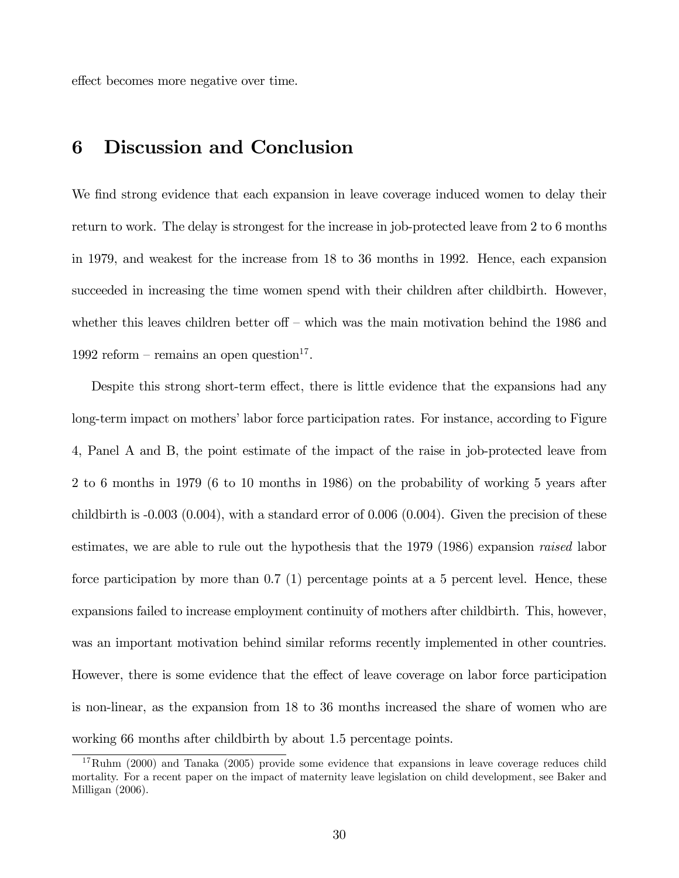effect becomes more negative over time.

## 6 Discussion and Conclusion

We find strong evidence that each expansion in leave coverage induced women to delay their return to work. The delay is strongest for the increase in job-protected leave from 2 to 6 months in 1979, and weakest for the increase from 18 to 36 months in 1992. Hence, each expansion succeeded in increasing the time women spend with their children after childbirth. However, whether this leaves children better off – which was the main motivation behind the 1986 and 1992 reform – remains an open question<sup>17</sup>.

Despite this strong short-term effect, there is little evidence that the expansions had any long-term impact on mothers' labor force participation rates. For instance, according to Figure 4, Panel A and B, the point estimate of the impact of the raise in job-protected leave from 2 to 6 months in 1979 (6 to 10 months in 1986) on the probability of working 5 years after childbirth is  $-0.003$   $(0.004)$ , with a standard error of  $0.006$   $(0.004)$ . Given the precision of these estimates, we are able to rule out the hypothesis that the 1979 (1986) expansion raised labor force participation by more than 0.7 (1) percentage points at a 5 percent level. Hence, these expansions failed to increase employment continuity of mothers after childbirth. This, however, was an important motivation behind similar reforms recently implemented in other countries. However, there is some evidence that the effect of leave coverage on labor force participation is non-linear, as the expansion from 18 to 36 months increased the share of women who are working 66 months after childbirth by about 1.5 percentage points.

<sup>&</sup>lt;sup>17</sup>Ruhm (2000) and Tanaka (2005) provide some evidence that expansions in leave coverage reduces child mortality. For a recent paper on the impact of maternity leave legislation on child development, see Baker and Milligan (2006).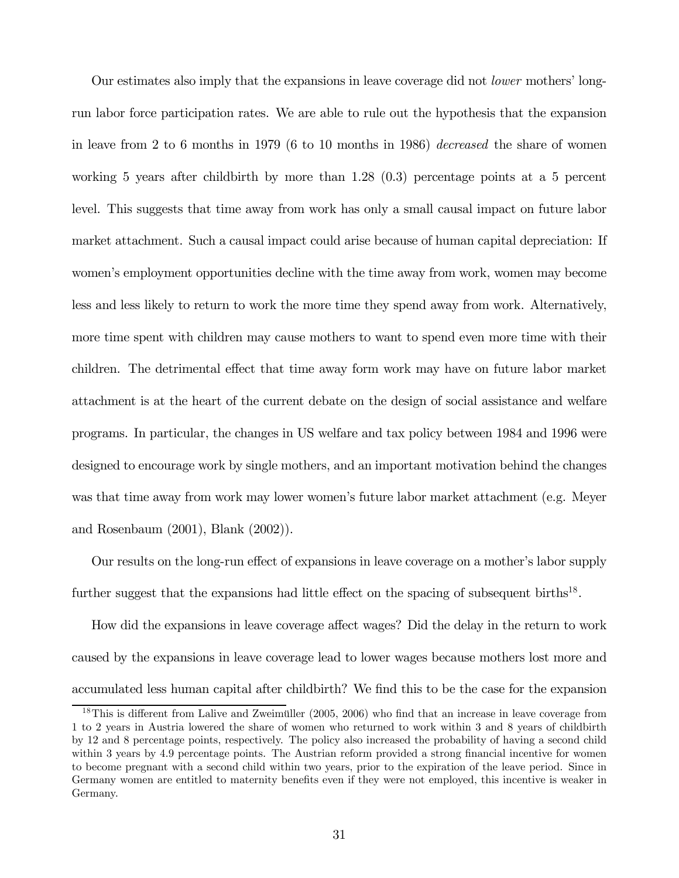Our estimates also imply that the expansions in leave coverage did not lower mothers' longrun labor force participation rates. We are able to rule out the hypothesis that the expansion in leave from 2 to 6 months in 1979 (6 to 10 months in 1986) decreased the share of women working 5 years after childbirth by more than 1.28 (0.3) percentage points at a 5 percent level. This suggests that time away from work has only a small causal impact on future labor market attachment. Such a causal impact could arise because of human capital depreciation: If women's employment opportunities decline with the time away from work, women may become less and less likely to return to work the more time they spend away from work. Alternatively, more time spent with children may cause mothers to want to spend even more time with their children. The detrimental effect that time away form work may have on future labor market attachment is at the heart of the current debate on the design of social assistance and welfare programs. In particular, the changes in US welfare and tax policy between 1984 and 1996 were designed to encourage work by single mothers, and an important motivation behind the changes was that time away from work may lower women's future labor market attachment (e.g. Meyer and Rosenbaum (2001), Blank (2002)).

Our results on the long-run effect of expansions in leave coverage on a mother's labor supply further suggest that the expansions had little effect on the spacing of subsequent births<sup>18</sup>.

How did the expansions in leave coverage affect wages? Did the delay in the return to work caused by the expansions in leave coverage lead to lower wages because mothers lost more and accumulated less human capital after childbirth? We find this to be the case for the expansion

<sup>&</sup>lt;sup>18</sup>This is different from Lalive and Zweimüller (2005, 2006) who find that an increase in leave coverage from 1 to 2 years in Austria lowered the share of women who returned to work within 3 and 8 years of childbirth by 12 and 8 percentage points, respectively. The policy also increased the probability of having a second child within 3 years by 4.9 percentage points. The Austrian reform provided a strong financial incentive for women to become pregnant with a second child within two years, prior to the expiration of the leave period. Since in Germany women are entitled to maternity benefits even if they were not employed, this incentive is weaker in Germany.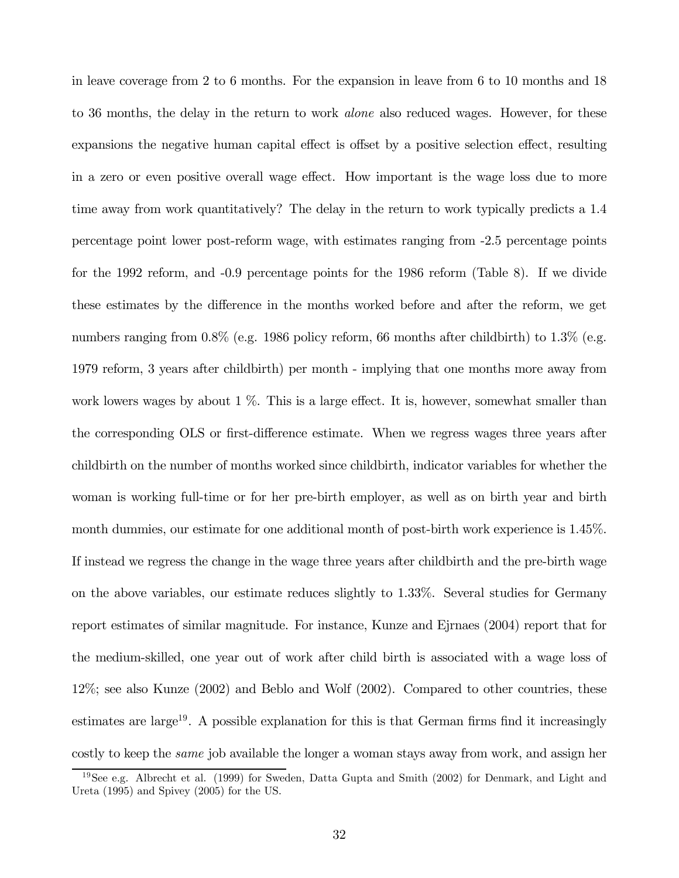in leave coverage from 2 to 6 months. For the expansion in leave from 6 to 10 months and 18 to 36 months, the delay in the return to work *alone* also reduced wages. However, for these expansions the negative human capital effect is offset by a positive selection effect, resulting in a zero or even positive overall wage effect. How important is the wage loss due to more time away from work quantitatively? The delay in the return to work typically predicts a 1.4 percentage point lower post-reform wage, with estimates ranging from -2.5 percentage points for the 1992 reform, and -0.9 percentage points for the 1986 reform (Table 8). If we divide these estimates by the difference in the months worked before and after the reform, we get numbers ranging from 0.8% (e.g. 1986 policy reform, 66 months after childbirth) to 1.3% (e.g. 1979 reform, 3 years after childbirth) per month - implying that one months more away from work lowers wages by about  $1\%$ . This is a large effect. It is, however, somewhat smaller than the corresponding OLS or first-difference estimate. When we regress wages three years after childbirth on the number of months worked since childbirth, indicator variables for whether the woman is working full-time or for her pre-birth employer, as well as on birth year and birth month dummies, our estimate for one additional month of post-birth work experience is 1.45%. If instead we regress the change in the wage three years after childbirth and the pre-birth wage on the above variables, our estimate reduces slightly to 1.33%. Several studies for Germany report estimates of similar magnitude. For instance, Kunze and Ejrnaes (2004) report that for the medium-skilled, one year out of work after child birth is associated with a wage loss of 12%; see also Kunze (2002) and Beblo and Wolf (2002). Compared to other countries, these estimates are large<sup>19</sup>. A possible explanation for this is that German firms find it increasingly costly to keep the same job available the longer a woman stays away from work, and assign her

<sup>19</sup>See e.g. Albrecht et al. (1999) for Sweden, Datta Gupta and Smith (2002) for Denmark, and Light and Ureta (1995) and Spivey (2005) for the US.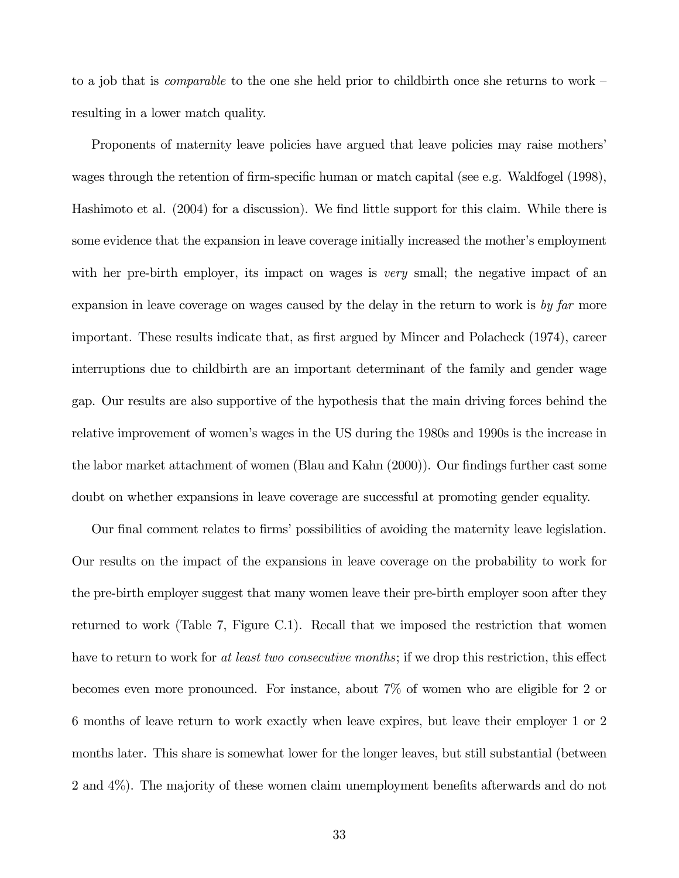to a job that is *comparable* to the one she held prior to childbirth once she returns to work – resulting in a lower match quality.

Proponents of maternity leave policies have argued that leave policies may raise mothers' wages through the retention of firm-specific human or match capital (see e.g. Waldfogel (1998), Hashimoto et al. (2004) for a discussion). We find little support for this claim. While there is some evidence that the expansion in leave coverage initially increased the mother's employment with her pre-birth employer, its impact on wages is *very* small; the negative impact of an expansion in leave coverage on wages caused by the delay in the return to work is by far more important. These results indicate that, as first argued by Mincer and Polacheck (1974), career interruptions due to childbirth are an important determinant of the family and gender wage gap. Our results are also supportive of the hypothesis that the main driving forces behind the relative improvement of women's wages in the US during the 1980s and 1990s is the increase in the labor market attachment of women (Blau and Kahn (2000)). Our findings further cast some doubt on whether expansions in leave coverage are successful at promoting gender equality.

Our final comment relates to firms' possibilities of avoiding the maternity leave legislation. Our results on the impact of the expansions in leave coverage on the probability to work for the pre-birth employer suggest that many women leave their pre-birth employer soon after they returned to work (Table 7, Figure C.1). Recall that we imposed the restriction that women have to return to work for at least two consecutive months; if we drop this restriction, this effect becomes even more pronounced. For instance, about 7% of women who are eligible for 2 or 6 months of leave return to work exactly when leave expires, but leave their employer 1 or 2 months later. This share is somewhat lower for the longer leaves, but still substantial (between 2 and 4%). The majority of these women claim unemployment benefits afterwards and do not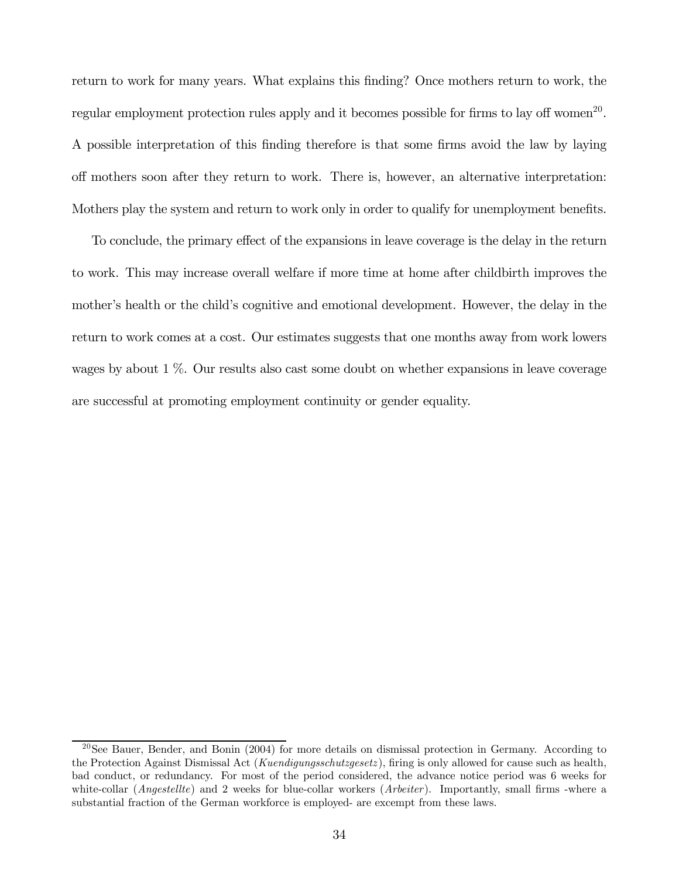return to work for many years. What explains this finding? Once mothers return to work, the regular employment protection rules apply and it becomes possible for firms to lay off women<sup>20</sup>. A possible interpretation of this finding therefore is that some firms avoid the law by laying off mothers soon after they return to work. There is, however, an alternative interpretation: Mothers play the system and return to work only in order to qualify for unemployment benefits.

To conclude, the primary effect of the expansions in leave coverage is the delay in the return to work. This may increase overall welfare if more time at home after childbirth improves the mother's health or the child's cognitive and emotional development. However, the delay in the return to work comes at a cost. Our estimates suggests that one months away from work lowers wages by about 1 %. Our results also cast some doubt on whether expansions in leave coverage are successful at promoting employment continuity or gender equality.

 $20$ See Bauer, Bender, and Bonin (2004) for more details on dismissal protection in Germany. According to the Protection Against Dismissal Act (Kuendigungsschutzgesetz), firing is only allowed for cause such as health, bad conduct, or redundancy. For most of the period considered, the advance notice period was 6 weeks for white-collar (*Angestellte*) and 2 weeks for blue-collar workers (*Arbeiter*). Importantly, small firms -where a substantial fraction of the German workforce is employed- are excempt from these laws.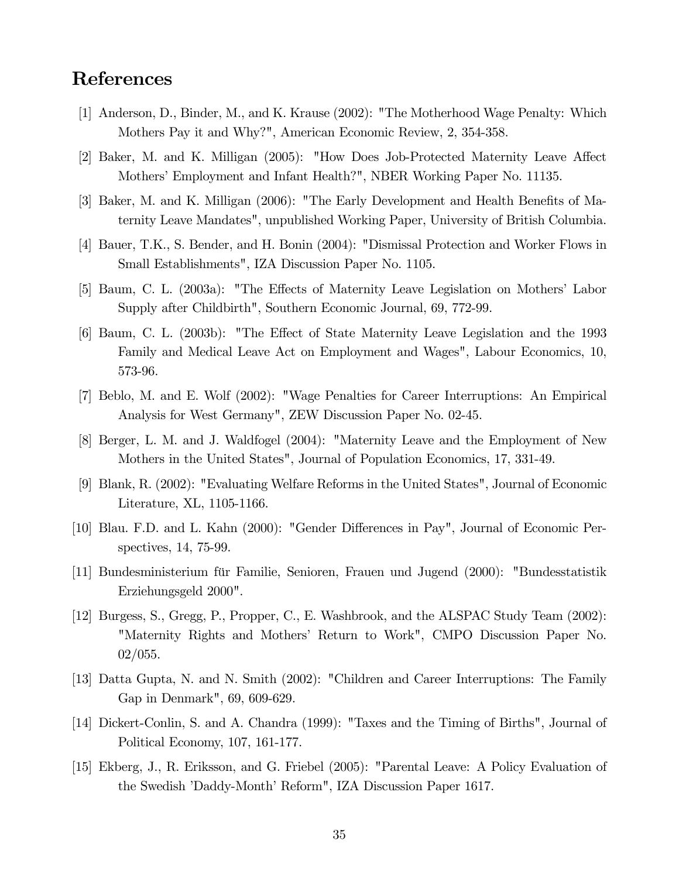### References

- [1] Anderson, D., Binder, M., and K. Krause (2002): "The Motherhood Wage Penalty: Which Mothers Pay it and Why?", American Economic Review, 2, 354-358.
- [2] Baker, M. and K. Milligan (2005): "How Does Job-Protected Maternity Leave Affect Mothers' Employment and Infant Health?", NBER Working Paper No. 11135.
- [3] Baker, M. and K. Milligan (2006): "The Early Development and Health Benefits of Maternity Leave Mandates", unpublished Working Paper, University of British Columbia.
- [4] Bauer, T.K., S. Bender, and H. Bonin (2004): "Dismissal Protection and Worker Flows in Small Establishments", IZA Discussion Paper No. 1105.
- [5] Baum, C. L. (2003a): "The Effects of Maternity Leave Legislation on Mothers' Labor Supply after Childbirth", Southern Economic Journal, 69, 772-99.
- [6] Baum, C. L. (2003b): "The Effect of State Maternity Leave Legislation and the 1993 Family and Medical Leave Act on Employment and Wages", Labour Economics, 10, 573-96.
- [7] Beblo, M. and E. Wolf (2002): "Wage Penalties for Career Interruptions: An Empirical Analysis for West Germany", ZEW Discussion Paper No. 02-45.
- [8] Berger, L. M. and J. Waldfogel (2004): "Maternity Leave and the Employment of New Mothers in the United States", Journal of Population Economics, 17, 331-49.
- [9] Blank, R. (2002): "Evaluating Welfare Reforms in the United States", Journal of Economic Literature, XL, 1105-1166.
- [10] Blau. F.D. and L. Kahn (2000): "Gender Differences in Pay", Journal of Economic Perspectives, 14, 75-99.
- [11] Bundesministerium für Familie, Senioren, Frauen und Jugend (2000): "Bundesstatistik Erziehungsgeld 2000".
- [12] Burgess, S., Gregg, P., Propper, C., E. Washbrook, and the ALSPAC Study Team (2002): "Maternity Rights and Mothers' Return to Work", CMPO Discussion Paper No. 02/055.
- [13] Datta Gupta, N. and N. Smith (2002): "Children and Career Interruptions: The Family Gap in Denmark", 69, 609-629.
- [14] Dickert-Conlin, S. and A. Chandra (1999): "Taxes and the Timing of Births", Journal of Political Economy, 107, 161-177.
- [15] Ekberg, J., R. Eriksson, and G. Friebel (2005): "Parental Leave: A Policy Evaluation of the Swedish 'Daddy-Month' Reform", IZA Discussion Paper 1617.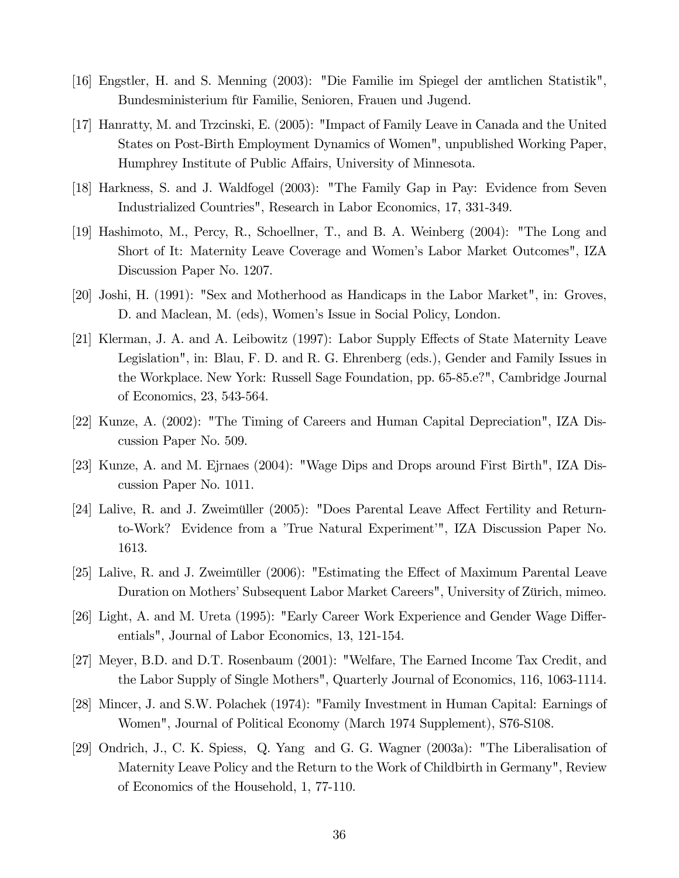- [16] Engstler, H. and S. Menning (2003): "Die Familie im Spiegel der amtlichen Statistik", Bundesministerium für Familie, Senioren, Frauen und Jugend.
- [17] Hanratty, M. and Trzcinski, E. (2005): "Impact of Family Leave in Canada and the United States on Post-Birth Employment Dynamics of Women", unpublished Working Paper, Humphrey Institute of Public Affairs, University of Minnesota.
- [18] Harkness, S. and J. Waldfogel (2003): "The Family Gap in Pay: Evidence from Seven Industrialized Countries", Research in Labor Economics, 17, 331-349.
- [19] Hashimoto, M., Percy, R., Schoellner, T., and B. A. Weinberg (2004): "The Long and Short of It: Maternity Leave Coverage and Women's Labor Market Outcomes", IZA Discussion Paper No. 1207.
- [20] Joshi, H. (1991): "Sex and Motherhood as Handicaps in the Labor Market", in: Groves, D. and Maclean, M. (eds), Women's Issue in Social Policy, London.
- [21] Klerman, J. A. and A. Leibowitz (1997): Labor Supply Effects of State Maternity Leave Legislation", in: Blau, F. D. and R. G. Ehrenberg (eds.), Gender and Family Issues in the Workplace. New York: Russell Sage Foundation, pp. 65-85.e?", Cambridge Journal of Economics, 23, 543-564.
- [22] Kunze, A. (2002): "The Timing of Careers and Human Capital Depreciation", IZA Discussion Paper No. 509.
- [23] Kunze, A. and M. Ejrnaes (2004): "Wage Dips and Drops around First Birth", IZA Discussion Paper No. 1011.
- [24] Lalive, R. and J. Zweimüller (2005): "Does Parental Leave Affect Fertility and Returnto-Work? Evidence from a 'True Natural Experiment'", IZA Discussion Paper No. 1613.
- [25] Lalive, R. and J. Zweimüller (2006): "Estimating the Effect of Maximum Parental Leave Duration on Mothers' Subsequent Labor Market Careers", University of Zürich, mimeo.
- [26] Light, A. and M. Ureta (1995): "Early Career Work Experience and Gender Wage Differentials", Journal of Labor Economics, 13, 121-154.
- [27] Meyer, B.D. and D.T. Rosenbaum (2001): "Welfare, The Earned Income Tax Credit, and the Labor Supply of Single Mothers", Quarterly Journal of Economics, 116, 1063-1114.
- [28] Mincer, J. and S.W. Polachek (1974): "Family Investment in Human Capital: Earnings of Women", Journal of Political Economy (March 1974 Supplement), S76-S108.
- [29] Ondrich, J., C. K. Spiess, Q. Yang and G. G. Wagner (2003a): "The Liberalisation of Maternity Leave Policy and the Return to the Work of Childbirth in Germany", Review of Economics of the Household, 1, 77-110.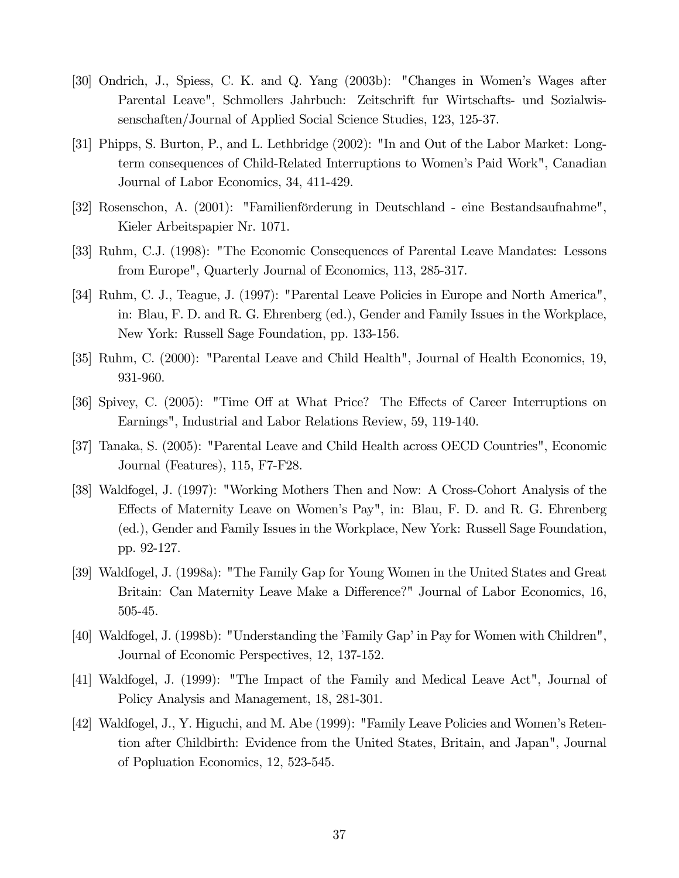- [30] Ondrich, J., Spiess, C. K. and Q. Yang (2003b): "Changes in Women's Wages after Parental Leave", Schmollers Jahrbuch: Zeitschrift fur Wirtschafts- und Sozialwissenschaften/Journal of Applied Social Science Studies, 123, 125-37.
- [31] Phipps, S. Burton, P., and L. Lethbridge (2002): "In and Out of the Labor Market: Longterm consequences of Child-Related Interruptions to Women's Paid Work", Canadian Journal of Labor Economics, 34, 411-429.
- [32] Rosenschon, A. (2001): "Familienförderung in Deutschland eine Bestandsaufnahme", Kieler Arbeitspapier Nr. 1071.
- [33] Ruhm, C.J. (1998): "The Economic Consequences of Parental Leave Mandates: Lessons from Europe", Quarterly Journal of Economics, 113, 285-317.
- [34] Ruhm, C. J., Teague, J. (1997): "Parental Leave Policies in Europe and North America", in: Blau, F. D. and R. G. Ehrenberg (ed.), Gender and Family Issues in the Workplace, New York: Russell Sage Foundation, pp. 133-156.
- [35] Ruhm, C. (2000): "Parental Leave and Child Health", Journal of Health Economics, 19, 931-960.
- [36] Spivey, C. (2005): "Time Off at What Price? The Effects of Career Interruptions on Earnings", Industrial and Labor Relations Review, 59, 119-140.
- [37] Tanaka, S. (2005): "Parental Leave and Child Health across OECD Countries", Economic Journal (Features), 115, F7-F28.
- [38] Waldfogel, J. (1997): "Working Mothers Then and Now: A Cross-Cohort Analysis of the Effects of Maternity Leave on Women's Pay", in: Blau, F. D. and R. G. Ehrenberg (ed.), Gender and Family Issues in the Workplace, New York: Russell Sage Foundation, pp. 92-127.
- [39] Waldfogel, J. (1998a): "The Family Gap for Young Women in the United States and Great Britain: Can Maternity Leave Make a Difference?" Journal of Labor Economics, 16, 505-45.
- [40] Waldfogel, J. (1998b): "Understanding the 'Family Gap' in Pay for Women with Children", Journal of Economic Perspectives, 12, 137-152.
- [41] Waldfogel, J. (1999): "The Impact of the Family and Medical Leave Act", Journal of Policy Analysis and Management, 18, 281-301.
- [42] Waldfogel, J., Y. Higuchi, and M. Abe (1999): "Family Leave Policies and Women's Retention after Childbirth: Evidence from the United States, Britain, and Japan", Journal of Popluation Economics, 12, 523-545.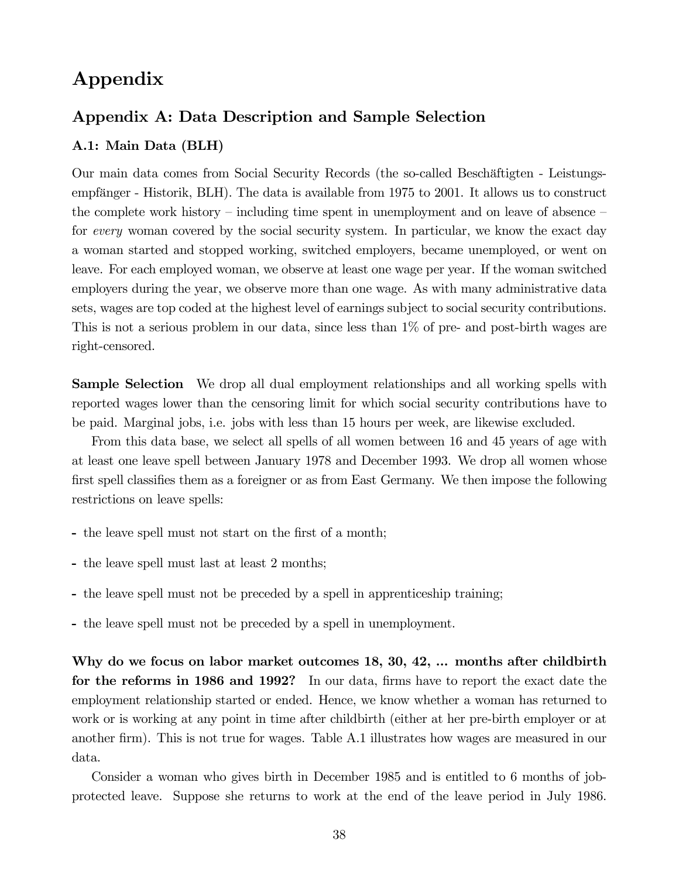## Appendix

#### Appendix A: Data Description and Sample Selection

#### A.1: Main Data (BLH)

Our main data comes from Social Security Records (the so-called Beschäftigten - Leistungsempfänger - Historik, BLH). The data is available from 1975 to 2001. It allows us to construct the complete work history – including time spent in unemployment and on leave of absence – for every woman covered by the social security system. In particular, we know the exact day a woman started and stopped working, switched employers, became unemployed, or went on leave. For each employed woman, we observe at least one wage per year. If the woman switched employers during the year, we observe more than one wage. As with many administrative data sets, wages are top coded at the highest level of earnings subject to social security contributions. This is not a serious problem in our data, since less than 1% of pre- and post-birth wages are right-censored.

Sample Selection We drop all dual employment relationships and all working spells with reported wages lower than the censoring limit for which social security contributions have to be paid. Marginal jobs, i.e. jobs with less than 15 hours per week, are likewise excluded.

From this data base, we select all spells of all women between 16 and 45 years of age with at least one leave spell between January 1978 and December 1993. We drop all women whose first spell classifies them as a foreigner or as from East Germany. We then impose the following restrictions on leave spells:

- the leave spell must not start on the first of a month;
- the leave spell must last at least 2 months;
- the leave spell must not be preceded by a spell in apprenticeship training;
- the leave spell must not be preceded by a spell in unemployment.

Why do we focus on labor market outcomes 18, 30, 42, ... months after childbirth for the reforms in 1986 and 1992? In our data, firms have to report the exact date the employment relationship started or ended. Hence, we know whether a woman has returned to work or is working at any point in time after childbirth (either at her pre-birth employer or at another firm). This is not true for wages. Table A.1 illustrates how wages are measured in our data.

Consider a woman who gives birth in December 1985 and is entitled to 6 months of jobprotected leave. Suppose she returns to work at the end of the leave period in July 1986.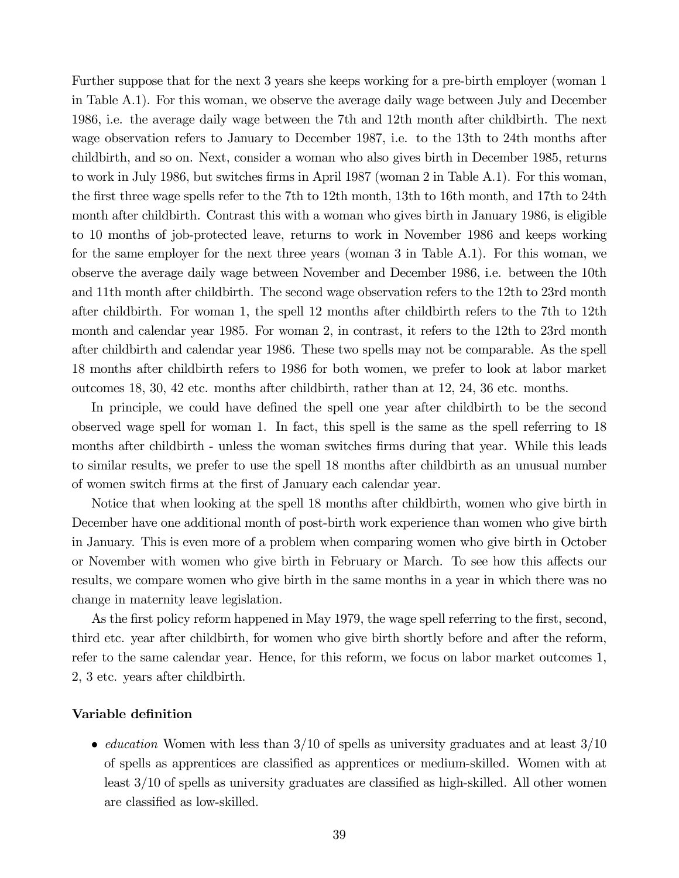Further suppose that for the next 3 years she keeps working for a pre-birth employer (woman 1 in Table A.1). For this woman, we observe the average daily wage between July and December 1986, i.e. the average daily wage between the 7th and 12th month after childbirth. The next wage observation refers to January to December 1987, i.e. to the 13th to 24th months after childbirth, and so on. Next, consider a woman who also gives birth in December 1985, returns to work in July 1986, but switches firms in April 1987 (woman 2 in Table A.1). For this woman, the first three wage spells refer to the 7th to 12th month, 13th to 16th month, and 17th to 24th month after childbirth. Contrast this with a woman who gives birth in January 1986, is eligible to 10 months of job-protected leave, returns to work in November 1986 and keeps working for the same employer for the next three years (woman 3 in Table A.1). For this woman, we observe the average daily wage between November and December 1986, i.e. between the 10th and 11th month after childbirth. The second wage observation refers to the 12th to 23rd month after childbirth. For woman 1, the spell 12 months after childbirth refers to the 7th to 12th month and calendar year 1985. For woman 2, in contrast, it refers to the 12th to 23rd month after childbirth and calendar year 1986. These two spells may not be comparable. As the spell 18 months after childbirth refers to 1986 for both women, we prefer to look at labor market outcomes 18, 30, 42 etc. months after childbirth, rather than at 12, 24, 36 etc. months.

In principle, we could have defined the spell one year after childbirth to be the second observed wage spell for woman 1. In fact, this spell is the same as the spell referring to 18 months after childbirth - unless the woman switches firms during that year. While this leads to similar results, we prefer to use the spell 18 months after childbirth as an unusual number of women switch firms at the first of January each calendar year.

Notice that when looking at the spell 18 months after childbirth, women who give birth in December have one additional month of post-birth work experience than women who give birth in January. This is even more of a problem when comparing women who give birth in October or November with women who give birth in February or March. To see how this affects our results, we compare women who give birth in the same months in a year in which there was no change in maternity leave legislation.

As the first policy reform happened in May 1979, the wage spell referring to the first, second, third etc. year after childbirth, for women who give birth shortly before and after the reform, refer to the same calendar year. Hence, for this reform, we focus on labor market outcomes 1, 2, 3 etc. years after childbirth.

#### Variable definition

• *education* Women with less than  $3/10$  of spells as university graduates and at least  $3/10$ of spells as apprentices are classified as apprentices or medium-skilled. Women with at least 3/10 of spells as university graduates are classified as high-skilled. All other women are classified as low-skilled.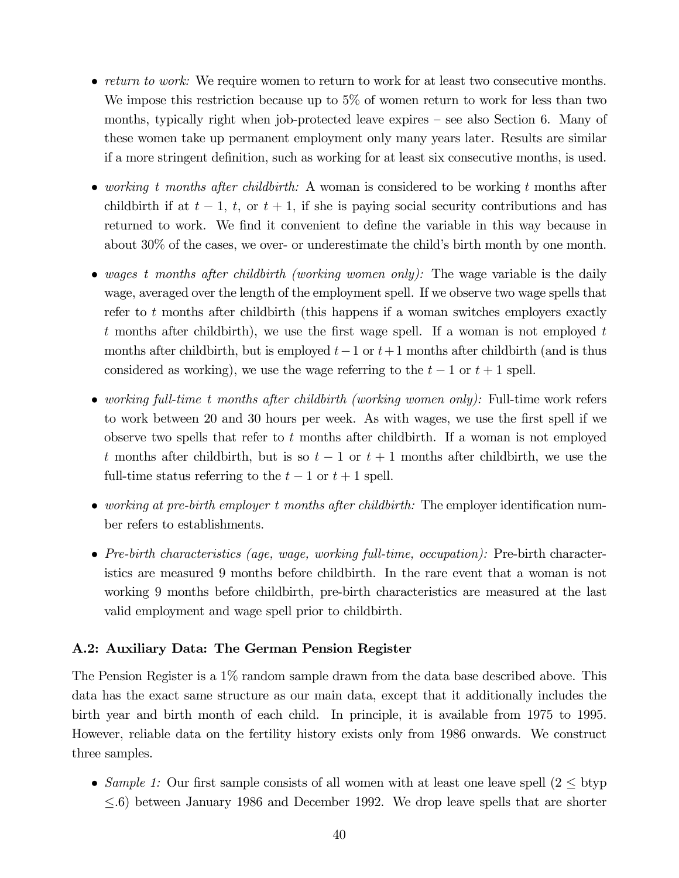- return to work: We require women to return to work for at least two consecutive months. We impose this restriction because up to 5% of women return to work for less than two months, typically right when job-protected leave expires — see also Section 6. Many of these women take up permanent employment only many years later. Results are similar if a more stringent definition, such as working for at least six consecutive months, is used.
- working t months after childbirth: A woman is considered to be working t months after childbirth if at  $t - 1$ ,  $t$ , or  $t + 1$ , if she is paying social security contributions and has returned to work. We find it convenient to define the variable in this way because in about 30% of the cases, we over- or underestimate the child's birth month by one month.
- wages t months after childbirth (working women only): The wage variable is the daily wage, averaged over the length of the employment spell. If we observe two wage spells that refer to  $t$  months after childbirth (this happens if a woman switches employers exactly t months after childbirth), we use the first wage spell. If a woman is not employed  $t$ months after childbirth, but is employed  $t-1$  or  $t+1$  months after childbirth (and is thus considered as working), we use the wage referring to the  $t-1$  or  $t+1$  spell.
- working full-time t months after childbirth (working women only): Full-time work refers to work between 20 and 30 hours per week. As with wages, we use the first spell if we observe two spells that refer to  $t$  months after childbirth. If a woman is not employed t months after childbirth, but is so  $t-1$  or  $t+1$  months after childbirth, we use the full-time status referring to the  $t-1$  or  $t+1$  spell.
- working at pre-birth employer t months after childbirth: The employer identification number refers to establishments.
- Pre-birth characteristics (age, wage, working full-time, occupation): Pre-birth characteristics are measured 9 months before childbirth. In the rare event that a woman is not working 9 months before childbirth, pre-birth characteristics are measured at the last valid employment and wage spell prior to childbirth.

#### A.2: Auxiliary Data: The German Pension Register

The Pension Register is a 1% random sample drawn from the data base described above. This data has the exact same structure as our main data, except that it additionally includes the birth year and birth month of each child. In principle, it is available from 1975 to 1995. However, reliable data on the fertility history exists only from 1986 onwards. We construct three samples.

• Sample 1: Our first sample consists of all women with at least one leave spell  $(2 \leq b$ typ ≤.6) between January 1986 and December 1992. We drop leave spells that are shorter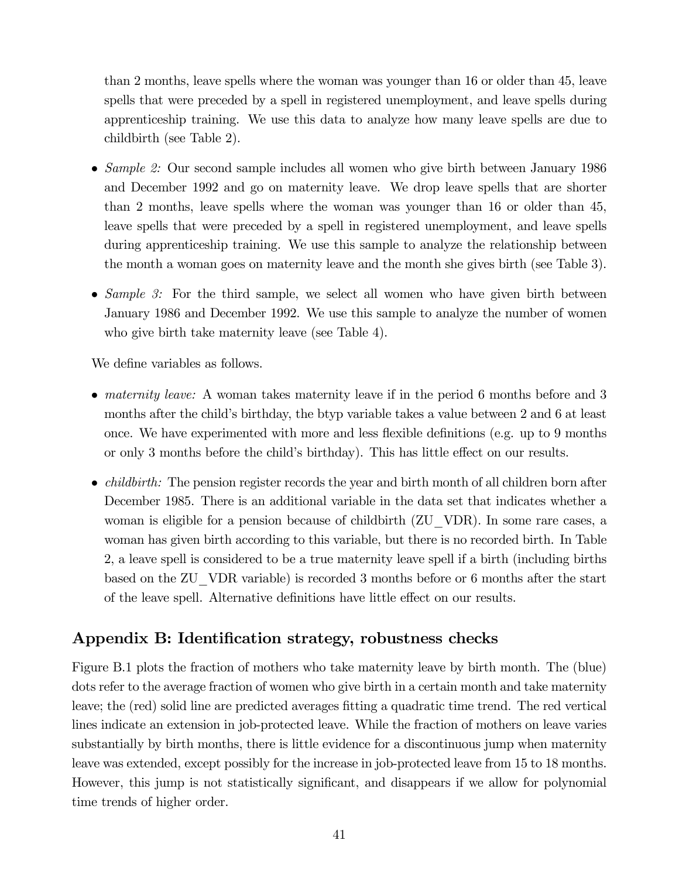than 2 months, leave spells where the woman was younger than 16 or older than 45, leave spells that were preceded by a spell in registered unemployment, and leave spells during apprenticeship training. We use this data to analyze how many leave spells are due to childbirth (see Table 2).

- Sample 2: Our second sample includes all women who give birth between January 1986 and December 1992 and go on maternity leave. We drop leave spells that are shorter than 2 months, leave spells where the woman was younger than 16 or older than 45, leave spells that were preceded by a spell in registered unemployment, and leave spells during apprenticeship training. We use this sample to analyze the relationship between the month a woman goes on maternity leave and the month she gives birth (see Table 3).
- Sample 3: For the third sample, we select all women who have given birth between January 1986 and December 1992. We use this sample to analyze the number of women who give birth take maternity leave (see Table 4).

We define variables as follows.

- *maternity leave:* A woman takes maternity leave if in the period 6 months before and 3 months after the child's birthday, the btyp variable takes a value between 2 and 6 at least once. We have experimented with more and less flexible definitions (e.g. up to 9 months or only 3 months before the child's birthday). This has little effect on our results.
- *childbirth:* The pension register records the year and birth month of all children born after December 1985. There is an additional variable in the data set that indicates whether a woman is eligible for a pension because of childbirth (ZU\_VDR). In some rare cases, a woman has given birth according to this variable, but there is no recorded birth. In Table 2, a leave spell is considered to be a true maternity leave spell if a birth (including births based on the ZU\_VDR variable) is recorded 3 months before or 6 months after the start of the leave spell. Alternative definitions have little effect on our results.

## Appendix B: Identification strategy, robustness checks

Figure B.1 plots the fraction of mothers who take maternity leave by birth month. The (blue) dots refer to the average fraction of women who give birth in a certain month and take maternity leave; the (red) solid line are predicted averages fitting a quadratic time trend. The red vertical lines indicate an extension in job-protected leave. While the fraction of mothers on leave varies substantially by birth months, there is little evidence for a discontinuous jump when maternity leave was extended, except possibly for the increase in job-protected leave from 15 to 18 months. However, this jump is not statistically significant, and disappears if we allow for polynomial time trends of higher order.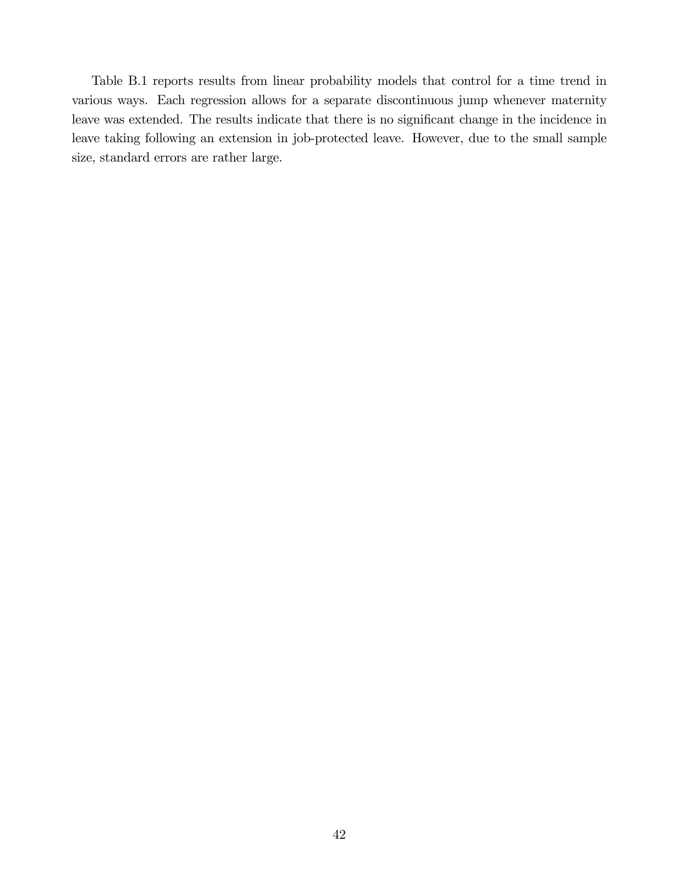Table B.1 reports results from linear probability models that control for a time trend in various ways. Each regression allows for a separate discontinuous jump whenever maternity leave was extended. The results indicate that there is no significant change in the incidence in leave taking following an extension in job-protected leave. However, due to the small sample size, standard errors are rather large.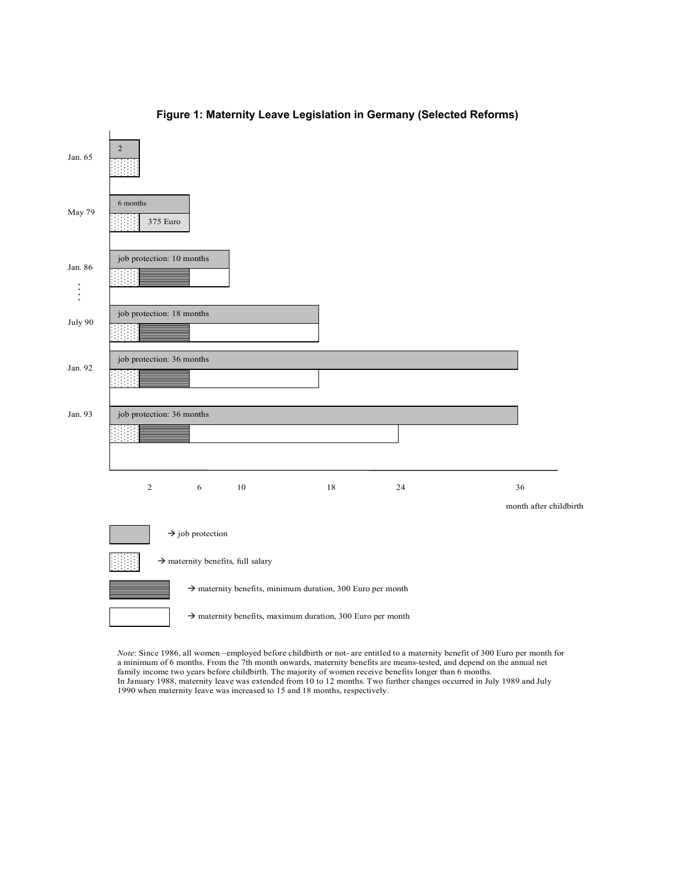

#### **Figure 1: Maternity Leave Legislation in Germany (Selected Reforms)**

*Note*: Since 1986, all women –employed before childbirth or not- are entitled to a maternity benefit of 300 Euro per month for a minimum of 6 months. From the 7th month onwards, maternity benefits are means-tested, and depend on the annual net family income two years before childbirth. The majority of women receive benefits longer than 6 months. In January 1988, maternity leave was extended from 10 to 12 months. Two further changes occurred in July 1989 and July 1990 when maternity leave was increased to 15 and 18 months, respectively.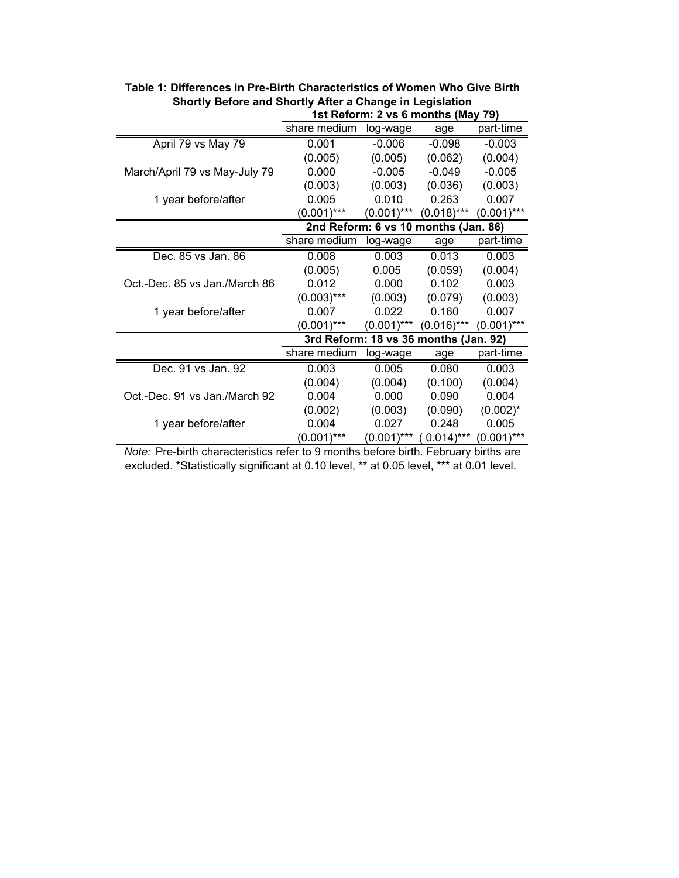| onoruy Derore and Onoruy Anter a Ghange in Legislation |               |               | 1st Reform: 2 vs 6 months (May 79)    |               |
|--------------------------------------------------------|---------------|---------------|---------------------------------------|---------------|
|                                                        | share medium  | log-wage      | age                                   | part-time     |
| April 79 vs May 79                                     | 0.001         | $-0.006$      | $-0.098$                              | $-0.003$      |
|                                                        | (0.005)       | (0.005)       | (0.062)                               | (0.004)       |
| March/April 79 vs May-July 79                          | 0.000         | $-0.005$      | $-0.049$                              | $-0.005$      |
|                                                        | (0.003)       | (0.003)       | (0.036)                               | (0.003)       |
| 1 year before/after                                    | 0.005         | 0.010         | 0.263                                 | 0.007         |
|                                                        | $(0.001)$ *** | $(0.001)$ *** | $(0.018)$ ***                         | $(0.001)$ *** |
|                                                        |               |               | 2nd Reform: 6 vs 10 months (Jan. 86)  |               |
|                                                        | share medium  | log-wage      | age                                   | part-time     |
| Dec. 85 vs Jan. 86                                     | 0.008         | 0.003         | 0.013                                 | 0.003         |
|                                                        | (0.005)       | 0.005         | (0.059)                               | (0.004)       |
| Oct.-Dec. 85 vs Jan./March 86                          | 0.012         | 0.000         | 0.102                                 | 0.003         |
|                                                        | $(0.003)$ *** | (0.003)       | (0.079)                               | (0.003)       |
| 1 year before/after                                    | 0.007         | 0.022         | 0.160                                 | 0.007         |
|                                                        | $(0.001)$ *** | $(0.001)$ *** | $(0.016)$ ***                         | $(0.001)$ *** |
|                                                        |               |               | 3rd Reform: 18 vs 36 months (Jan. 92) |               |
|                                                        | share medium  | log-wage      | age                                   | part-time     |
| Dec. 91 vs Jan. 92                                     | 0.003         | 0.005         | 0.080                                 | 0.003         |
|                                                        | (0.004)       | (0.004)       | (0.100)                               | (0.004)       |
| Oct.-Dec. 91 vs Jan./March 92                          | 0.004         | 0.000         | 0.090                                 | 0.004         |
|                                                        | (0.002)       | (0.003)       | (0.090)                               | $(0.002)^*$   |
| 1 year before/after                                    | 0.004         | 0.027         | 0.248                                 | 0.005         |
|                                                        | $(0.001)$ *** | $(0.001)$ *** | $0.014$ )***                          | $(0.001)$ *** |

**Table 1: Differences in Pre-Birth Characteristics of Women Who Give Birth Shortly Before and Shortly After a Change in Legislation**

*Note:* Pre-birth characteristics refer to 9 months before birth. February births are excluded. \*Statistically significant at 0.10 level, \*\* at 0.05 level, \*\*\* at 0.01 level.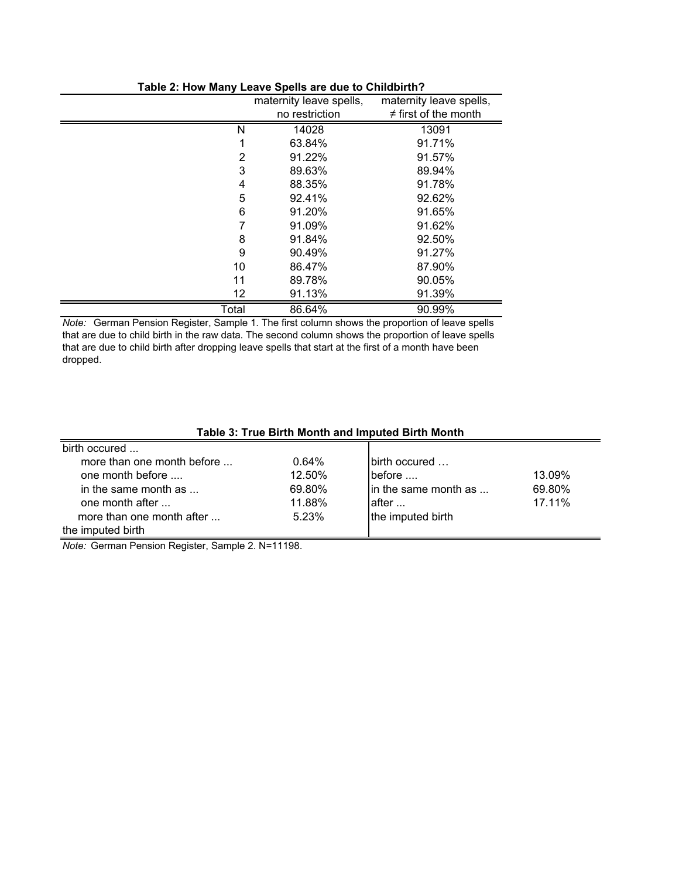|       | maternity leave spells, | maternity leave spells,   |
|-------|-------------------------|---------------------------|
|       | no restriction          | $\neq$ first of the month |
| N     | 14028                   | 13091                     |
| 1     | 63.84%                  | 91.71%                    |
| 2     | 91.22%                  | 91.57%                    |
| 3     | 89.63%                  | 89.94%                    |
| 4     | 88.35%                  | 91.78%                    |
| 5     | 92.41%                  | 92.62%                    |
| 6     | 91.20%                  | 91.65%                    |
| 7     | 91.09%                  | 91.62%                    |
| 8     | 91.84%                  | 92.50%                    |
| 9     | 90.49%                  | 91.27%                    |
| 10    | 86.47%                  | 87.90%                    |
| 11    | 89.78%                  | 90.05%                    |
| 12    | 91.13%                  | 91.39%                    |
| Total | 86.64%                  | 90.99%                    |
|       |                         |                           |

#### **Table 2: How Many Leave Spells are due to Childbirth?**

*Note:* German Pension Register, Sample 1. The first column shows the proportion of leave spells that are due to child birth in the raw data. The second column shows the proportion of leave spells that are due to child birth after dropping leave spells that start at the first of a month have been dropped.

#### **Table 3: True Birth Month and Imputed Birth Month**

| birth occured                |        |                       |        |
|------------------------------|--------|-----------------------|--------|
| more than one month before   | 0.64%  | lbirth occured        |        |
| one month before             | 12.50% | before                | 13.09% |
| in the same month as $\dots$ | 69.80% | lin the same month as | 69.80% |
| one month after              | 11.88% | lafter                | 17.11% |
| more than one month after    | 5.23%  | the imputed birth     |        |
| the imputed birth            |        |                       |        |

*Note:* German Pension Register, Sample 2. N=11198.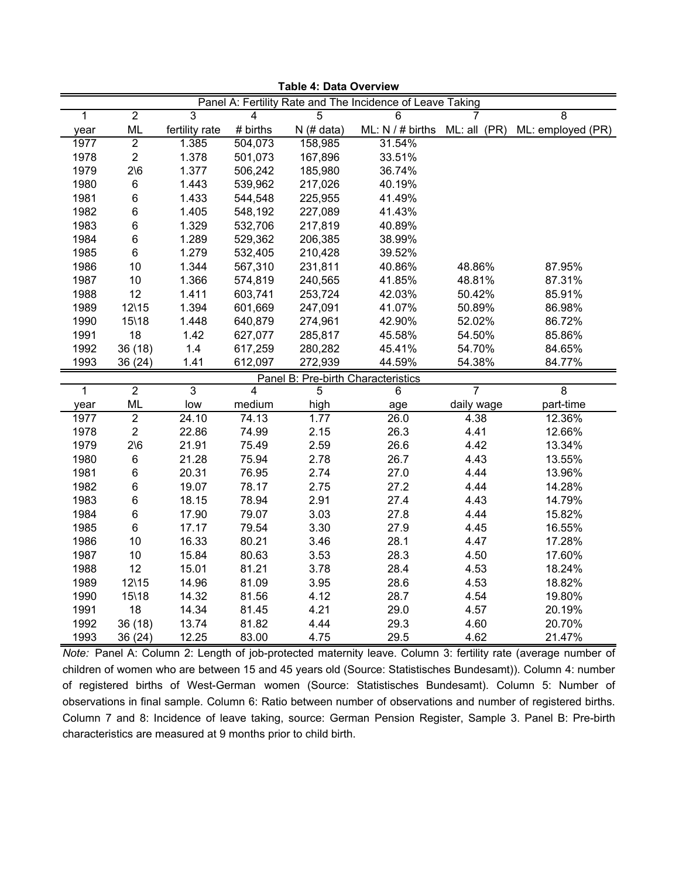|                |                |                |          |                                    | Panel A: Fertility Rate and The Incidence of Leave Taking |            |                   |
|----------------|----------------|----------------|----------|------------------------------------|-----------------------------------------------------------|------------|-------------------|
| 1              | $\overline{2}$ | 3              | 4        | $\overline{5}$                     | 6                                                         |            | 8                 |
| year           | <b>ML</b>      | fertility rate | # births | $N$ (# data)                       | ML: $N / #$ births ML: all (PR)                           |            | ML: employed (PR) |
| 1977           | $\overline{2}$ | 1.385          | 504,073  | 158,985                            | 31.54%                                                    |            |                   |
| 1978           | $\overline{2}$ | 1.378          | 501,073  | 167,896                            | 33.51%                                                    |            |                   |
| 1979           | $2\sqrt{6}$    | 1.377          | 506,242  | 185,980                            | 36.74%                                                    |            |                   |
| 1980           | 6              | 1.443          | 539,962  | 217,026                            | 40.19%                                                    |            |                   |
| 1981           | 6              | 1.433          | 544,548  | 225,955                            | 41.49%                                                    |            |                   |
| 1982           | 6              | 1.405          | 548,192  | 227,089                            | 41.43%                                                    |            |                   |
| 1983           | 6              | 1.329          | 532,706  | 217,819                            | 40.89%                                                    |            |                   |
| 1984           | 6              | 1.289          | 529,362  | 206,385                            | 38.99%                                                    |            |                   |
| 1985           | 6              | 1.279          | 532,405  | 210,428                            | 39.52%                                                    |            |                   |
| 1986           | 10             | 1.344          | 567,310  | 231,811                            | 40.86%                                                    | 48.86%     | 87.95%            |
| 1987           | 10             | 1.366          | 574,819  | 240,565                            | 41.85%                                                    | 48.81%     | 87.31%            |
| 1988           | 12             | 1.411          | 603,741  | 253,724                            | 42.03%                                                    | 50.42%     | 85.91%            |
| 1989           | 12\15          | 1.394          | 601,669  | 247,091                            | 41.07%                                                    | 50.89%     | 86.98%            |
| 1990           | 15\18          | 1.448          | 640,879  | 274,961                            | 42.90%                                                    | 52.02%     | 86.72%            |
| 1991           | 18             | 1.42           | 627,077  | 285,817                            | 45.58%                                                    | 54.50%     | 85.86%            |
| 1992           | 36 (18)        | 1.4            | 617,259  | 280,282                            | 45.41%                                                    | 54.70%     | 84.65%            |
| 1993           | 36 (24)        | 1.41           | 612,097  | 272,939                            | 44.59%                                                    | 54.38%     | 84.77%            |
|                |                |                |          | Panel B: Pre-birth Characteristics |                                                           |            |                   |
| $\overline{1}$ | $\overline{2}$ | $\overline{3}$ | 4        | 5                                  | 6                                                         | 7          | 8                 |
| year           | <b>ML</b>      | low            | medium   | high                               | age                                                       | daily wage | part-time         |
| 1977           | $\overline{2}$ | 24.10          | 74.13    | $\overline{1.77}$                  | 26.0                                                      | 4.38       | 12.36%            |
| 1978           | $\overline{c}$ | 22.86          | 74.99    | 2.15                               | 26.3                                                      | 4.41       | 12.66%            |
| 1979           | $2\sqrt{6}$    | 21.91          | 75.49    | 2.59                               | 26.6                                                      | 4.42       | 13.34%            |
| 1980           | 6              | 21.28          | 75.94    | 2.78                               | 26.7                                                      | 4.43       | 13.55%            |
| 1981           | 6              | 20.31          | 76.95    | 2.74                               | 27.0                                                      | 4.44       | 13.96%            |
| 1982           | 6              | 19.07          | 78.17    | 2.75                               | 27.2                                                      | 4.44       | 14.28%            |
| 1983           | 6              | 18.15          | 78.94    | 2.91                               | 27.4                                                      | 4.43       | 14.79%            |
| 1984           | 6              | 17.90          | 79.07    | 3.03                               | 27.8                                                      | 4.44       | 15.82%            |
| 1985           | $6\phantom{a}$ | 17.17          | 79.54    | 3.30                               | 27.9                                                      | 4.45       | 16.55%            |
| 1986           | 10             | 16.33          | 80.21    | 3.46                               | 28.1                                                      | 4.47       | 17.28%            |
| 1987           | 10             | 15.84          | 80.63    | 3.53                               | 28.3                                                      | 4.50       | 17.60%            |
| 1988           | 12             | 15.01          | 81.21    | 3.78                               | 28.4                                                      | 4.53       | 18.24%            |
| 1989           | 12\15          | 14.96          | 81.09    | 3.95                               | 28.6                                                      | 4.53       | 18.82%            |
| 1990           | 15\18          | 14.32          | 81.56    | 4.12                               | 28.7                                                      | 4.54       | 19.80%            |
| 1991           | 18             | 14.34          | 81.45    | 4.21                               | 29.0                                                      | 4.57       | 20.19%            |
| 1992           | 36 (18)        | 13.74          | 81.82    | 4.44                               | 29.3                                                      | 4.60       | 20.70%            |
| 1993           | 36 (24)        | 12.25          | 83.00    | 4.75                               | 29.5                                                      | 4.62       | 21.47%            |

**Table 4: Data Overview**

*Note:* Panel A: Column 2: Length of job-protected maternity leave. Column 3: fertility rate (average number of children of women who are between 15 and 45 years old (Source: Statistisches Bundesamt)). Column 4: number of registered births of West-German women (Source: Statistisches Bundesamt). Column 5: Number of observations in final sample. Column 6: Ratio between number of observations and number of registered births. Column 7 and 8: Incidence of leave taking, source: German Pension Register, Sample 3. Panel B: Pre-birth characteristics are measured at 9 months prior to child birth.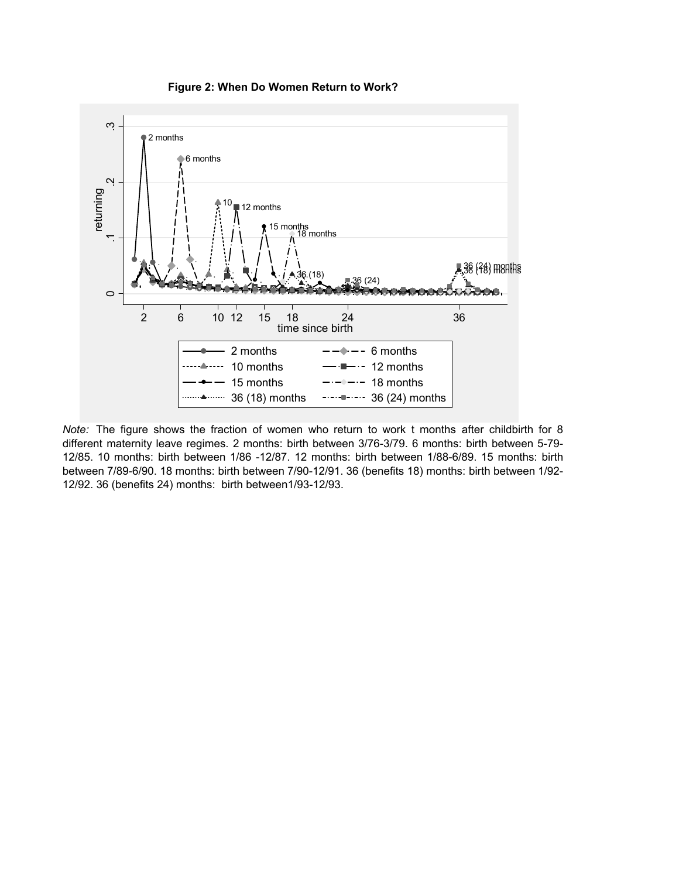



*Note:* The figure shows the fraction of women who return to work t months after childbirth for 8 different maternity leave regimes. 2 months: birth between 3/76-3/79. 6 months: birth between 5-79- 12/85. 10 months: birth between 1/86 -12/87. 12 months: birth between 1/88-6/89. 15 months: birth between 7/89-6/90. 18 months: birth between 7/90-12/91. 36 (benefits 18) months: birth between 1/92- 12/92. 36 (benefits 24) months: birth between1/93-12/93.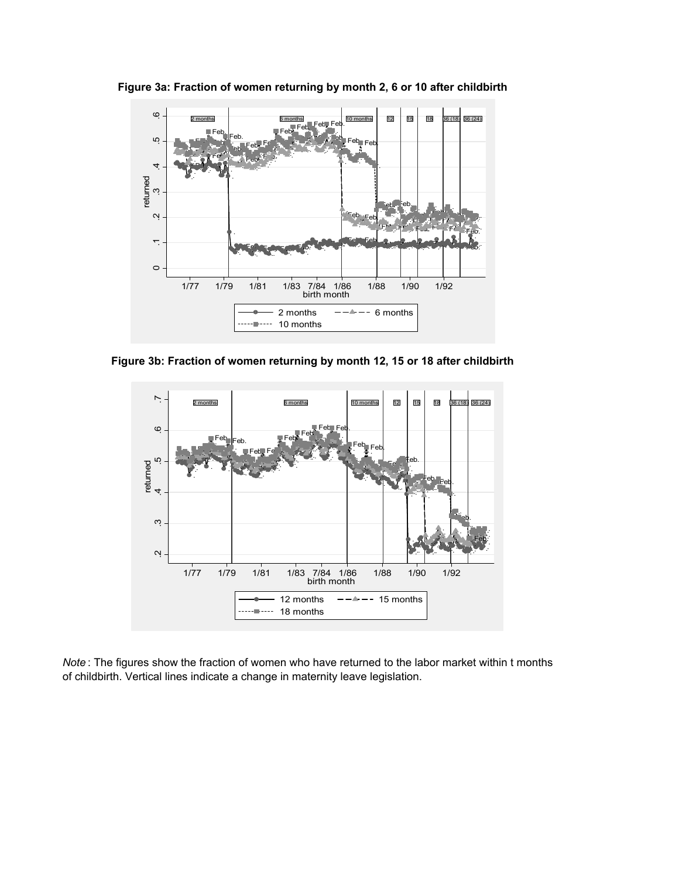

**Figure 3a: Fraction of women returning by month 2, 6 or 10 after childbirth**

**Figure 3b: Fraction of women returning by month 12, 15 or 18 after childbirth**



*Note* : The figures show the fraction of women who have returned to the labor market within t months of childbirth. Vertical lines indicate a change in maternity leave legislation.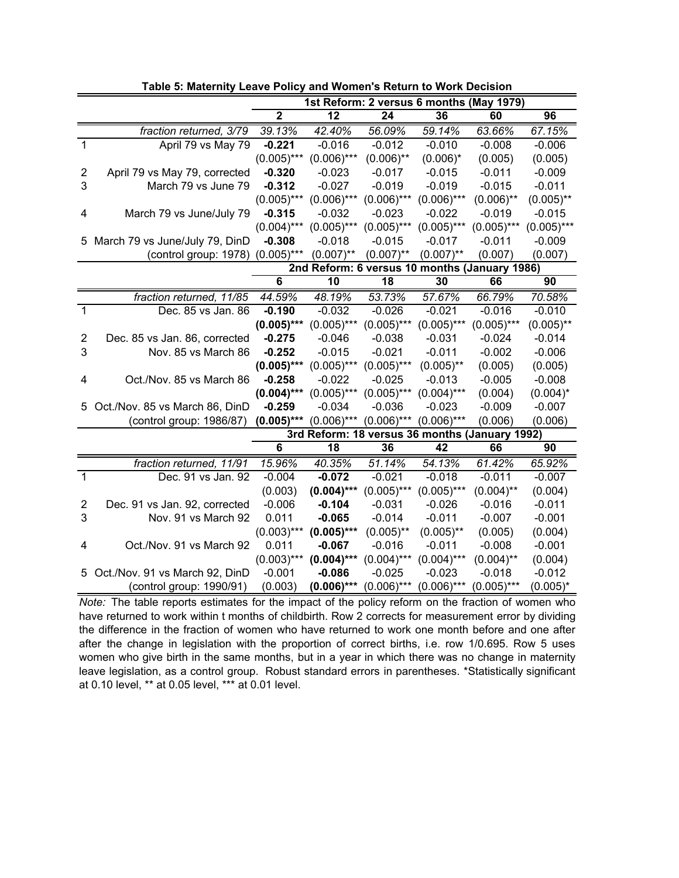|                         |                                  |               |               | 1st Reform: 2 versus 6 months (May 1979)       |                      |               |               |
|-------------------------|----------------------------------|---------------|---------------|------------------------------------------------|----------------------|---------------|---------------|
|                         |                                  | $\mathbf{2}$  | 12            | 24                                             | 36                   | 60            | 96            |
|                         | fraction returned, 3/79          | 39.13%        | 42.40%        | 56.09%                                         | $\overline{59.14\%}$ | 63.66%        | 67.15%        |
| 1                       | April 79 vs May 79               | $-0.221$      | $-0.016$      | $-0.012$                                       | $-0.010$             | $-0.008$      | $-0.006$      |
|                         |                                  | $(0.005)$ *** | $(0.006)$ *** | $(0.006)$ **                                   | $(0.006)^*$          | (0.005)       | (0.005)       |
| $\overline{\mathbf{c}}$ | April 79 vs May 79, corrected    | $-0.320$      | $-0.023$      | $-0.017$                                       | $-0.015$             | $-0.011$      | $-0.009$      |
| 3                       | March 79 vs June 79              | $-0.312$      | $-0.027$      | $-0.019$                                       | $-0.019$             | $-0.015$      | $-0.011$      |
|                         |                                  | $(0.005)$ *** | $(0.006)$ *** | $(0.006)$ ***                                  | $(0.006)$ ***        | $(0.006)$ **  | $(0.005)$ **  |
| 4                       | March 79 vs June/July 79         | $-0.315$      | $-0.032$      | $-0.023$                                       | $-0.022$             | $-0.019$      | $-0.015$      |
|                         |                                  | $(0.004)$ *** | $(0.005)$ *** | $(0.005)$ ***                                  | $(0.005)$ ***        | $(0.005)$ *** | $(0.005)$ *** |
|                         | 5 March 79 vs June/July 79, DinD | $-0.308$      | $-0.018$      | $-0.015$                                       | $-0.017$             | $-0.011$      | $-0.009$      |
|                         | (control group: 1978)            | $(0.005)$ *** | $(0.007)$ **  | $(0.007)$ **                                   | $(0.007)$ **         | (0.007)       | (0.007)       |
|                         |                                  |               |               | 2nd Reform: 6 versus 10 months (January 1986)  |                      |               |               |
|                         |                                  | 6             | 10            | 18                                             | 30                   | 66            | 90            |
|                         | fraction returned, 11/85         | 44.59%        | 48.19%        | 53.73%                                         | 57.67%               | 66.79%        | 70.58%        |
| 1                       | Dec. 85 vs Jan. 86               | $-0.190$      | $-0.032$      | $-0.026$                                       | $-0.021$             | $-0.016$      | $-0.010$      |
|                         |                                  | $(0.005)$ *** | $(0.005)$ *** | $(0.005)$ ***                                  | $(0.005)$ ***        | $(0.005)$ *** | $(0.005)$ **  |
| $\overline{\mathbf{c}}$ | Dec. 85 vs Jan. 86, corrected    | $-0.275$      | $-0.046$      | $-0.038$                                       | $-0.031$             | $-0.024$      | $-0.014$      |
| 3                       | Nov. 85 vs March 86              | $-0.252$      | $-0.015$      | $-0.021$                                       | $-0.011$             | $-0.002$      | $-0.006$      |
|                         |                                  | $(0.005)$ *** | $(0.005)$ *** | $(0.005)$ ***                                  | $(0.005)$ **         | (0.005)       | (0.005)       |
| 4                       | Oct./Nov. 85 vs March 86         | $-0.258$      | $-0.022$      | $-0.025$                                       | $-0.013$             | $-0.005$      | $-0.008$      |
|                         |                                  | $(0.004)$ *** | $(0.005)$ *** | $(0.005)$ ***                                  | $(0.004)$ ***        | (0.004)       | $(0.004)^*$   |
|                         | 5 Oct./Nov. 85 vs March 86, DinD | $-0.259$      | $-0.034$      | $-0.036$                                       | $-0.023$             | $-0.009$      | $-0.007$      |
|                         | (control group: 1986/87)         | $(0.005)***$  | $(0.006)$ *** | $(0.006)$ ***                                  | $(0.006)$ ***        | (0.006)       | (0.006)       |
|                         |                                  |               |               | 3rd Reform: 18 versus 36 months (January 1992) |                      |               |               |
|                         |                                  | 6             | 18            | 36                                             | 42                   | 66            | 90            |
|                         | fraction returned, 11/91         | 15.96%        | 40.35%        | 51.14%                                         | $\overline{54.13\%}$ | 61.42%        | 65.92%        |
| $\mathbf{1}$            | Dec. 91 vs Jan. 92               | $-0.004$      | $-0.072$      | $-0.021$                                       | $-0.018$             | $-0.011$      | $-0.007$      |
|                         |                                  | (0.003)       | $(0.004)***$  | $(0.005)$ ***                                  | $(0.005)$ ***        | $(0.004)$ **  | (0.004)       |
| $\overline{2}$          | Dec. 91 vs Jan. 92, corrected    | $-0.006$      | $-0.104$      | $-0.031$                                       | $-0.026$             | $-0.016$      | $-0.011$      |
| 3                       | Nov. 91 vs March 92              | 0.011         | $-0.065$      | $-0.014$                                       | $-0.011$             | $-0.007$      | $-0.001$      |
|                         |                                  | $(0.003)$ *** | $(0.005)$ *** | $(0.005)$ **                                   | $(0.005)$ **         | (0.005)       | (0.004)       |
| 4                       | Oct./Nov. 91 vs March 92         | 0.011         | $-0.067$      | $-0.016$                                       | $-0.011$             | $-0.008$      | $-0.001$      |
|                         |                                  | $(0.003)$ *** | $(0.004)***$  | $(0.004)$ ***                                  | $(0.004)$ ***        | $(0.004)$ **  | (0.004)       |
| 5.                      | Oct./Nov. 91 vs March 92, DinD   | $-0.001$      | $-0.086$      | $-0.025$                                       | $-0.023$             | $-0.018$      | $-0.012$      |
|                         | (control group: 1990/91)         | (0.003)       | $(0.006)***$  | $(0.006)$ ***                                  | $(0.006)$ ***        | $(0.005)***$  | $(0.005)^*$   |

**Table 5: Maternity Leave Policy and Women's Return to Work Decision**

*Note:* The table reports estimates for the impact of the policy reform on the fraction of women who have returned to work within t months of childbirth. Row 2 corrects for measurement error by dividing the difference in the fraction of women who have returned to work one month before and one after after the change in legislation with the proportion of correct births, i.e. row 1/0.695. Row 5 uses women who give birth in the same months, but in a year in which there was no change in maternity leave legislation, as a control group. Robust standard errors in parentheses. \*Statistically significant at 0.10 level, \*\* at 0.05 level, \*\*\* at 0.01 level.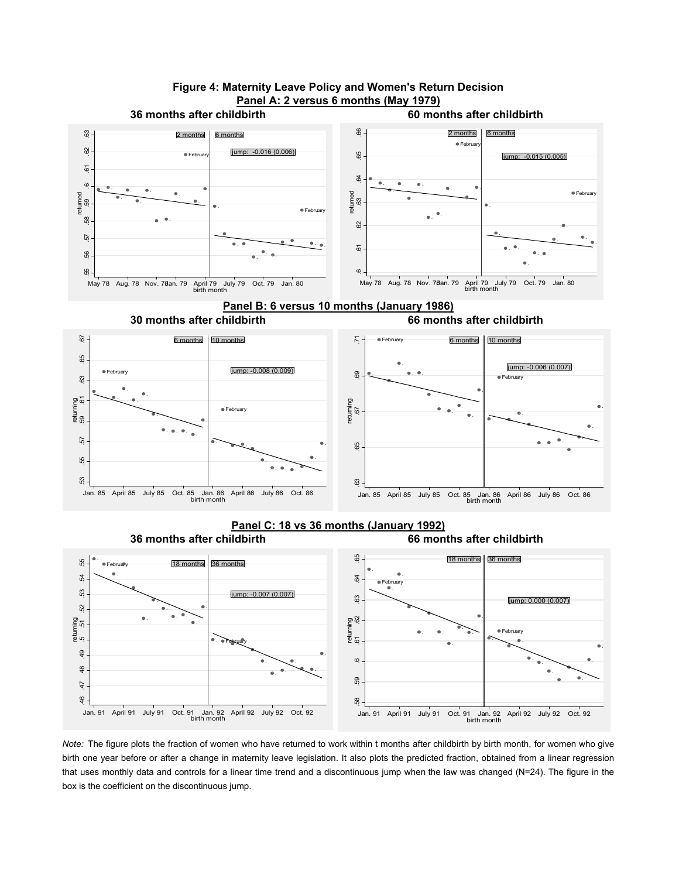



*Note:* The figure plots the fraction of women who have returned to work within t months after childbirth by birth month, for women who give birth one year before or after a change in maternity leave legislation. It also plots the predicted fraction, obtained from a linear regression that uses monthly data and controls for a linear time trend and a discontinuous jump when the law was changed (N=24). The figure in the box is the coefficient on the discontinuous jump.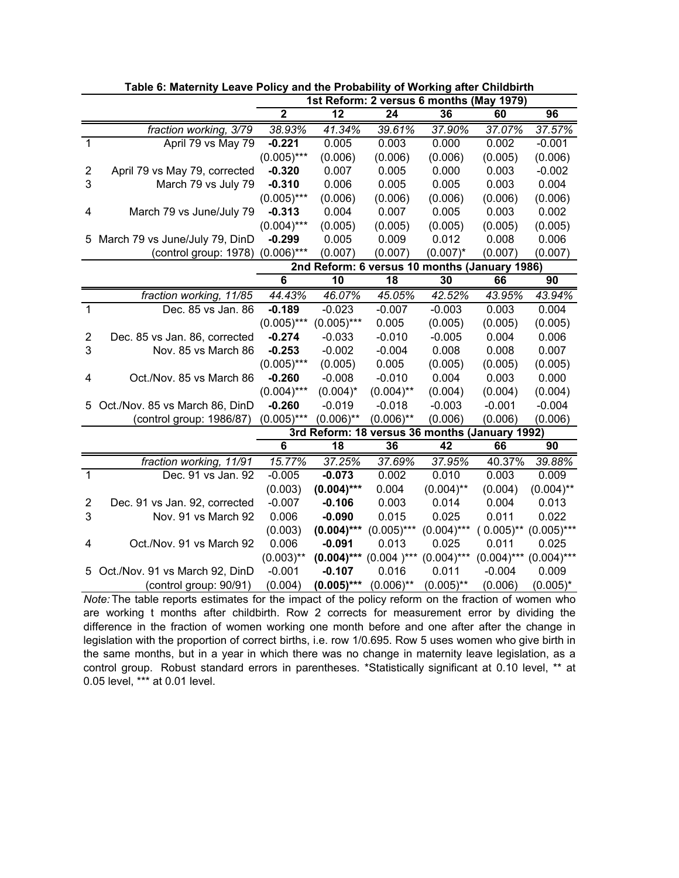|                |                                |                 |                 | 1st Reform: 2 versus 6 months (May 1979)       |               |               |               |
|----------------|--------------------------------|-----------------|-----------------|------------------------------------------------|---------------|---------------|---------------|
|                |                                | $\overline{2}$  | $\overline{12}$ | 24                                             | 36            | 60            | 96            |
|                | fraction working, 3/79         | 38.93%          | 41.34%          | 39.61%                                         | 37.90%        | 37.07%        | 37.57%        |
| $\mathbf{1}$   | April 79 vs May 79             | $-0.221$        | 0.005           | 0.003                                          | 0.000         | 0.002         | $-0.001$      |
|                |                                | $(0.005)$ ***   | (0.006)         | (0.006)                                        | (0.006)       | (0.005)       | (0.006)       |
| 2              | April 79 vs May 79, corrected  | $-0.320$        | 0.007           | 0.005                                          | 0.000         | 0.003         | $-0.002$      |
| 3              | March 79 vs July 79            | $-0.310$        | 0.006           | 0.005                                          | 0.005         | 0.003         | 0.004         |
|                |                                | $(0.005)$ ***   | (0.006)         | (0.006)                                        | (0.006)       | (0.006)       | (0.006)       |
| 4              | March 79 vs June/July 79       | $-0.313$        | 0.004           | 0.007                                          | 0.005         | 0.003         | 0.002         |
|                |                                | $(0.004)$ ***   | (0.005)         | (0.005)                                        | (0.005)       | (0.005)       | (0.005)       |
| 5              | March 79 vs June/July 79, DinD | $-0.299$        | 0.005           | 0.009                                          | 0.012         | 0.008         | 0.006         |
|                | (control group: 1978)          | $(0.006)$ ***   | (0.007)         | (0.007)                                        | $(0.007)^*$   | (0.007)       | (0.007)       |
|                |                                |                 |                 | 2nd Reform: 6 versus 10 months (January 1986)  |               |               |               |
|                |                                | $\overline{6}$  | 10              | 18                                             | 30            | 66            | 90            |
|                | fraction working, 11/85        | 44.43%          | 46.07%          | 45.05%                                         | 42.52%        | 43.95%        | 43.94%        |
| 1              | Dec. 85 vs Jan. 86             | $-0.189$        | $-0.023$        | $-0.007$                                       | $-0.003$      | 0.003         | 0.004         |
|                |                                | $(0.005)$ ***   | $(0.005)$ ***   | 0.005                                          | (0.005)       | (0.005)       | (0.005)       |
| $\overline{2}$ | Dec. 85 vs Jan. 86, corrected  | $-0.274$        | $-0.033$        | $-0.010$                                       | $-0.005$      | 0.004         | 0.006         |
| 3              | Nov. 85 vs March 86            | $-0.253$        | $-0.002$        | $-0.004$                                       | 0.008         | 0.008         | 0.007         |
|                |                                | $(0.005)$ ***   | (0.005)         | 0.005                                          | (0.005)       | (0.005)       | (0.005)       |
| 4              | Oct./Nov. 85 vs March 86       | $-0.260$        | $-0.008$        | $-0.010$                                       | 0.004         | 0.003         | 0.000         |
|                |                                | $(0.004)$ ***   | $(0.004)^*$     | $(0.004)$ **                                   | (0.004)       | (0.004)       | (0.004)       |
| 5.             | Oct./Nov. 85 vs March 86, DinD | $-0.260$        | $-0.019$        | $-0.018$                                       | $-0.003$      | $-0.001$      | $-0.004$      |
|                | (control group: 1986/87)       | $(0.005)$ ***   | $(0.006)$ **    | $(0.006)$ **                                   | (0.006)       | (0.006)       | (0.006)       |
|                |                                |                 |                 | 3rd Reform: 18 versus 36 months (January 1992) |               |               |               |
|                |                                | $6\phantom{1}6$ | 18              | 36                                             | 42            | 66            | 90            |
|                | fraction working, 11/91        | 15.77%          | 37.25%          | 37.69%                                         | 37.95%        | 40.37%        | 39.88%        |
| $\mathbf{1}$   | Dec. 91 vs Jan. 92             | $-0.005$        | $-0.073$        | 0.002                                          | 0.010         | 0.003         | 0.009         |
|                |                                | (0.003)         | $(0.004)$ ***   | 0.004                                          | $(0.004)$ **  | (0.004)       | $(0.004)$ **  |
| $\overline{2}$ | Dec. 91 vs Jan. 92, corrected  | $-0.007$        | $-0.106$        | 0.003                                          | 0.014         | 0.004         | 0.013         |
| 3              | Nov. 91 vs March 92            | 0.006           | $-0.090$        | 0.015                                          | 0.025         | 0.011         | 0.022         |
|                |                                | (0.003)         | $(0.004)***$    | $(0.005)$ ***                                  | $(0.004)$ *** | $(0.005)$ **  | $(0.005)$ *** |
| 4              | Oct./Nov. 91 vs March 92       | 0.006           | $-0.091$        | 0.013                                          | 0.025         | 0.011         | 0.025         |
|                |                                | $(0.003)$ **    | $(0.004)$ ***   | $(0.004)$ ***                                  | $(0.004)$ *** | $(0.004)$ *** | $(0.004)$ *** |
| 5              | Oct./Nov. 91 vs March 92, DinD | $-0.001$        | $-0.107$        | 0.016                                          | 0.011         | $-0.004$      | 0.009         |
|                | (control group: 90/91)         | (0.004)         | $(0.005)***$    | $(0.006)$ **                                   | $(0.005)$ **  | (0.006)       | $(0.005)^*$   |

**Table 6: Maternity Leave Policy and the Probability of Working after Childbirth**

*Note:* The table reports estimates for the impact of the policy reform on the fraction of women who are working t months after childbirth. Row 2 corrects for measurement error by dividing the difference in the fraction of women working one month before and one after after the change in legislation with the proportion of correct births, i.e. row 1/0.695. Row 5 uses women who give birth in the same months, but in a year in which there was no change in maternity leave legislation, as a control group. Robust standard errors in parentheses. \*Statistically significant at 0.10 level, \*\* at 0.05 level, \*\*\* at 0.01 level.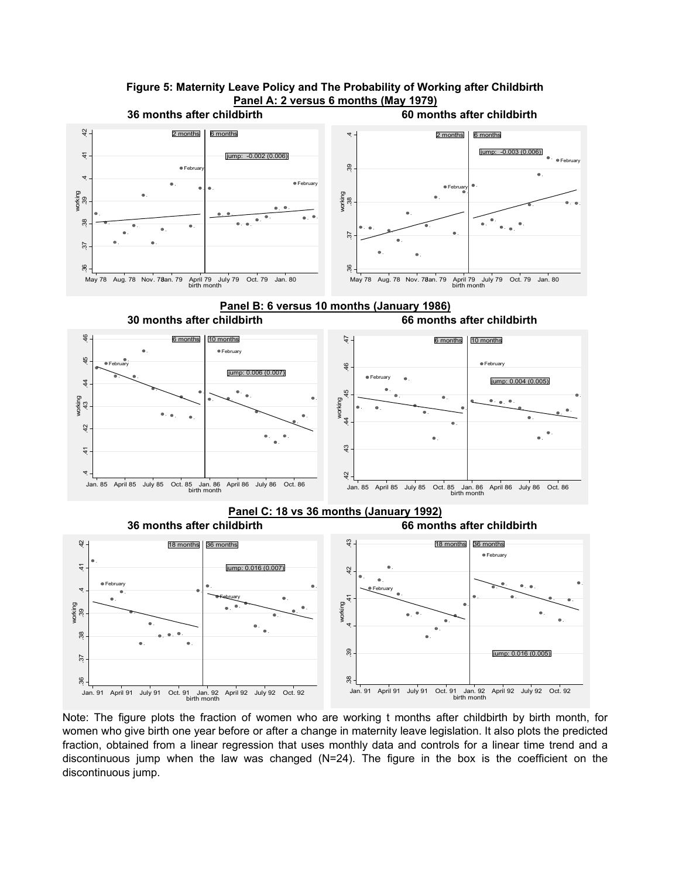

Note: The figure plots the fraction of women who are working t months after childbirth by birth month, for women who give birth one year before or after a change in maternity leave legislation. It also plots the predicted fraction, obtained from a linear regression that uses monthly data and controls for a linear time trend and a discontinuous jump when the law was changed  $(N=24)$ . The figure in the box is the coefficient on the discontinuous jump.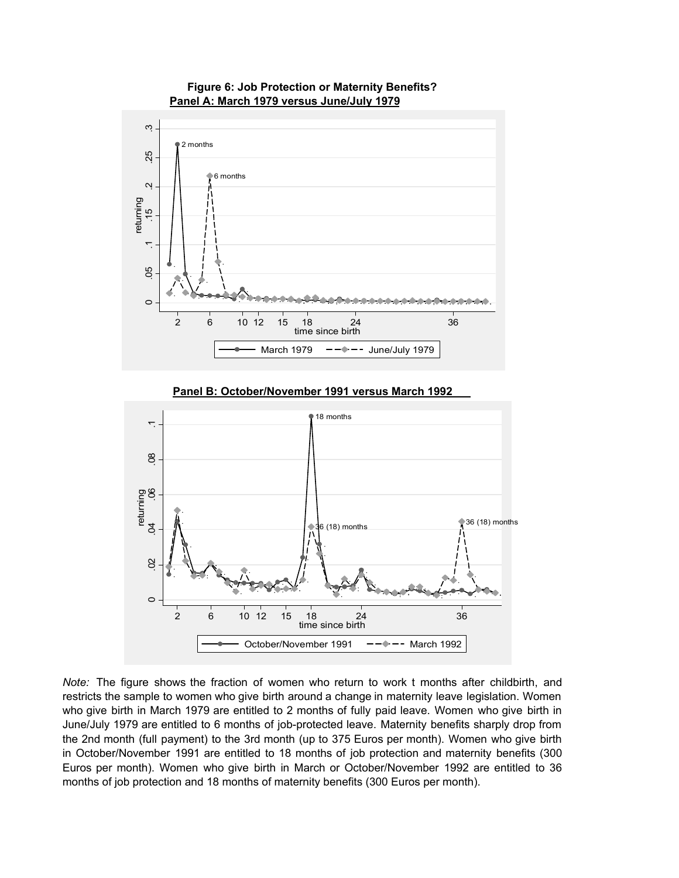

**Figure 6: Job Protection or Maternity Benefits?**

*Note:* The figure shows the fraction of women who return to work t months after childbirth, and restricts the sample to women who give birth around a change in maternity leave legislation. Women who give birth in March 1979 are entitled to 2 months of fully paid leave. Women who give birth in June/July 1979 are entitled to 6 months of job-protected leave. Maternity benefits sharply drop from the 2nd month (full payment) to the 3rd month (up to 375 Euros per month). Women who give birth in October/November 1991 are entitled to 18 months of job protection and maternity benefits (300 Euros per month). Women who give birth in March or October/November 1992 are entitled to 36 months of job protection and 18 months of maternity benefits (300 Euros per month).

October/November 1991  $-- ---$  March 1992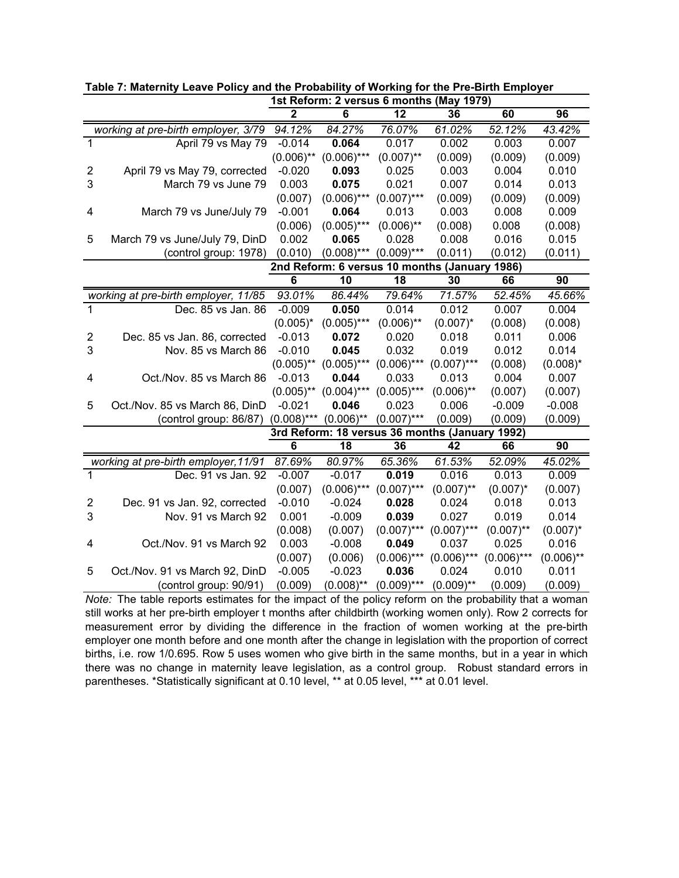|                |                                      |                         |               | 1st Reform: 2 versus 6 months (May 1979)       |               |               |              |
|----------------|--------------------------------------|-------------------------|---------------|------------------------------------------------|---------------|---------------|--------------|
|                |                                      | $\overline{\mathbf{2}}$ | ĥ             | $\overline{12}$                                | 36            | 60            | 96           |
|                | working at pre-birth employer, 3/79  | 94.12%                  | 84.27%        | 76.07%                                         | 61.02%        | 52.12%        | 43.42%       |
| 1              | April 79 vs May 79                   | $-0.014$                | 0.064         | 0.017                                          | 0.002         | 0.003         | 0.007        |
|                |                                      | $(0.006)$ **            | $(0.006)$ *** | $(0.007)$ **                                   | (0.009)       | (0.009)       | (0.009)      |
| $\overline{2}$ | April 79 vs May 79, corrected        | $-0.020$                | 0.093         | 0.025                                          | 0.003         | 0.004         | 0.010        |
| 3              | March 79 vs June 79                  | 0.003                   | 0.075         | 0.021                                          | 0.007         | 0.014         | 0.013        |
|                |                                      | (0.007)                 | $(0.006)$ *** | $(0.007)$ ***                                  | (0.009)       | (0.009)       | (0.009)      |
| 4              | March 79 vs June/July 79             | $-0.001$                | 0.064         | 0.013                                          | 0.003         | 0.008         | 0.009        |
|                |                                      | (0.006)                 | $(0.005)$ *** | $(0.006)$ **                                   | (0.008)       | 0.008         | (0.008)      |
| 5              | March 79 vs June/July 79, DinD       | 0.002                   | 0.065         | 0.028                                          | 0.008         | 0.016         | 0.015        |
|                | (control group: 1978)                | (0.010)                 | $(0.008)$ *** | $(0.009)$ ***                                  | (0.011)       | (0.012)       | (0.011)      |
|                |                                      |                         |               | 2nd Reform: 6 versus 10 months (January        |               | 1986)         |              |
|                |                                      | $\overline{6}$          | 10            | 18                                             | 30            | 66            | 90           |
|                | working at pre-birth employer, 11/85 | 93.01%                  | 86.44%        | 79.64%                                         | 71.57%        | 52.45%        | 45.66%       |
| 1              | Dec. 85 vs Jan. 86                   | $-0.009$                | 0.050         | 0.014                                          | 0.012         | 0.007         | 0.004        |
|                |                                      | $(0.005)^*$             | $(0.005)$ *** | $(0.006)$ **                                   | $(0.007)^*$   | (0.008)       | (0.008)      |
| 2              | Dec. 85 vs Jan. 86, corrected        | $-0.013$                | 0.072         | 0.020                                          | 0.018         | 0.011         | 0.006        |
| 3              | Nov. 85 vs March 86                  | $-0.010$                | 0.045         | 0.032                                          | 0.019         | 0.012         | 0.014        |
|                |                                      | $(0.005)$ **            | $(0.005)$ *** | $(0.006)$ ***                                  | $(0.007)$ *** | (0.008)       | $(0.008)^*$  |
| 4              | Oct./Nov. 85 vs March 86             | $-0.013$                | 0.044         | 0.033                                          | 0.013         | 0.004         | 0.007        |
|                |                                      | $(0.005)$ **            | $(0.004)$ *** | $(0.005)$ ***                                  | $(0.006)$ **  | (0.007)       | (0.007)      |
| 5              | Oct./Nov. 85 vs March 86, DinD       | $-0.021$                | 0.046         | 0.023                                          | 0.006         | $-0.009$      | $-0.008$     |
|                | (control group: 86/87)               | $(0.008)$ ***           | $(0.006)$ **  | $(0.007)$ ***                                  | (0.009)       | (0.009)       | (0.009)      |
|                |                                      |                         |               | 3rd Reform: 18 versus 36 months (January 1992) |               |               |              |
|                |                                      | 6                       | 18            | 36                                             | 42            | 66            | 90           |
|                | working at pre-birth employer, 11/91 | 87.69%                  | 80.97%        | 65.36%                                         | 61.53%        | 52.09%        | 45.02%       |
| 1              | Dec. 91 vs Jan. 92                   | $-0.007$                | $-0.017$      | 0.019                                          | 0.016         | 0.013         | 0.009        |
|                |                                      | (0.007)                 | $(0.006)$ *** | $(0.007)$ ***                                  | $(0.007)$ **  | $(0.007)^*$   | (0.007)      |
| 2              | Dec. 91 vs Jan. 92, corrected        | $-0.010$                | $-0.024$      | 0.028                                          | 0.024         | 0.018         | 0.013        |
| 3              | Nov. 91 vs March 92                  | 0.001                   | $-0.009$      | 0.039                                          | 0.027         | 0.019         | 0.014        |
|                |                                      | (0.008)                 | (0.007)       | $(0.007)$ ***                                  | $(0.007)$ *** | $(0.007)$ **  | $(0.007)^*$  |
| 4              | Oct./Nov. 91 vs March 92             | 0.003                   | $-0.008$      | 0.049                                          | 0.037         | 0.025         | 0.016        |
|                |                                      | (0.007)                 | (0.006)       | $(0.006)$ ***                                  | $(0.006)$ *** | $(0.006)$ *** | $(0.006)$ ** |
| 5              | Oct./Nov. 91 vs March 92, DinD       | $-0.005$                | $-0.023$      | 0.036                                          | 0.024         | 0.010         | 0.011        |
|                | (control group: 90/91)               | (0.009)                 | $(0.008)$ **  | $(0.009)$ ***                                  | $(0.009)$ **  | (0.009)       | (0.009)      |

**Table 7: Maternity Leave Policy and the Probability of Working for the Pre-Birth Employer**

*Note:* The table reports estimates for the impact of the policy reform on the probability that a woman still works at her pre-birth employer t months after childbirth (working women only). Row 2 corrects for measurement error by dividing the difference in the fraction of women working at the pre-birth employer one month before and one month after the change in legislation with the proportion of correct births, i.e. row 1/0.695. Row 5 uses women who give birth in the same months, but in a year in which there was no change in maternity leave legislation, as a control group. Robust standard errors in parentheses. \*Statistically significant at 0.10 level, \*\* at 0.05 level, \*\*\* at 0.01 level.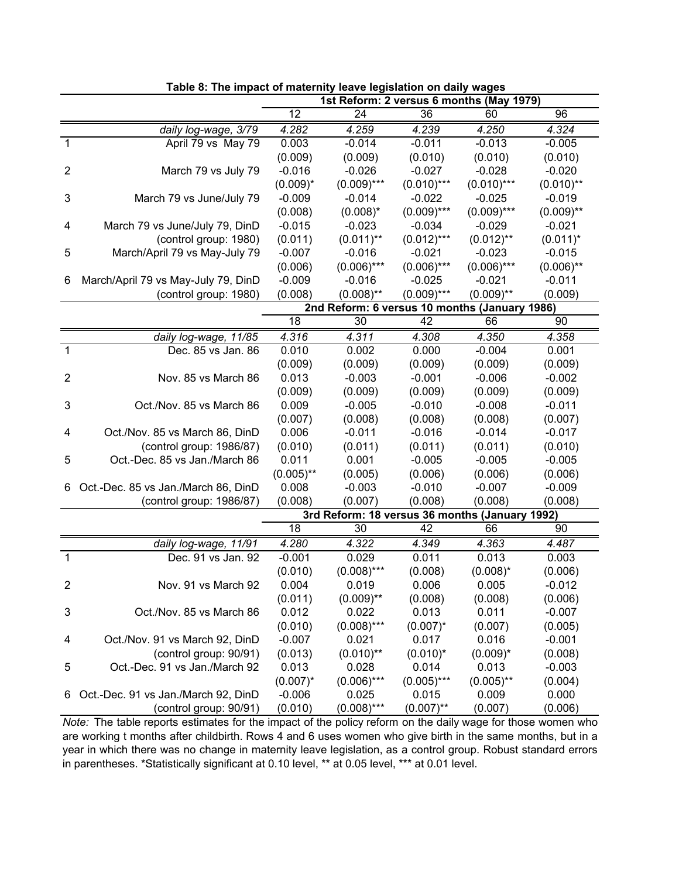|                         |                                     |              | 1st Reform: 2 versus 6 months (May 1979)       |               |               |              |
|-------------------------|-------------------------------------|--------------|------------------------------------------------|---------------|---------------|--------------|
|                         |                                     | 12           | 24                                             | 36            | 60            | 96           |
|                         | daily log-wage, 3/79                | 4.282        | 4.259                                          | 4.239         | 4.250         | 4.324        |
| $\mathbf{1}$            | April 79 vs May 79                  | 0.003        | $-0.014$                                       | $-0.011$      | $-0.013$      | $-0.005$     |
|                         |                                     | (0.009)      | (0.009)                                        | (0.010)       | (0.010)       | (0.010)      |
| $\overline{2}$          | March 79 vs July 79                 | $-0.016$     | $-0.026$                                       | $-0.027$      | $-0.028$      | $-0.020$     |
|                         |                                     | $(0.009)^*$  | $(0.009)$ ***                                  | $(0.010)$ *** | $(0.010)$ *** | $(0.010)$ ** |
| 3                       | March 79 vs June/July 79            | $-0.009$     | $-0.014$                                       | $-0.022$      | $-0.025$      | $-0.019$     |
|                         |                                     | (0.008)      | $(0.008)^*$                                    | $(0.009)$ *** | $(0.009)$ *** | $(0.009)$ ** |
| 4                       | March 79 vs June/July 79, DinD      | $-0.015$     | $-0.023$                                       | $-0.034$      | $-0.029$      | $-0.021$     |
|                         | (control group: 1980)               | (0.011)      | $(0.011)$ **                                   | $(0.012)***$  | $(0.012)$ **  | $(0.011)^*$  |
| 5                       | March/April 79 vs May-July 79       | $-0.007$     | $-0.016$                                       | $-0.021$      | $-0.023$      | $-0.015$     |
|                         |                                     | (0.006)      | $(0.006)$ ***                                  | $(0.006)$ *** | $(0.006)$ *** | $(0.006)$ ** |
| 6                       | March/April 79 vs May-July 79, DinD | $-0.009$     | $-0.016$                                       | $-0.025$      | $-0.021$      | $-0.011$     |
|                         | (control group: 1980)               | (0.008)      | $(0.008)$ **                                   | $(0.009)$ *** | $(0.009)$ **  | (0.009)      |
|                         |                                     |              | 2nd Reform: 6 versus 10 months (January 1986)  |               |               |              |
|                         |                                     | 18           | 30                                             | 42            | 66            | 90           |
|                         | daily log-wage, 11/85               | 4.316        | 4.311                                          | 4.308         | 4.350         | 4.358        |
| 1                       | Dec. 85 vs Jan. 86                  | 0.010        | 0.002                                          | 0.000         | $-0.004$      | 0.001        |
|                         |                                     | (0.009)      | (0.009)                                        | (0.009)       | (0.009)       | (0.009)      |
| $\overline{2}$          | Nov. 85 vs March 86                 | 0.013        | $-0.003$                                       | $-0.001$      | $-0.006$      | $-0.002$     |
|                         |                                     | (0.009)      | (0.009)                                        | (0.009)       | (0.009)       | (0.009)      |
| 3                       | Oct./Nov. 85 vs March 86            | 0.009        | $-0.005$                                       | $-0.010$      | $-0.008$      | $-0.011$     |
|                         |                                     | (0.007)      | (0.008)                                        | (0.008)       | (0.008)       | (0.007)      |
| 4                       | Oct./Nov. 85 vs March 86, DinD      | 0.006        | $-0.011$                                       | $-0.016$      | $-0.014$      | $-0.017$     |
|                         | (control group: 1986/87)            | (0.010)      | (0.011)                                        | (0.011)       | (0.011)       | (0.010)      |
| 5                       | Oct.-Dec. 85 vs Jan./March 86       | 0.011        | 0.001                                          | $-0.005$      | $-0.005$      | $-0.005$     |
|                         |                                     | $(0.005)$ ** | (0.005)                                        | (0.006)       | (0.006)       | (0.006)      |
| 6                       | Oct.-Dec. 85 vs Jan./March 86, DinD | 0.008        | $-0.003$                                       | $-0.010$      | $-0.007$      | $-0.009$     |
|                         | (control group: 1986/87)            | (0.008)      | (0.007)                                        | (0.008)       | (0.008)       | (0.008)      |
|                         |                                     |              | 3rd Reform: 18 versus 36 months (January 1992) |               |               |              |
|                         |                                     | 18           | 30                                             | 42            | 66            | 90           |
|                         | daily log-wage, 11/91               | 4.280        | 4.322                                          | 4.349         | 4.363         | 4.487        |
| $\overline{1}$          | Dec. 91 vs Jan. 92                  | $-0.001$     | 0.029                                          | 0.011         | 0.013         | 0.003        |
|                         |                                     | (0.010)      | $(0.008)$ ***                                  | (0.008)       | $(0.008)^*$   | (0.006)      |
| $\overline{\mathbf{c}}$ | Nov. 91 vs March 92                 | 0.004        | 0.019                                          | 0.006         | 0.005         | $-0.012$     |
|                         |                                     | (0.011)      | $(0.009)$ **                                   | (0.008)       | (0.008)       | (0.006)      |
| 3                       | Oct./Nov. 85 vs March 86            | 0.012        | 0.022                                          | 0.013         | 0.011         | $-0.007$     |
|                         |                                     | (0.010)      | $(0.008)$ ***                                  | $(0.007)^*$   | (0.007)       | (0.005)      |
| 4                       | Oct./Nov. 91 vs March 92, DinD      | $-0.007$     | 0.021                                          | 0.017         | 0.016         | $-0.001$     |
|                         | (control group: 90/91)              | (0.013)      | $(0.010)$ **                                   | $(0.010)^*$   | $(0.009)^*$   | (0.008)      |
| 5                       | Oct.-Dec. 91 vs Jan./March 92       | 0.013        | 0.028                                          | 0.014         | 0.013         | $-0.003$     |
|                         |                                     | $(0.007)^*$  | $(0.006)$ ***                                  | $(0.005)$ *** | $(0.005)$ **  | (0.004)      |
| 6                       | Oct.-Dec. 91 vs Jan./March 92, DinD | $-0.006$     | 0.025                                          | 0.015         | 0.009         | 0.000        |
|                         | (control group: 90/91)              | (0.010)      | $(0.008)$ ***                                  | $(0.007)$ **  | (0.007)       | (0.006)      |

**Table 8: The impact of maternity leave legislation on daily wages**

*Note:* The table reports estimates for the impact of the policy reform on the daily wage for those women who are working t months after childbirth. Rows 4 and 6 uses women who give birth in the same months, but in a year in which there was no change in maternity leave legislation, as a control group. Robust standard errors in parentheses. \*Statistically significant at 0.10 level, \*\* at 0.05 level, \*\*\* at 0.01 level.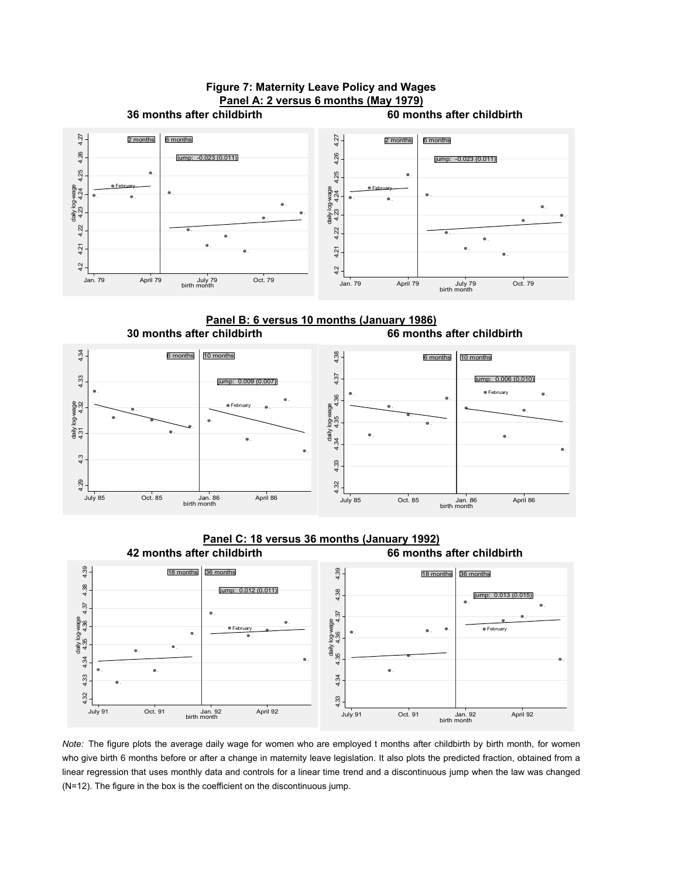

**Panel B: 6 versus 10 months (January 1986) 30 months after childbirth 66 months after childbirth**



**42 months after childbirth 66 months after childbirth Panel C: 18 versus 36 months (January 1992)**



*Note:* The figure plots the average daily wage for women who are employed t months after childbirth by birth month, for women who give birth 6 months before or after a change in maternity leave legislation. It also plots the predicted fraction, obtained from a linear regression that uses monthly data and controls for a linear time trend and a discontinuous jump when the law was changed (N=12). The figure in the box is the coefficient on the discontinuous jump.

# **Figure 7: Maternity Leave Policy and Wages**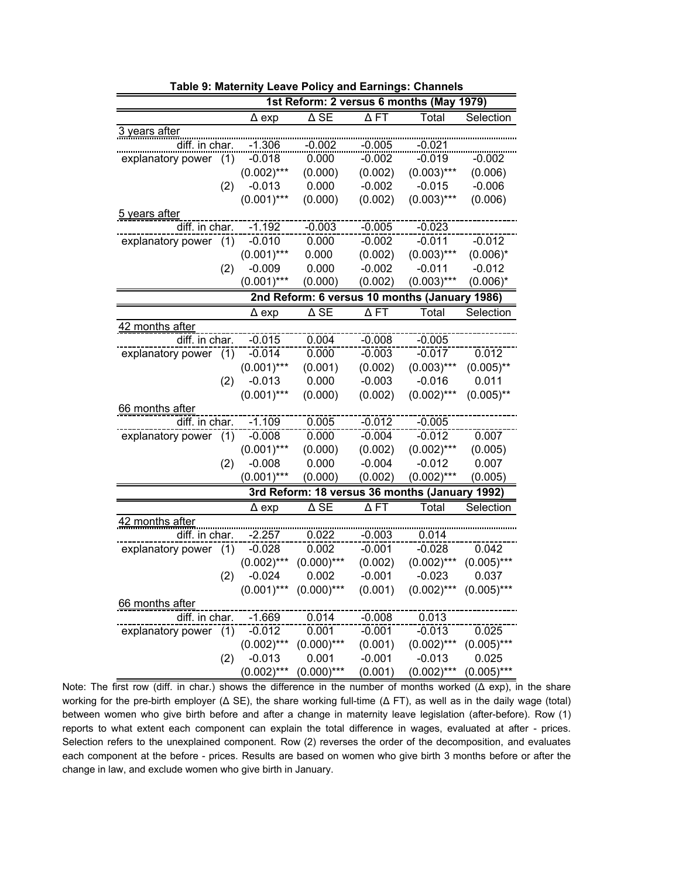|                       |     |               |                        |                        | 1st Reform: 2 versus 6 months (May 1979)       |               |
|-----------------------|-----|---------------|------------------------|------------------------|------------------------------------------------|---------------|
|                       |     | $\Delta$ exp  | $\overline{\Delta}$ SE | $\Delta$ FT            | Total                                          | Selection     |
| 3 years after         |     |               |                        |                        |                                                |               |
| diff. in char.        |     | $-1.306$      | $-0.002$               | $-0.005$               | $-0.021$                                       |               |
| explanatory power     | (1) | $-0.018$      | 0.000                  | $-0.002$               | $-0.019$                                       | $-0.002$      |
|                       |     | $(0.002)$ *** | (0.000)                | (0.002)                | $(0.003)***$                                   | (0.006)       |
|                       | (2) | $-0.013$      | 0.000                  | $-0.002$               | $-0.015$                                       | $-0.006$      |
|                       |     | $(0.001)$ *** | (0.000)                | (0.002)                | $(0.003)$ ***                                  | (0.006)       |
| 5 years after         |     |               |                        |                        |                                                |               |
| diff. in char.        |     | $-1.192$      | $-0.003$               | $-0.005$               | $-0.023$                                       |               |
| explanatory power (1) |     | $-0.010$      | 0.000                  | $-0.002$               | $-0.011$                                       | $-0.012$      |
|                       |     | $(0.001)$ *** | 0.000                  | (0.002)                | $(0.003)$ ***                                  | $(0.006)^*$   |
|                       | (2) | $-0.009$      | 0.000                  | $-0.002$               | $-0.011$                                       | $-0.012$      |
|                       |     | $(0.001)$ *** | (0.000)                | (0.002)                | $(0.003)$ ***                                  | $(0.006)^*$   |
|                       |     |               |                        |                        | 2nd Reform: 6 versus 10 months (January 1986)  |               |
|                       |     | Д ехр         | $\overline{\Delta}$ SE | $\Delta$ FT            | Total                                          | Selection     |
| 42 months after       |     |               |                        |                        |                                                |               |
| diff. in char.        |     | $-0.015$      | 0.004                  | $-0.008$               | $-0.005$                                       |               |
| explanatory power     | (1) | $-0.014$      | 0.000                  | $-0.003$               | $-0.017$                                       | 0.012         |
|                       |     | $(0.001)$ *** | (0.001)                | (0.002)                | $(0.003)$ ***                                  | $(0.005)$ **  |
|                       | (2) | $-0.013$      | 0.000                  | $-0.003$               | $-0.016$                                       | 0.011         |
|                       |     | $(0.001)$ *** | (0.000)                | (0.002)                | $(0.002)$ ***                                  | $(0.005)$ **  |
| 66 months after       |     |               |                        |                        |                                                |               |
| diff. in char.        |     | $-1.109$      | 0.005                  | $-0.012$               | $-0.005$                                       |               |
| explanatory power (1) |     | $-0.008$      | 0.000                  | $-0.004$               | $-0.012$                                       | 0.007         |
|                       |     | $(0.001)$ *** | (0.000)                | (0.002)                | $(0.002)$ ***                                  | (0.005)       |
|                       | (2) | $-0.008$      | 0.000                  | $-0.004$               | -0.012                                         | 0.007         |
|                       |     | $(0.001)$ *** | (0.000)                | (0.002)                | $(0.002)$ ***                                  | (0.005)       |
|                       |     |               |                        |                        | 3rd Reform: 18 versus 36 months (January 1992) |               |
|                       |     | $\Delta$ exp  | $\overline{\Delta}$ SE | $\overline{\Delta FT}$ | Total                                          | Selection     |
| 42 months after       |     |               |                        |                        |                                                |               |
| diff. in char.        |     | $-2.257$      | 0.022                  | $-0.003$               | 0.014                                          |               |
| explanatory power (1) |     | $-0.028$      | 0.002                  | -0.001                 | $-0.028$                                       | 0.042         |
|                       |     | $(0.002)$ *** | $(0.000)$ ***          | (0.002)                | $(0.002)$ ***                                  | $(0.005)$ *** |
|                       | (2) | $-0.024$      | 0.002                  | $-0.001$               | $-0.023$                                       | 0.037         |
|                       |     | $(0.001)$ *** | $(0.000)$ ***          | (0.001)                | $(0.002)$ ***                                  | $(0.005)$ *** |
| 66 months after       |     |               |                        |                        |                                                |               |
| diff. in char.        |     | $-1.669$      | 0.014                  | $-0.008$               | 0.013                                          |               |
| explanatory power     | (1) | $-0.012$      | 0.001                  | $-0.001$               | $-0.013$                                       | 0.025         |
|                       |     | $(0.002)$ *** | $(0.000)$ ***          | (0.001)                | $(0.002)$ ***                                  | $(0.005)$ *** |
|                       | (2) | $-0.013$      | 0.001                  | $-0.001$               | $-0.013$                                       | 0.025         |
|                       |     | $(0.002)$ *** | $(0.000)$ ***          | (0.001)                | $(0.002)$ ***                                  | $(0.005)$ *** |

**Table 9: Maternity Leave Policy and Earnings: Channels**

Note: The first row (diff. in char.) shows the difference in the number of months worked (∆ exp), in the share working for the pre-birth employer (∆ SE), the share working full-time (∆ FT), as well as in the daily wage (total) between women who give birth before and after a change in maternity leave legislation (after-before). Row (1) reports to what extent each component can explain the total difference in wages, evaluated at after - prices. Selection refers to the unexplained component. Row (2) reverses the order of the decomposition, and evaluates each component at the before - prices. Results are based on women who give birth 3 months before or after the change in law, and exclude women who give birth in January.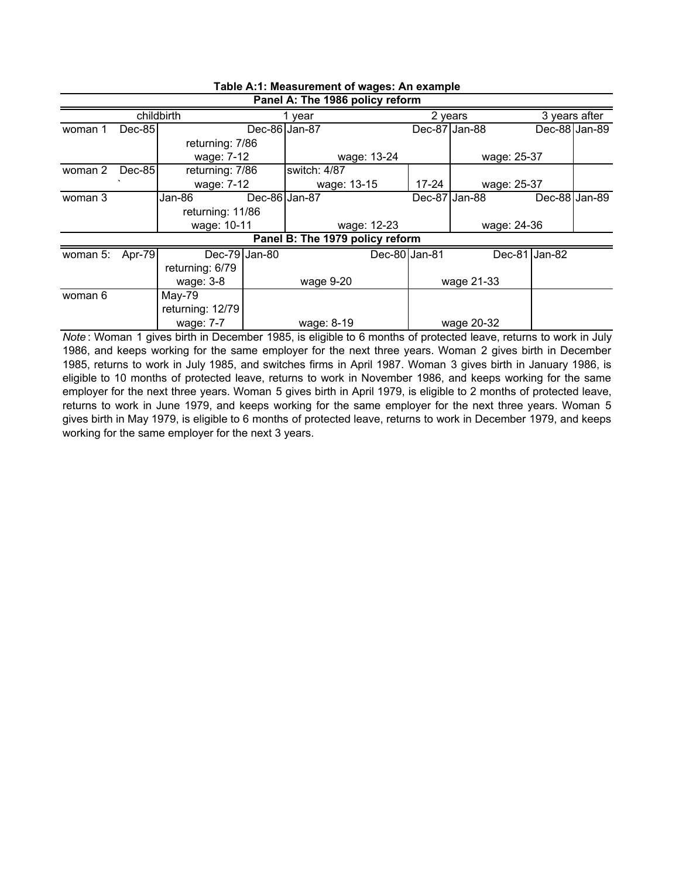|          |           |                  |               | Panel A: The 1986 policy reform |               |               |             |                            |                 |
|----------|-----------|------------------|---------------|---------------------------------|---------------|---------------|-------------|----------------------------|-----------------|
|          |           | childbirth       |               | vear                            |               | 2 years       |             |                            | 3 years after   |
| woman 1  | $Dec-85$  |                  | Dec-86 Jan-87 |                                 |               | Dec-87 Jan-88 |             |                            | Dec-88 Jan-89   |
|          |           | returning: 7/86  |               |                                 |               |               |             |                            |                 |
|          |           | wage: 7-12       |               |                                 | wage: 13-24   |               | wage: 25-37 |                            |                 |
| woman 2  | Dec-85    | returning: 7/86  |               | switch: 4/87                    |               |               |             |                            |                 |
|          |           | wage: 7-12       |               | wage: 13-15                     |               | $17 - 24$     | wage: 25-37 |                            |                 |
| woman 3  |           | Jan-86           | Dec-86 Jan-87 |                                 |               | Dec-87 Jan-88 |             |                            | Dec-88 $Jan-89$ |
|          |           | returning: 11/86 |               |                                 |               |               |             |                            |                 |
|          |           | wage: 10-11      |               |                                 | wage: 12-23   |               |             | wage: 24-36                |                 |
|          |           |                  |               | Panel B: The 1979 policy reform |               |               |             |                            |                 |
| woman 5: | Apr- $79$ | Dec-79 $Jan-80$  |               |                                 | Dec-80 Jan-81 |               |             | $\overline{Dec-81}$ Jan-82 |                 |
|          |           | returning: 6/79  |               |                                 |               |               |             |                            |                 |
|          |           | wage: 3-8        |               | wage 9-20                       |               |               | wage 21-33  |                            |                 |
| woman 6  |           | May-79           |               |                                 |               |               |             |                            |                 |
|          |           | returning: 12/79 |               |                                 |               |               |             |                            |                 |
|          |           | wage: 7-7        |               | wage: 8-19                      |               |               | wage 20-32  |                            |                 |

## **Table A:1: Measurement of wages: An example**

*Note* : Woman 1 gives birth in December 1985, is eligible to 6 months of protected leave, returns to work in July 1986, and keeps working for the same employer for the next three years. Woman 2 gives birth in December 1985, returns to work in July 1985, and switches firms in April 1987. Woman 3 gives birth in January 1986, is eligible to 10 months of protected leave, returns to work in November 1986, and keeps working for the same employer for the next three years. Woman 5 gives birth in April 1979, is eligible to 2 months of protected leave, returns to work in June 1979, and keeps working for the same employer for the next three years. Woman 5 gives birth in May 1979, is eligible to 6 months of protected leave, returns to work in December 1979, and keeps working for the same employer for the next 3 years.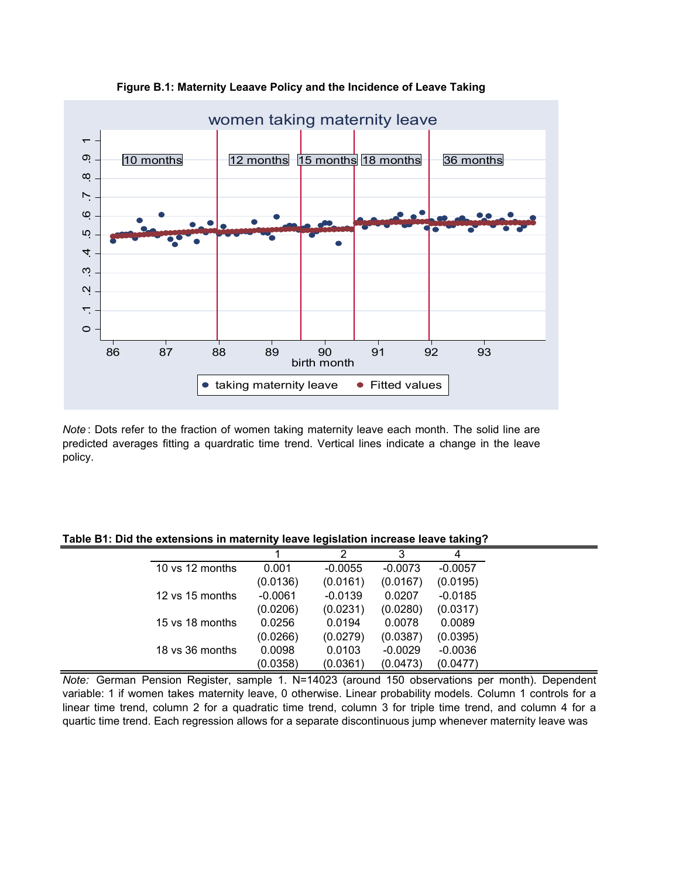

**Figure B.1: Maternity Leaave Policy and the Incidence of Leave Taking**

*Note* : Dots refer to the fraction of women taking maternity leave each month. The solid line are predicted averages fitting a quardratic time trend. Vertical lines indicate a change in the leave policy.

|  | Table B1: Did the extensions in maternity leave legislation increase leave taking? |  |  |
|--|------------------------------------------------------------------------------------|--|--|
|--|------------------------------------------------------------------------------------|--|--|

|                 |           | 2         | 3         | 4         |
|-----------------|-----------|-----------|-----------|-----------|
| 10 ys 12 months | 0.001     | $-0.0055$ | $-0.0073$ | $-0.0057$ |
|                 | (0.0136)  | (0.0161)  | (0.0167)  | (0.0195)  |
| 12 vs 15 months | $-0.0061$ | $-0.0139$ | 0.0207    | $-0.0185$ |
|                 | (0.0206)  | (0.0231)  | (0.0280)  | (0.0317)  |
| 15 ys 18 months | 0.0256    | 0.0194    | 0.0078    | 0.0089    |
|                 | (0.0266)  | (0.0279)  | (0.0387)  | (0.0395)  |
| 18 ys 36 months | 0.0098    | 0.0103    | $-0.0029$ | $-0.0036$ |
|                 | (0.0358)  | (0.0361)  | (0.0473)  | (0.0477)  |

*Note:* German Pension Register, sample 1. N=14023 (around 150 observations per month). Dependent variable: 1 if women takes maternity leave, 0 otherwise. Linear probability models. Column 1 controls for a linear time trend, column 2 for a quadratic time trend, column 3 for triple time trend, and column 4 for a quartic time trend. Each regression allows for a separate discontinuous jump whenever maternity leave was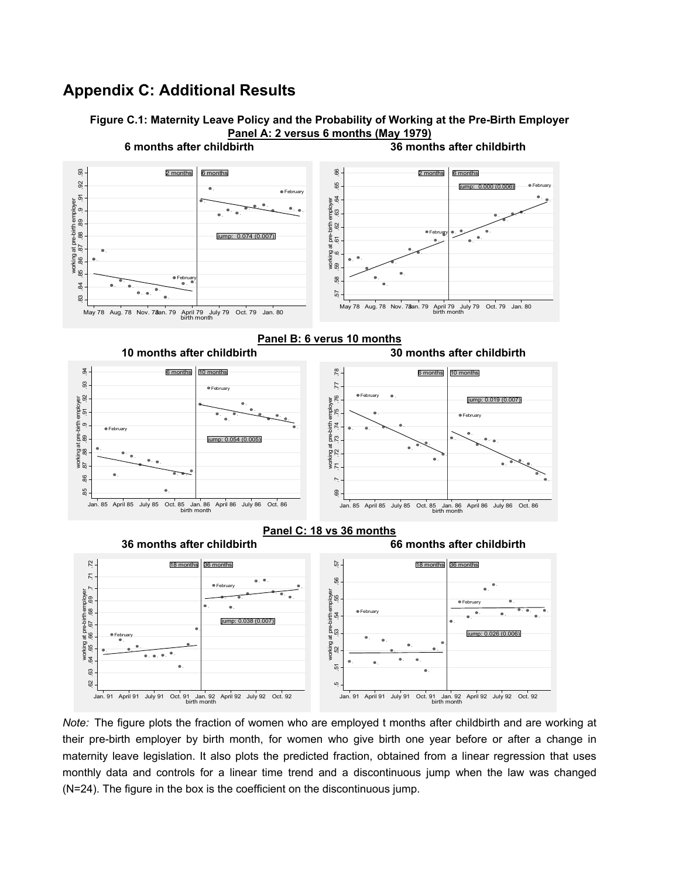#### **Appendix C: Additional Results**





*Note:* The figure plots the fraction of women who are employed t months after childbirth and are working at their pre-birth employer by birth month, for women who give birth one year before or after a change in maternity leave legislation. It also plots the predicted fraction, obtained from a linear regression that uses monthly data and controls for a linear time trend and a discontinuous jump when the law was changed (N=24). The figure in the box is the coefficient on the discontinuous jump.